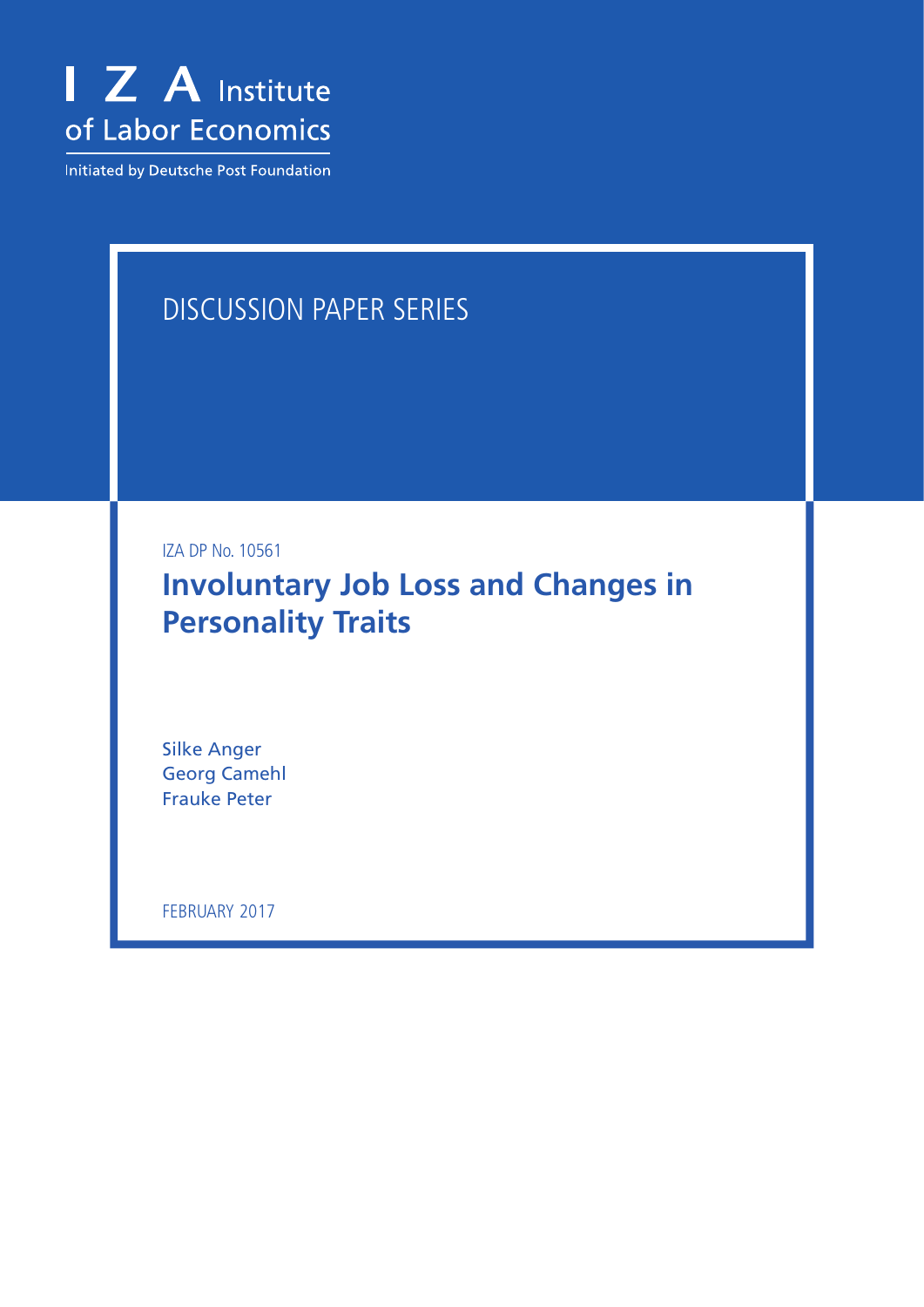

Initiated by Deutsche Post Foundation

# Discussion Paper Series

IZA DP No. 10561

**Involuntary Job Loss and Changes in Personality Traits**

Silke Anger Georg Camehl Frauke Peter

february 2017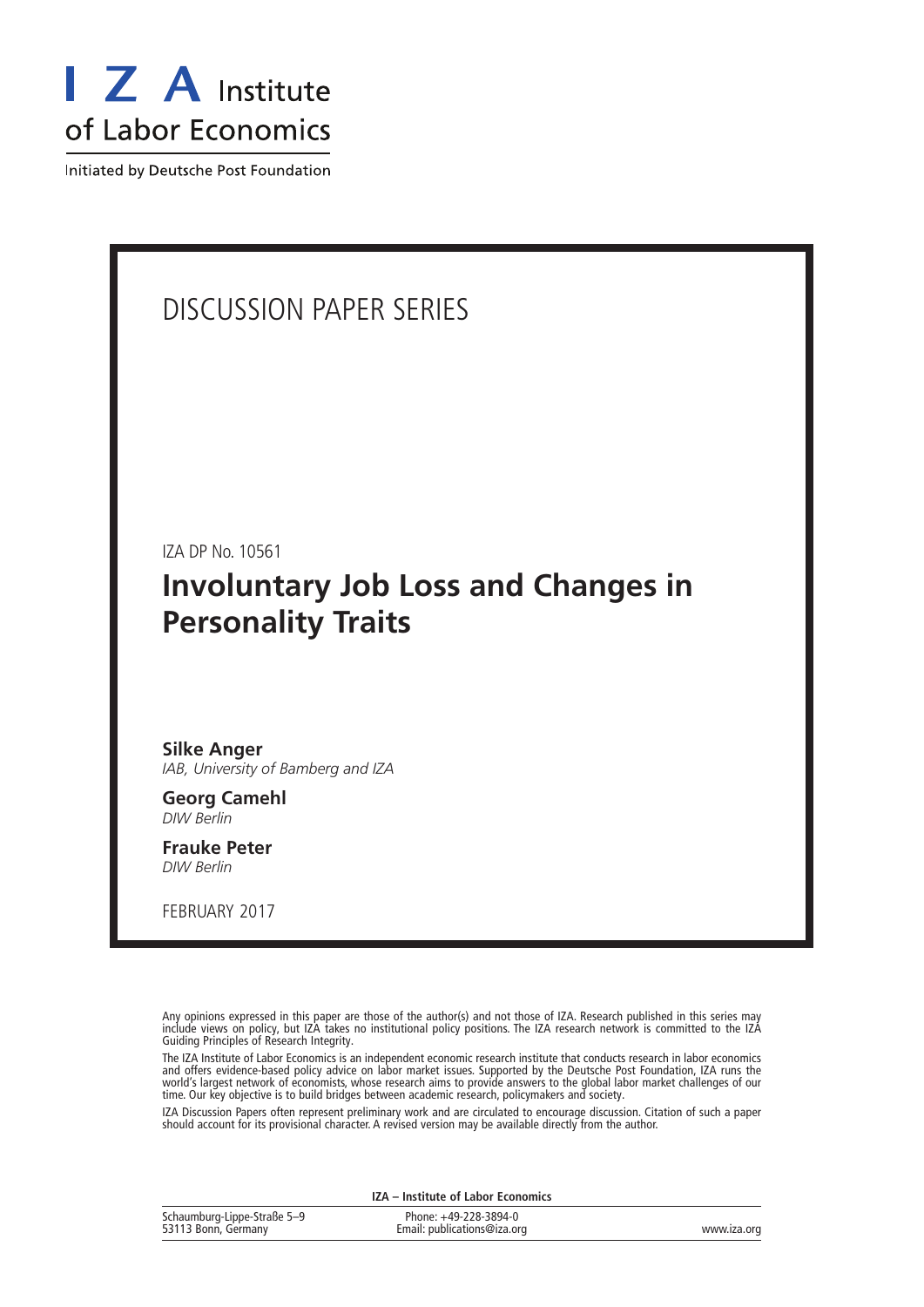

Initiated by Deutsche Post Foundation

### Discussion Paper Series

IZA DP No. 10561

## **Involuntary Job Loss and Changes in Personality Traits**

**Silke Anger** *IAB, University of Bamberg and IZA*

**Georg Camehl** *DIW Berlin*

**Frauke Peter** *DIW Berlin*

february 2017

Any opinions expressed in this paper are those of the author(s) and not those of IZA. Research published in this series may include views on policy, but IZA takes no institutional policy positions. The IZA research network is committed to the IZA Guiding Principles of Research Integrity.

The IZA Institute of Labor Economics is an independent economic research institute that conducts research in labor economics and offers evidence-based policy advice on labor market issues. Supported by the Deutsche Post Foundation, IZA runs the world's largest network of economists, whose research aims to provide answers to the global labor market challenges of our time. Our key objective is to build bridges between academic research, policymakers and society.

IZA Discussion Papers often represent preliminary work and are circulated to encourage discussion. Citation of such a paper should account for its provisional character. A revised version may be available directly from the author.

| IZA – Institute of Labor Economics                 |                                                      |             |  |  |
|----------------------------------------------------|------------------------------------------------------|-------------|--|--|
| Schaumburg-Lippe-Straße 5–9<br>53113 Bonn, Germany | Phone: +49-228-3894-0<br>Email: publications@iza.org | www.iza.org |  |  |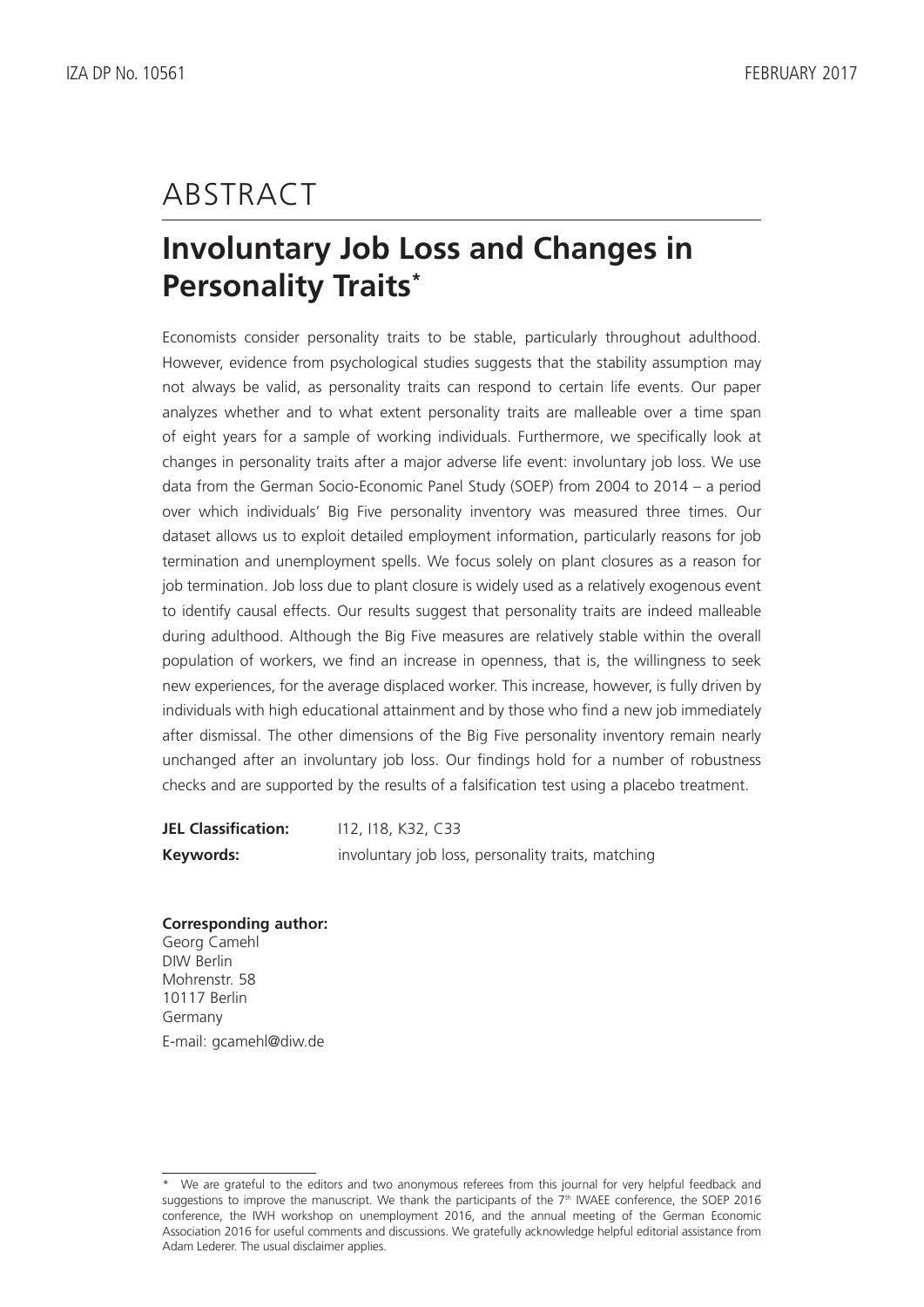# **ABSTRACT**

# **Involuntary Job Loss and Changes in Personality Traits\***

Economists consider personality traits to be stable, particularly throughout adulthood. However, evidence from psychological studies suggests that the stability assumption may not always be valid, as personality traits can respond to certain life events. Our paper analyzes whether and to what extent personality traits are malleable over a time span of eight years for a sample of working individuals. Furthermore, we specifically look at changes in personality traits after a major adverse life event: involuntary job loss. We use data from the German Socio-Economic Panel Study (SOEP) from 2004 to 2014 – a period over which individuals' Big Five personality inventory was measured three times. Our dataset allows us to exploit detailed employment information, particularly reasons for job termination and unemployment spells. We focus solely on plant closures as a reason for job termination. Job loss due to plant closure is widely used as a relatively exogenous event to identify causal effects. Our results suggest that personality traits are indeed malleable during adulthood. Although the Big Five measures are relatively stable within the overall population of workers, we find an increase in openness, that is, the willingness to seek new experiences, for the average displaced worker. This increase, however, is fully driven by individuals with high educational attainment and by those who find a new job immediately after dismissal. The other dimensions of the Big Five personality inventory remain nearly unchanged after an involuntary job loss. Our findings hold for a number of robustness checks and are supported by the results of a falsification test using a placebo treatment.

| <b>JEL Classification:</b> | 112, 118, K32, C33                                 |
|----------------------------|----------------------------------------------------|
| Keywords:                  | involuntary job loss, personality traits, matching |

### **Corresponding author:**

Georg Camehl DIW Berlin Mohrenstr. 58 10117 Berlin Germany E-mail: gcamehl@diw.de

<sup>\*</sup> We are grateful to the editors and two anonymous referees from this journal for very helpful feedback and suggestions to improve the manuscript. We thank the participants of the 7<sup>th</sup> IWAEE conference, the SOEP 2016 conference, the IWH workshop on unemployment 2016, and the annual meeting of the German Economic Association 2016 for useful comments and discussions. We gratefully acknowledge helpful editorial assistance from Adam Lederer. The usual disclaimer applies.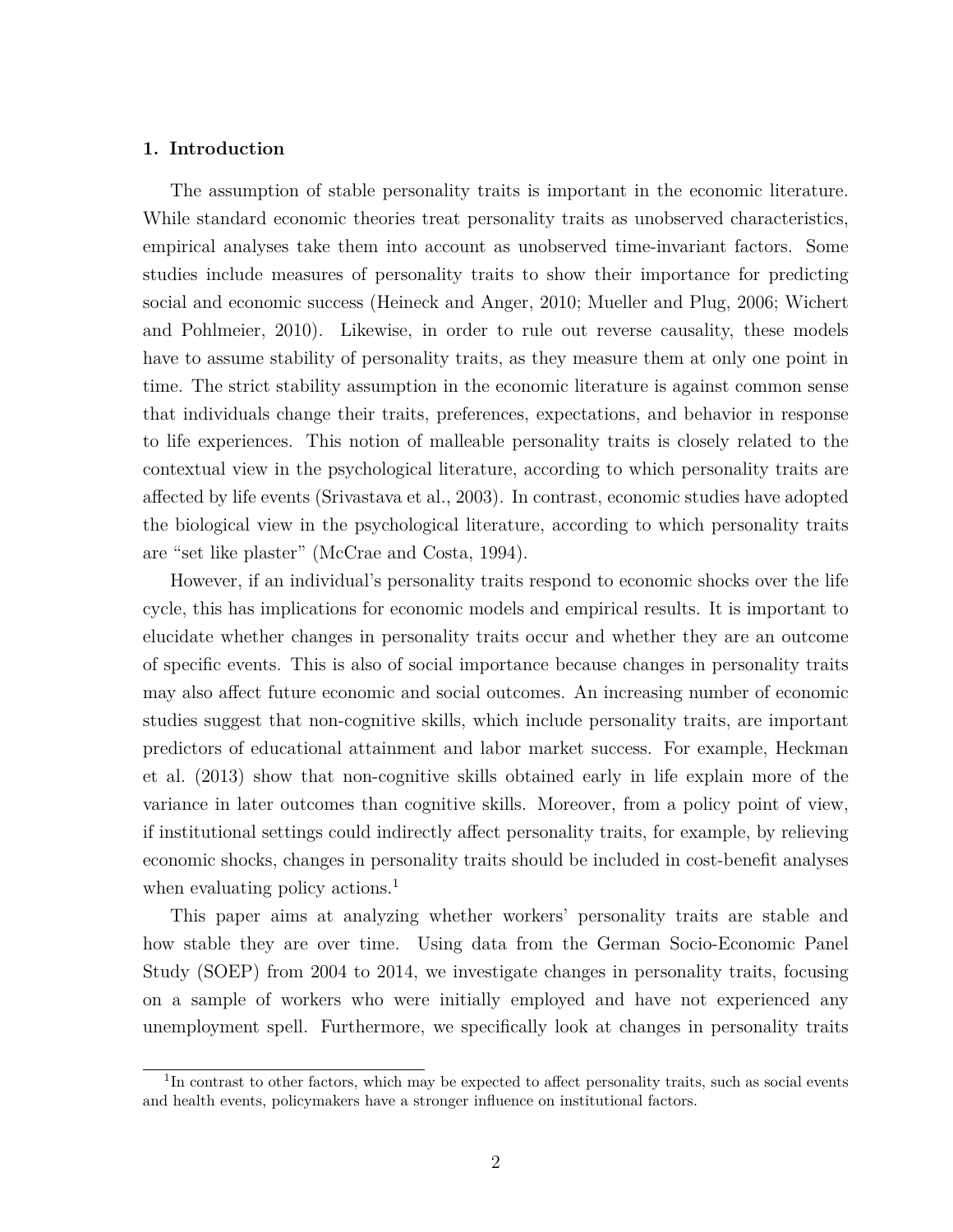#### **1. Introduction**

The assumption of stable personality traits is important in the economic literature. While standard economic theories treat personality traits as unobserved characteristics, empirical analyses take them into account as unobserved time-invariant factors. Some studies include measures of personality traits to show their importance for predicting social and economic success (Heineck and Anger, 2010; Mueller and Plug, 2006; Wichert and Pohlmeier, 2010). Likewise, in order to rule out reverse causality, these models have to assume stability of personality traits, as they measure them at only one point in time. The strict stability assumption in the economic literature is against common sense that individuals change their traits, preferences, expectations, and behavior in response to life experiences. This notion of malleable personality traits is closely related to the contextual view in the psychological literature, according to which personality traits are affected by life events (Srivastava et al., 2003). In contrast, economic studies have adopted the biological view in the psychological literature, according to which personality traits are "set like plaster" (McCrae and Costa, 1994).

However, if an individual's personality traits respond to economic shocks over the life cycle, this has implications for economic models and empirical results. It is important to elucidate whether changes in personality traits occur and whether they are an outcome of specific events. This is also of social importance because changes in personality traits may also affect future economic and social outcomes. An increasing number of economic studies suggest that non-cognitive skills, which include personality traits, are important predictors of educational attainment and labor market success. For example, Heckman et al. (2013) show that non-cognitive skills obtained early in life explain more of the variance in later outcomes than cognitive skills. Moreover, from a policy point of view, if institutional settings could indirectly affect personality traits, for example, by relieving economic shocks, changes in personality traits should be included in cost-benefit analyses when evaluating policy actions.<sup>1</sup>

This paper aims at analyzing whether workers' personality traits are stable and how stable they are over time. Using data from the German Socio-Economic Panel Study (SOEP) from 2004 to 2014, we investigate changes in personality traits, focusing on a sample of workers who were initially employed and have not experienced any unemployment spell. Furthermore, we specifically look at changes in personality traits

<sup>&</sup>lt;sup>1</sup>In contrast to other factors, which may be expected to affect personality traits, such as social events and health events, policymakers have a stronger influence on institutional factors.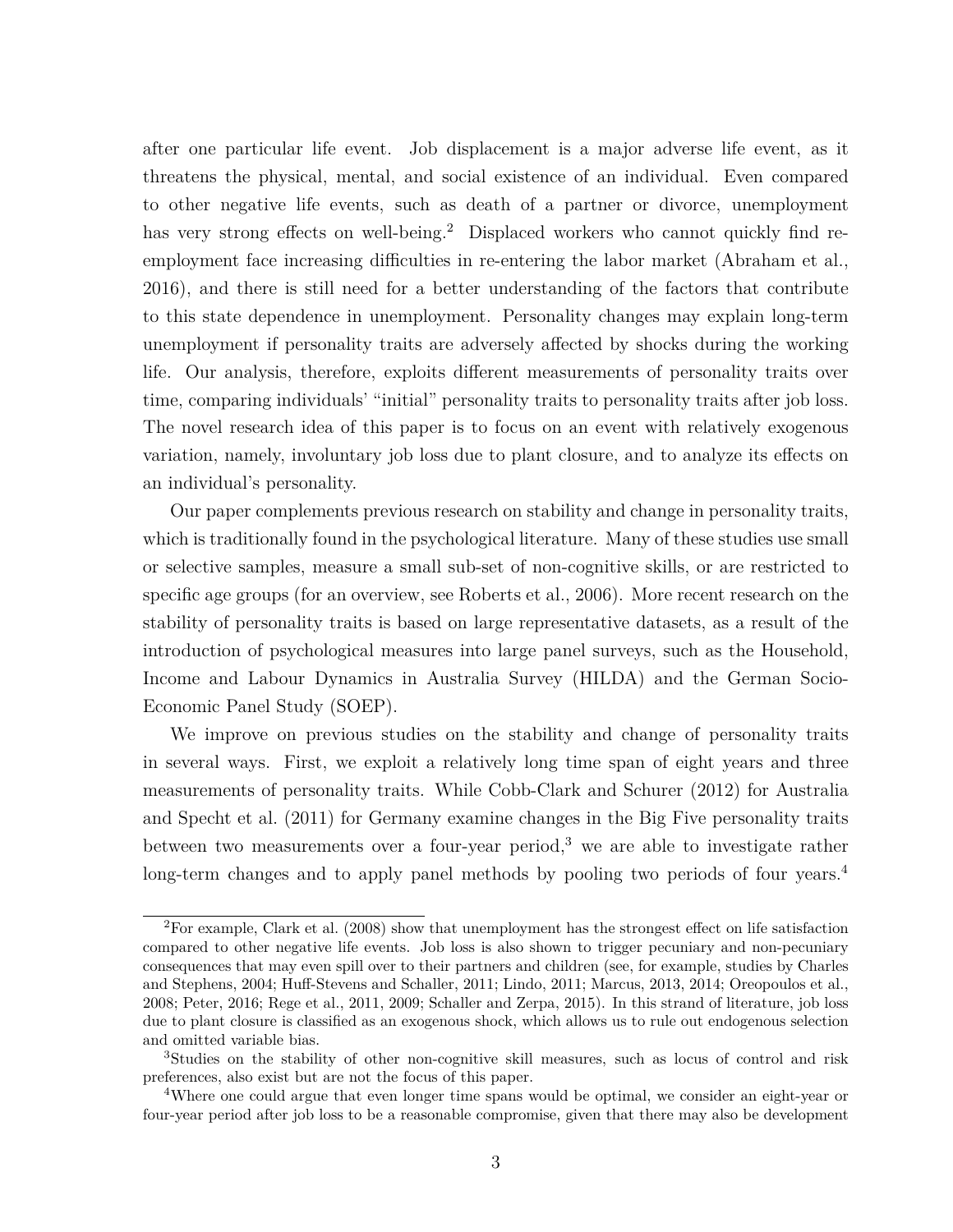after one particular life event. Job displacement is a major adverse life event, as it threatens the physical, mental, and social existence of an individual. Even compared to other negative life events, such as death of a partner or divorce, unemployment has very strong effects on well-being.<sup>2</sup> Displaced workers who cannot quickly find reemployment face increasing difficulties in re-entering the labor market (Abraham et al., 2016), and there is still need for a better understanding of the factors that contribute to this state dependence in unemployment. Personality changes may explain long-term unemployment if personality traits are adversely affected by shocks during the working life. Our analysis, therefore, exploits different measurements of personality traits over time, comparing individuals' "initial" personality traits to personality traits after job loss. The novel research idea of this paper is to focus on an event with relatively exogenous variation, namely, involuntary job loss due to plant closure, and to analyze its effects on an individual's personality.

Our paper complements previous research on stability and change in personality traits, which is traditionally found in the psychological literature. Many of these studies use small or selective samples, measure a small sub-set of non-cognitive skills, or are restricted to specific age groups (for an overview, see Roberts et al., 2006). More recent research on the stability of personality traits is based on large representative datasets, as a result of the introduction of psychological measures into large panel surveys, such as the Household, Income and Labour Dynamics in Australia Survey (HILDA) and the German Socio-Economic Panel Study (SOEP).

We improve on previous studies on the stability and change of personality traits in several ways. First, we exploit a relatively long time span of eight years and three measurements of personality traits. While Cobb-Clark and Schurer (2012) for Australia and Specht et al. (2011) for Germany examine changes in the Big Five personality traits between two measurements over a four-year period,<sup>3</sup> we are able to investigate rather long-term changes and to apply panel methods by pooling two periods of four years.<sup>4</sup>

<sup>&</sup>lt;sup>2</sup>For example, Clark et al. (2008) show that unemployment has the strongest effect on life satisfaction compared to other negative life events. Job loss is also shown to trigger pecuniary and non-pecuniary consequences that may even spill over to their partners and children (see, for example, studies by Charles and Stephens, 2004; Huff-Stevens and Schaller, 2011; Lindo, 2011; Marcus, 2013, 2014; Oreopoulos et al., 2008; Peter, 2016; Rege et al., 2011, 2009; Schaller and Zerpa, 2015). In this strand of literature, job loss due to plant closure is classified as an exogenous shock, which allows us to rule out endogenous selection and omitted variable bias.

<sup>3</sup>Studies on the stability of other non-cognitive skill measures, such as locus of control and risk preferences, also exist but are not the focus of this paper.

<sup>4</sup>Where one could argue that even longer time spans would be optimal, we consider an eight-year or four-year period after job loss to be a reasonable compromise, given that there may also be development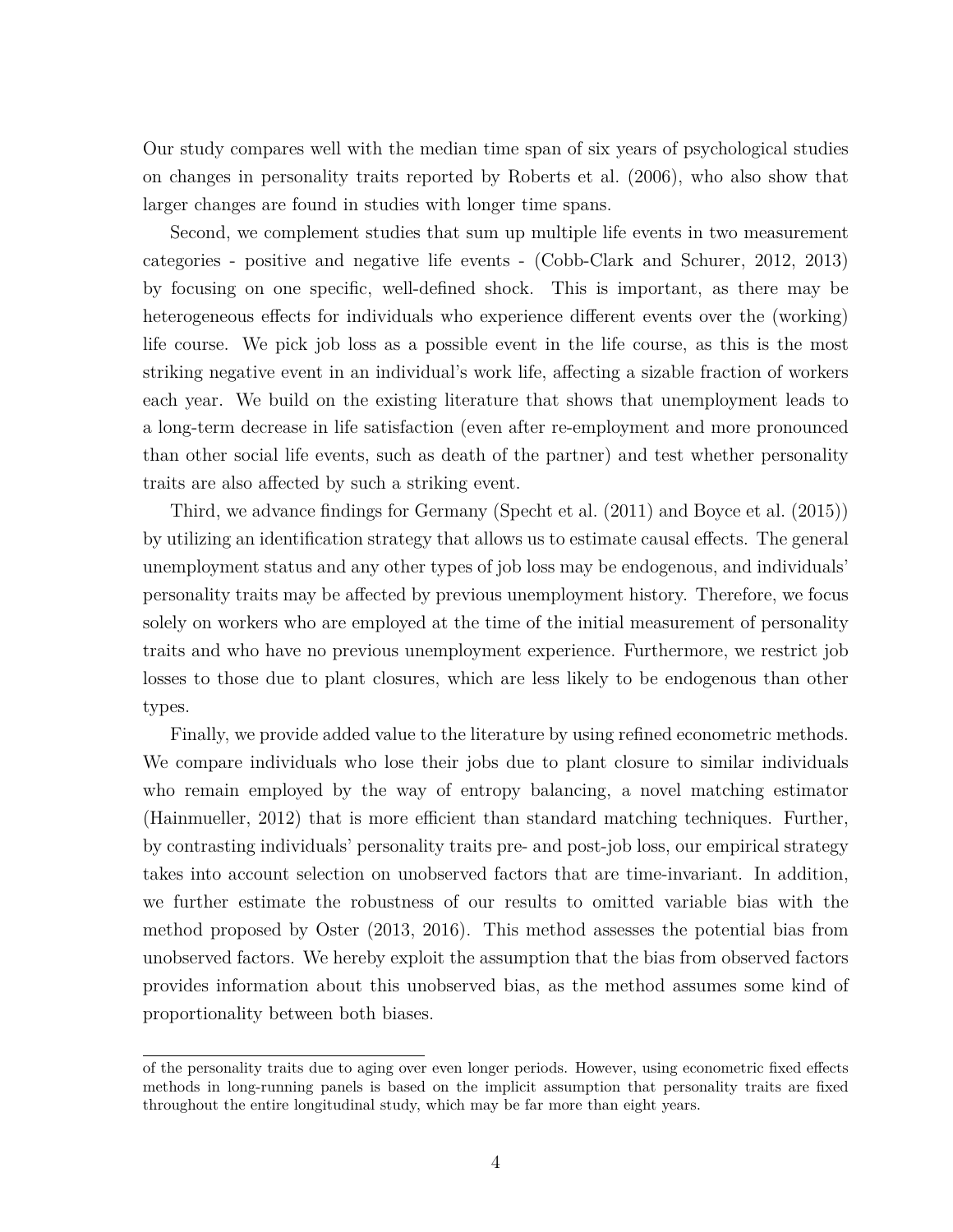Our study compares well with the median time span of six years of psychological studies on changes in personality traits reported by Roberts et al. (2006), who also show that larger changes are found in studies with longer time spans.

Second, we complement studies that sum up multiple life events in two measurement categories - positive and negative life events - (Cobb-Clark and Schurer, 2012, 2013) by focusing on one specific, well-defined shock. This is important, as there may be heterogeneous effects for individuals who experience different events over the (working) life course. We pick job loss as a possible event in the life course, as this is the most striking negative event in an individual's work life, affecting a sizable fraction of workers each year. We build on the existing literature that shows that unemployment leads to a long-term decrease in life satisfaction (even after re-employment and more pronounced than other social life events, such as death of the partner) and test whether personality traits are also affected by such a striking event.

Third, we advance findings for Germany (Specht et al. (2011) and Boyce et al. (2015)) by utilizing an identification strategy that allows us to estimate causal effects. The general unemployment status and any other types of job loss may be endogenous, and individuals' personality traits may be affected by previous unemployment history. Therefore, we focus solely on workers who are employed at the time of the initial measurement of personality traits and who have no previous unemployment experience. Furthermore, we restrict job losses to those due to plant closures, which are less likely to be endogenous than other types.

Finally, we provide added value to the literature by using refined econometric methods. We compare individuals who lose their jobs due to plant closure to similar individuals who remain employed by the way of entropy balancing, a novel matching estimator (Hainmueller, 2012) that is more efficient than standard matching techniques. Further, by contrasting individuals' personality traits pre- and post-job loss, our empirical strategy takes into account selection on unobserved factors that are time-invariant. In addition, we further estimate the robustness of our results to omitted variable bias with the method proposed by Oster (2013, 2016). This method assesses the potential bias from unobserved factors. We hereby exploit the assumption that the bias from observed factors provides information about this unobserved bias, as the method assumes some kind of proportionality between both biases.

of the personality traits due to aging over even longer periods. However, using econometric fixed effects methods in long-running panels is based on the implicit assumption that personality traits are fixed throughout the entire longitudinal study, which may be far more than eight years.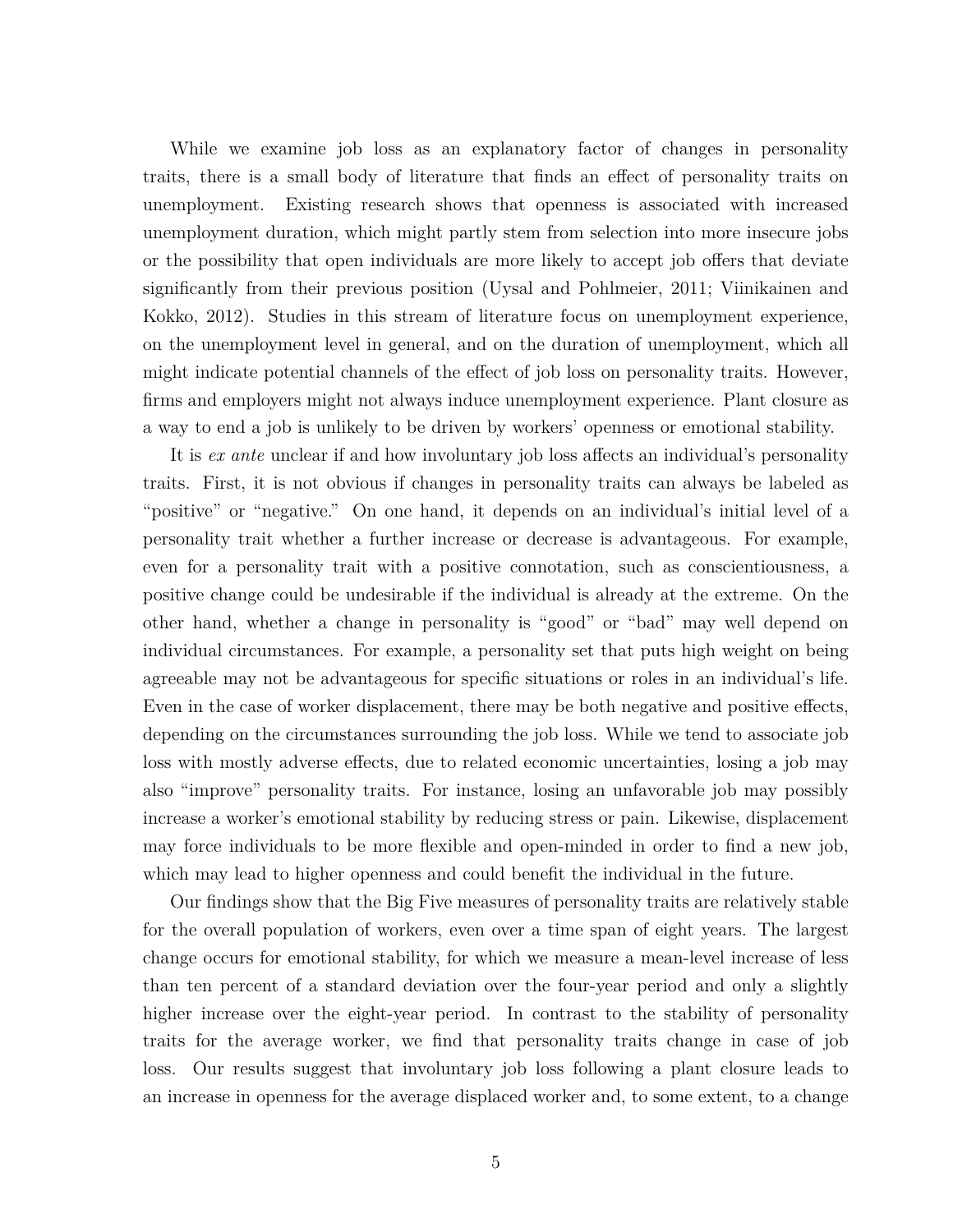While we examine job loss as an explanatory factor of changes in personality traits, there is a small body of literature that finds an effect of personality traits on unemployment. Existing research shows that openness is associated with increased unemployment duration, which might partly stem from selection into more insecure jobs or the possibility that open individuals are more likely to accept job offers that deviate significantly from their previous position (Uysal and Pohlmeier, 2011; Viinikainen and Kokko, 2012). Studies in this stream of literature focus on unemployment experience, on the unemployment level in general, and on the duration of unemployment, which all might indicate potential channels of the effect of job loss on personality traits. However, firms and employers might not always induce unemployment experience. Plant closure as a way to end a job is unlikely to be driven by workers' openness or emotional stability.

It is *ex ante* unclear if and how involuntary job loss affects an individual's personality traits. First, it is not obvious if changes in personality traits can always be labeled as "positive" or "negative." On one hand, it depends on an individual's initial level of a personality trait whether a further increase or decrease is advantageous. For example, even for a personality trait with a positive connotation, such as conscientiousness, a positive change could be undesirable if the individual is already at the extreme. On the other hand, whether a change in personality is "good" or "bad" may well depend on individual circumstances. For example, a personality set that puts high weight on being agreeable may not be advantageous for specific situations or roles in an individual's life. Even in the case of worker displacement, there may be both negative and positive effects, depending on the circumstances surrounding the job loss. While we tend to associate job loss with mostly adverse effects, due to related economic uncertainties, losing a job may also "improve" personality traits. For instance, losing an unfavorable job may possibly increase a worker's emotional stability by reducing stress or pain. Likewise, displacement may force individuals to be more flexible and open-minded in order to find a new job, which may lead to higher openness and could benefit the individual in the future.

Our findings show that the Big Five measures of personality traits are relatively stable for the overall population of workers, even over a time span of eight years. The largest change occurs for emotional stability, for which we measure a mean-level increase of less than ten percent of a standard deviation over the four-year period and only a slightly higher increase over the eight-year period. In contrast to the stability of personality traits for the average worker, we find that personality traits change in case of job loss. Our results suggest that involuntary job loss following a plant closure leads to an increase in openness for the average displaced worker and, to some extent, to a change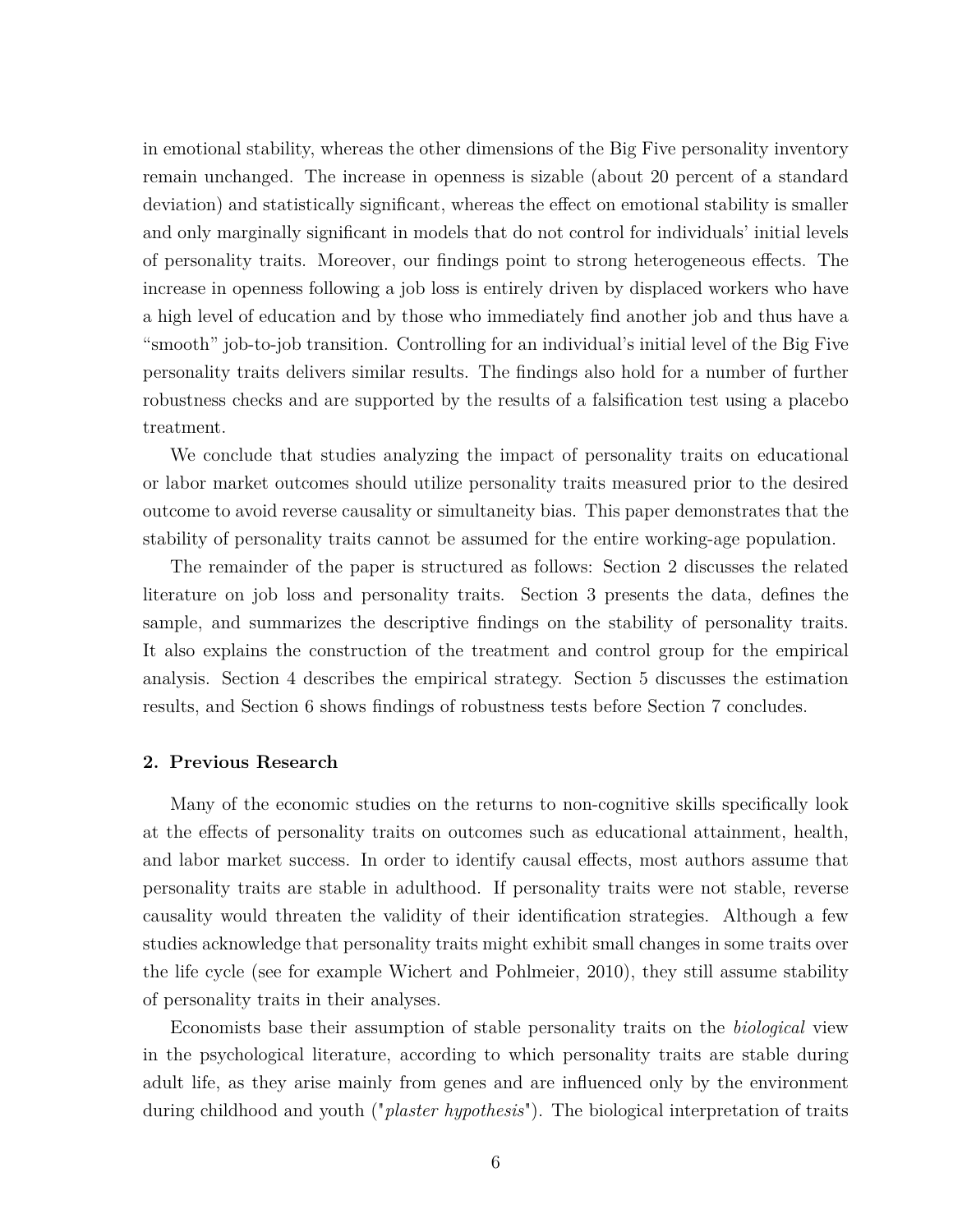in emotional stability, whereas the other dimensions of the Big Five personality inventory remain unchanged. The increase in openness is sizable (about 20 percent of a standard deviation) and statistically significant, whereas the effect on emotional stability is smaller and only marginally significant in models that do not control for individuals' initial levels of personality traits. Moreover, our findings point to strong heterogeneous effects. The increase in openness following a job loss is entirely driven by displaced workers who have a high level of education and by those who immediately find another job and thus have a "smooth" job-to-job transition. Controlling for an individual's initial level of the Big Five personality traits delivers similar results. The findings also hold for a number of further robustness checks and are supported by the results of a falsification test using a placebo treatment.

We conclude that studies analyzing the impact of personality traits on educational or labor market outcomes should utilize personality traits measured prior to the desired outcome to avoid reverse causality or simultaneity bias. This paper demonstrates that the stability of personality traits cannot be assumed for the entire working-age population.

The remainder of the paper is structured as follows: Section 2 discusses the related literature on job loss and personality traits. Section 3 presents the data, defines the sample, and summarizes the descriptive findings on the stability of personality traits. It also explains the construction of the treatment and control group for the empirical analysis. Section 4 describes the empirical strategy. Section 5 discusses the estimation results, and Section 6 shows findings of robustness tests before Section 7 concludes.

#### **2. Previous Research**

Many of the economic studies on the returns to non-cognitive skills specifically look at the effects of personality traits on outcomes such as educational attainment, health, and labor market success. In order to identify causal effects, most authors assume that personality traits are stable in adulthood. If personality traits were not stable, reverse causality would threaten the validity of their identification strategies. Although a few studies acknowledge that personality traits might exhibit small changes in some traits over the life cycle (see for example Wichert and Pohlmeier, 2010), they still assume stability of personality traits in their analyses.

Economists base their assumption of stable personality traits on the *biological* view in the psychological literature, according to which personality traits are stable during adult life, as they arise mainly from genes and are influenced only by the environment during childhood and youth ("*plaster hypothesis*"). The biological interpretation of traits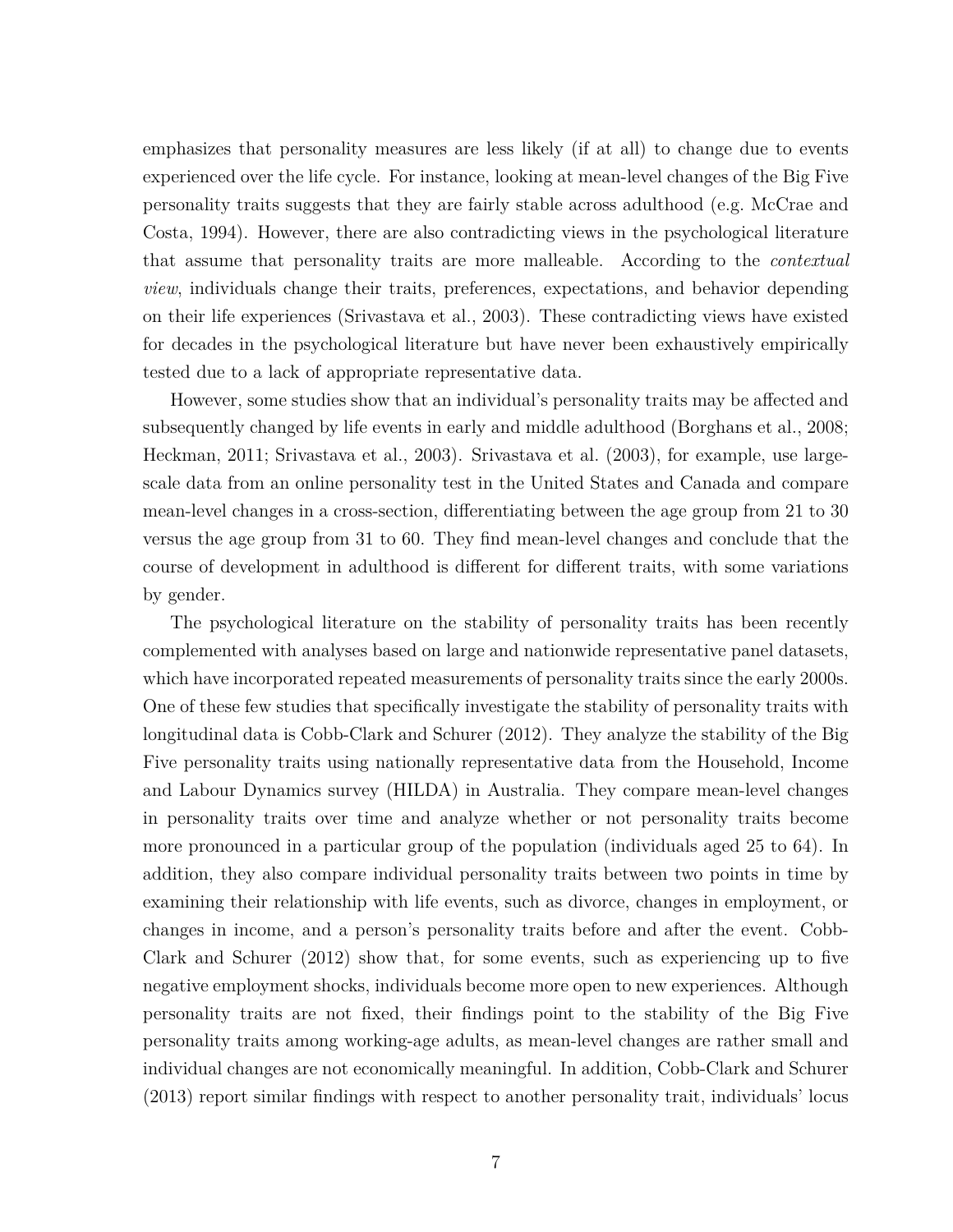emphasizes that personality measures are less likely (if at all) to change due to events experienced over the life cycle. For instance, looking at mean-level changes of the Big Five personality traits suggests that they are fairly stable across adulthood (e.g. McCrae and Costa, 1994). However, there are also contradicting views in the psychological literature that assume that personality traits are more malleable. According to the *contextual view*, individuals change their traits, preferences, expectations, and behavior depending on their life experiences (Srivastava et al., 2003). These contradicting views have existed for decades in the psychological literature but have never been exhaustively empirically tested due to a lack of appropriate representative data.

However, some studies show that an individual's personality traits may be affected and subsequently changed by life events in early and middle adulthood (Borghans et al., 2008; Heckman, 2011; Srivastava et al., 2003). Srivastava et al. (2003), for example, use largescale data from an online personality test in the United States and Canada and compare mean-level changes in a cross-section, differentiating between the age group from 21 to 30 versus the age group from 31 to 60. They find mean-level changes and conclude that the course of development in adulthood is different for different traits, with some variations by gender.

The psychological literature on the stability of personality traits has been recently complemented with analyses based on large and nationwide representative panel datasets, which have incorporated repeated measurements of personality traits since the early 2000s. One of these few studies that specifically investigate the stability of personality traits with longitudinal data is Cobb-Clark and Schurer (2012). They analyze the stability of the Big Five personality traits using nationally representative data from the Household, Income and Labour Dynamics survey (HILDA) in Australia. They compare mean-level changes in personality traits over time and analyze whether or not personality traits become more pronounced in a particular group of the population (individuals aged 25 to 64). In addition, they also compare individual personality traits between two points in time by examining their relationship with life events, such as divorce, changes in employment, or changes in income, and a person's personality traits before and after the event. Cobb-Clark and Schurer (2012) show that, for some events, such as experiencing up to five negative employment shocks, individuals become more open to new experiences. Although personality traits are not fixed, their findings point to the stability of the Big Five personality traits among working-age adults, as mean-level changes are rather small and individual changes are not economically meaningful. In addition, Cobb-Clark and Schurer (2013) report similar findings with respect to another personality trait, individuals' locus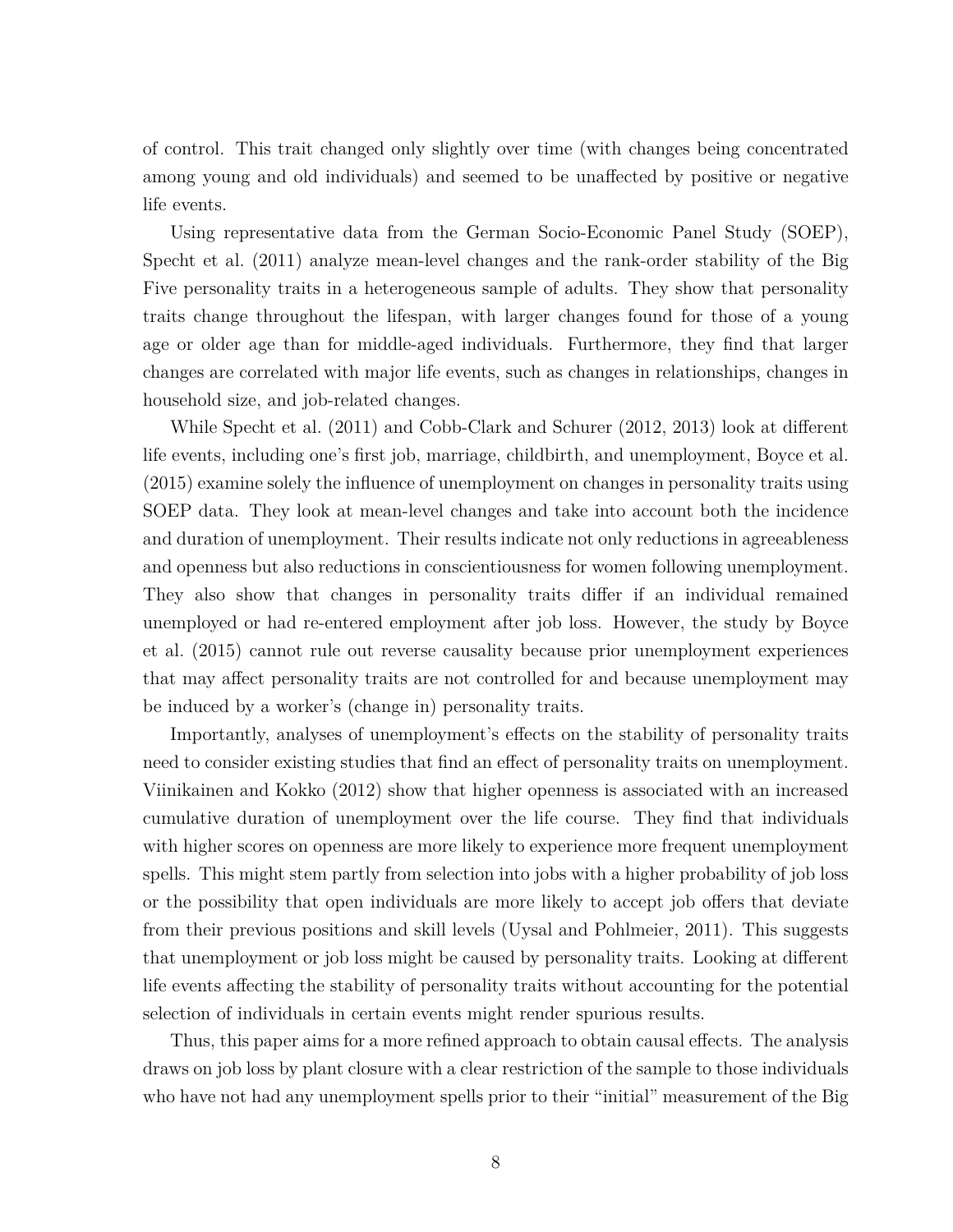of control. This trait changed only slightly over time (with changes being concentrated among young and old individuals) and seemed to be unaffected by positive or negative life events.

Using representative data from the German Socio-Economic Panel Study (SOEP), Specht et al. (2011) analyze mean-level changes and the rank-order stability of the Big Five personality traits in a heterogeneous sample of adults. They show that personality traits change throughout the lifespan, with larger changes found for those of a young age or older age than for middle-aged individuals. Furthermore, they find that larger changes are correlated with major life events, such as changes in relationships, changes in household size, and job-related changes.

While Specht et al. (2011) and Cobb-Clark and Schurer (2012, 2013) look at different life events, including one's first job, marriage, childbirth, and unemployment, Boyce et al. (2015) examine solely the influence of unemployment on changes in personality traits using SOEP data. They look at mean-level changes and take into account both the incidence and duration of unemployment. Their results indicate not only reductions in agreeableness and openness but also reductions in conscientiousness for women following unemployment. They also show that changes in personality traits differ if an individual remained unemployed or had re-entered employment after job loss. However, the study by Boyce et al. (2015) cannot rule out reverse causality because prior unemployment experiences that may affect personality traits are not controlled for and because unemployment may be induced by a worker's (change in) personality traits.

Importantly, analyses of unemployment's effects on the stability of personality traits need to consider existing studies that find an effect of personality traits on unemployment. Viinikainen and Kokko (2012) show that higher openness is associated with an increased cumulative duration of unemployment over the life course. They find that individuals with higher scores on openness are more likely to experience more frequent unemployment spells. This might stem partly from selection into jobs with a higher probability of job loss or the possibility that open individuals are more likely to accept job offers that deviate from their previous positions and skill levels (Uysal and Pohlmeier, 2011). This suggests that unemployment or job loss might be caused by personality traits. Looking at different life events affecting the stability of personality traits without accounting for the potential selection of individuals in certain events might render spurious results.

Thus, this paper aims for a more refined approach to obtain causal effects. The analysis draws on job loss by plant closure with a clear restriction of the sample to those individuals who have not had any unemployment spells prior to their "initial" measurement of the Big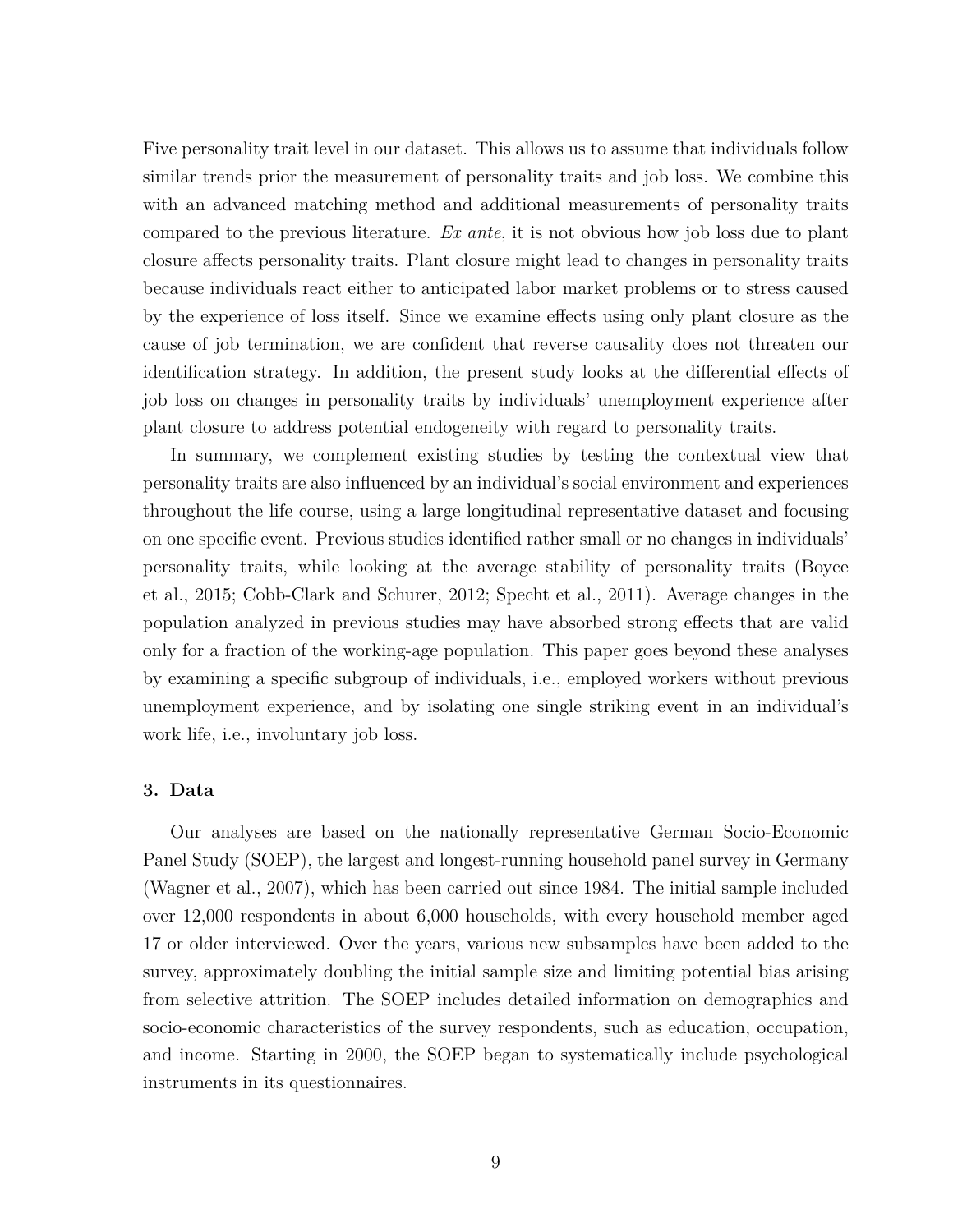Five personality trait level in our dataset. This allows us to assume that individuals follow similar trends prior the measurement of personality traits and job loss. We combine this with an advanced matching method and additional measurements of personality traits compared to the previous literature. *Ex ante*, it is not obvious how job loss due to plant closure affects personality traits. Plant closure might lead to changes in personality traits because individuals react either to anticipated labor market problems or to stress caused by the experience of loss itself. Since we examine effects using only plant closure as the cause of job termination, we are confident that reverse causality does not threaten our identification strategy. In addition, the present study looks at the differential effects of job loss on changes in personality traits by individuals' unemployment experience after plant closure to address potential endogeneity with regard to personality traits.

In summary, we complement existing studies by testing the contextual view that personality traits are also influenced by an individual's social environment and experiences throughout the life course, using a large longitudinal representative dataset and focusing on one specific event. Previous studies identified rather small or no changes in individuals' personality traits, while looking at the average stability of personality traits (Boyce et al., 2015; Cobb-Clark and Schurer, 2012; Specht et al., 2011). Average changes in the population analyzed in previous studies may have absorbed strong effects that are valid only for a fraction of the working-age population. This paper goes beyond these analyses by examining a specific subgroup of individuals, i.e., employed workers without previous unemployment experience, and by isolating one single striking event in an individual's work life, i.e., involuntary job loss.

#### **3. Data**

Our analyses are based on the nationally representative German Socio-Economic Panel Study (SOEP), the largest and longest-running household panel survey in Germany (Wagner et al., 2007), which has been carried out since 1984. The initial sample included over 12,000 respondents in about 6,000 households, with every household member aged 17 or older interviewed. Over the years, various new subsamples have been added to the survey, approximately doubling the initial sample size and limiting potential bias arising from selective attrition. The SOEP includes detailed information on demographics and socio-economic characteristics of the survey respondents, such as education, occupation, and income. Starting in 2000, the SOEP began to systematically include psychological instruments in its questionnaires.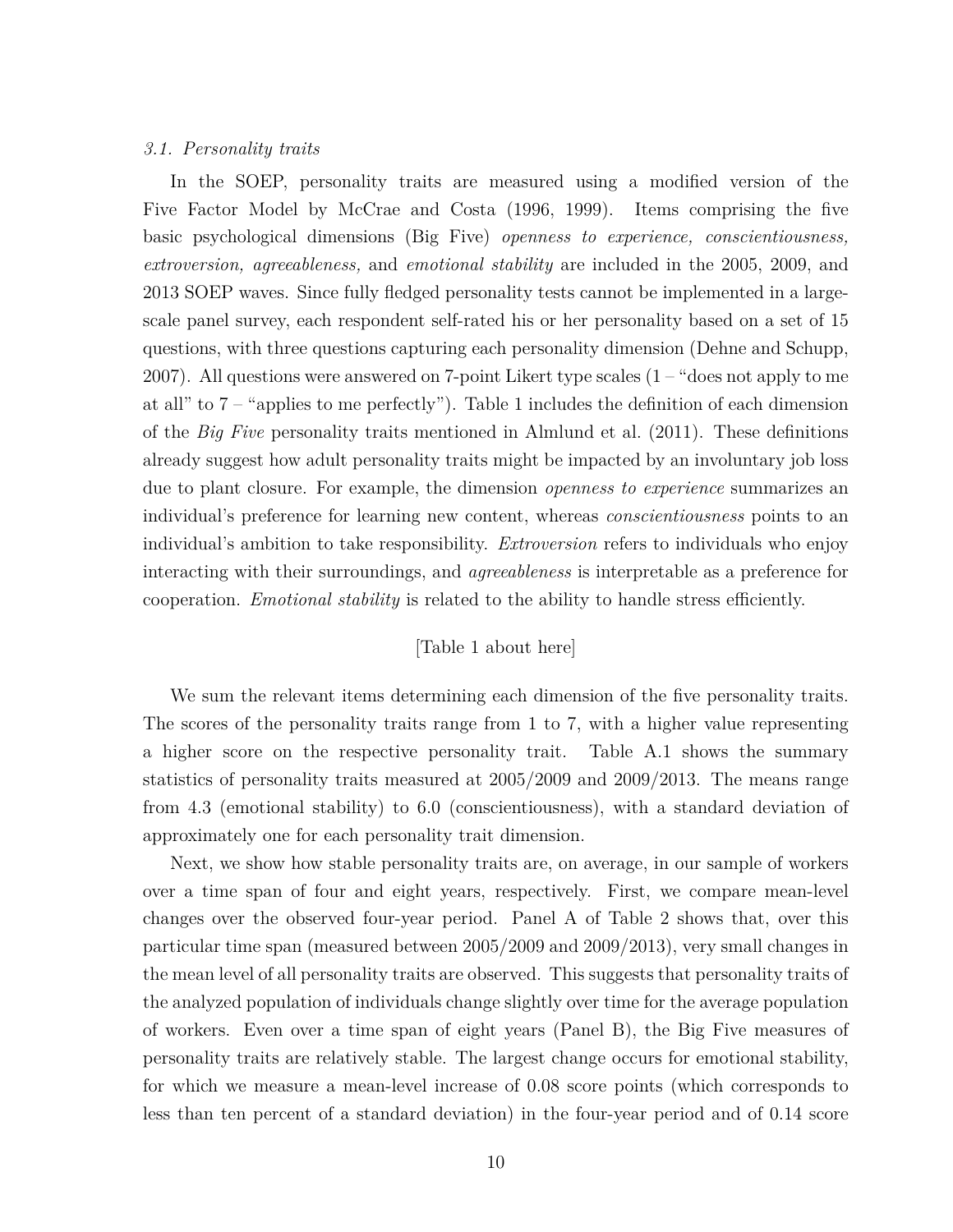#### *3.1. Personality traits*

In the SOEP, personality traits are measured using a modified version of the Five Factor Model by McCrae and Costa (1996, 1999). Items comprising the five basic psychological dimensions (Big Five) *openness to experience, conscientiousness, extroversion, agreeableness,* and *emotional stability* are included in the 2005, 2009, and 2013 SOEP waves. Since fully fledged personality tests cannot be implemented in a largescale panel survey, each respondent self-rated his or her personality based on a set of 15 questions, with three questions capturing each personality dimension (Dehne and Schupp, 2007). All questions were answered on 7-point Likert type scales (1 – "does not apply to me at all" to 7 – "applies to me perfectly"). Table 1 includes the definition of each dimension of the *Big Five* personality traits mentioned in Almlund et al. (2011). These definitions already suggest how adult personality traits might be impacted by an involuntary job loss due to plant closure. For example, the dimension *openness to experience* summarizes an individual's preference for learning new content, whereas *conscientiousness* points to an individual's ambition to take responsibility. *Extroversion* refers to individuals who enjoy interacting with their surroundings, and *agreeableness* is interpretable as a preference for cooperation. *Emotional stability* is related to the ability to handle stress efficiently.

#### [Table 1 about here]

We sum the relevant items determining each dimension of the five personality traits. The scores of the personality traits range from 1 to 7, with a higher value representing a higher score on the respective personality trait. Table A.1 shows the summary statistics of personality traits measured at 2005/2009 and 2009/2013. The means range from 4.3 (emotional stability) to 6.0 (conscientiousness), with a standard deviation of approximately one for each personality trait dimension.

Next, we show how stable personality traits are, on average, in our sample of workers over a time span of four and eight years, respectively. First, we compare mean-level changes over the observed four-year period. Panel A of Table 2 shows that, over this particular time span (measured between 2005/2009 and 2009/2013), very small changes in the mean level of all personality traits are observed. This suggests that personality traits of the analyzed population of individuals change slightly over time for the average population of workers. Even over a time span of eight years (Panel B), the Big Five measures of personality traits are relatively stable. The largest change occurs for emotional stability, for which we measure a mean-level increase of 0.08 score points (which corresponds to less than ten percent of a standard deviation) in the four-year period and of 0.14 score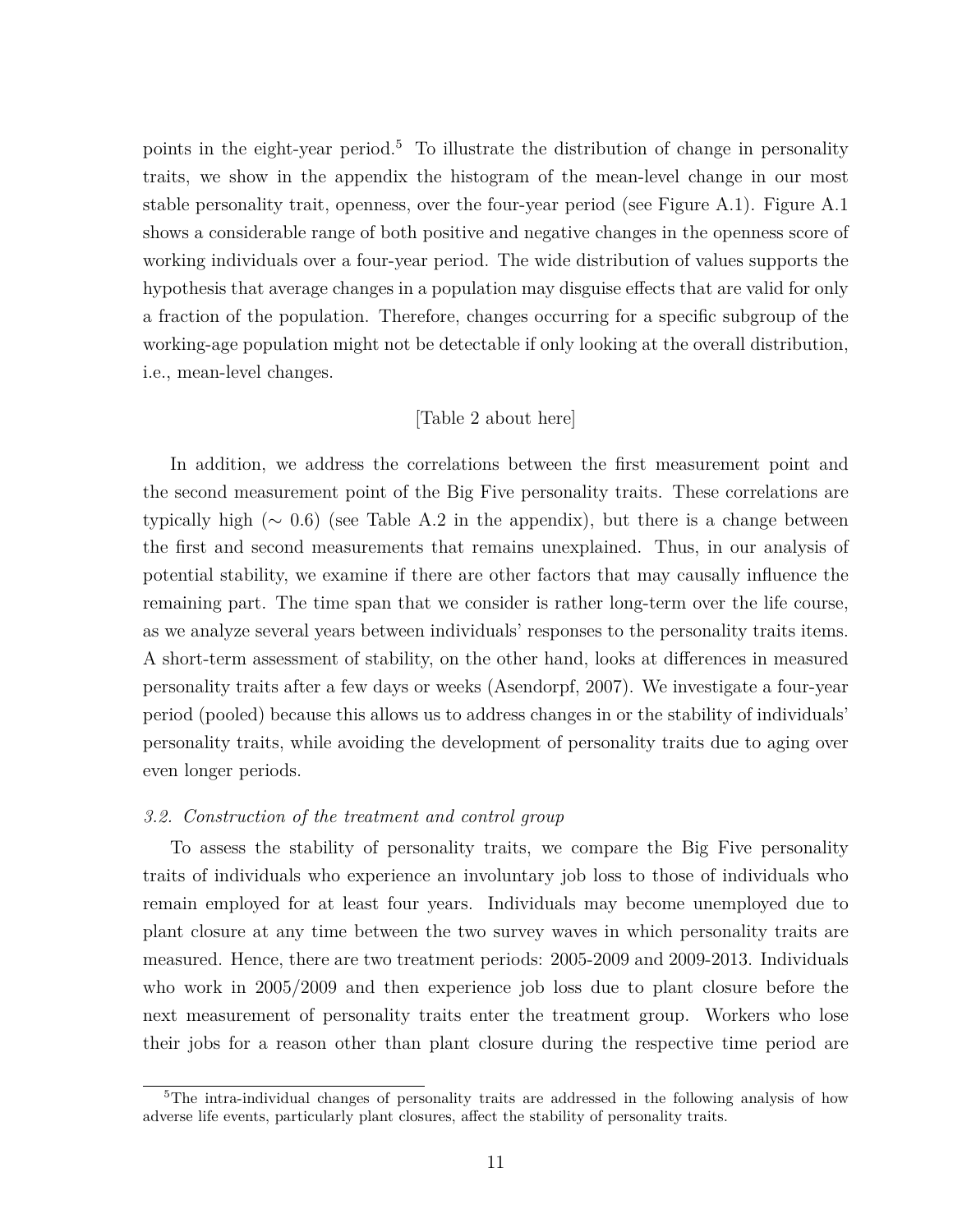points in the eight-year period.<sup>5</sup> To illustrate the distribution of change in personality traits, we show in the appendix the histogram of the mean-level change in our most stable personality trait, openness, over the four-year period (see Figure A.1). Figure A.1 shows a considerable range of both positive and negative changes in the openness score of working individuals over a four-year period. The wide distribution of values supports the hypothesis that average changes in a population may disguise effects that are valid for only a fraction of the population. Therefore, changes occurring for a specific subgroup of the working-age population might not be detectable if only looking at the overall distribution, i.e., mean-level changes.

#### [Table 2 about here]

In addition, we address the correlations between the first measurement point and the second measurement point of the Big Five personality traits. These correlations are typically high (∼ 0*.*6) (see Table A.2 in the appendix), but there is a change between the first and second measurements that remains unexplained. Thus, in our analysis of potential stability, we examine if there are other factors that may causally influence the remaining part. The time span that we consider is rather long-term over the life course, as we analyze several years between individuals' responses to the personality traits items. A short-term assessment of stability, on the other hand, looks at differences in measured personality traits after a few days or weeks (Asendorpf, 2007). We investigate a four-year period (pooled) because this allows us to address changes in or the stability of individuals' personality traits, while avoiding the development of personality traits due to aging over even longer periods.

#### *3.2. Construction of the treatment and control group*

To assess the stability of personality traits, we compare the Big Five personality traits of individuals who experience an involuntary job loss to those of individuals who remain employed for at least four years. Individuals may become unemployed due to plant closure at any time between the two survey waves in which personality traits are measured. Hence, there are two treatment periods: 2005-2009 and 2009-2013. Individuals who work in 2005/2009 and then experience job loss due to plant closure before the next measurement of personality traits enter the treatment group. Workers who lose their jobs for a reason other than plant closure during the respective time period are

<sup>&</sup>lt;sup>5</sup>The intra-individual changes of personality traits are addressed in the following analysis of how adverse life events, particularly plant closures, affect the stability of personality traits.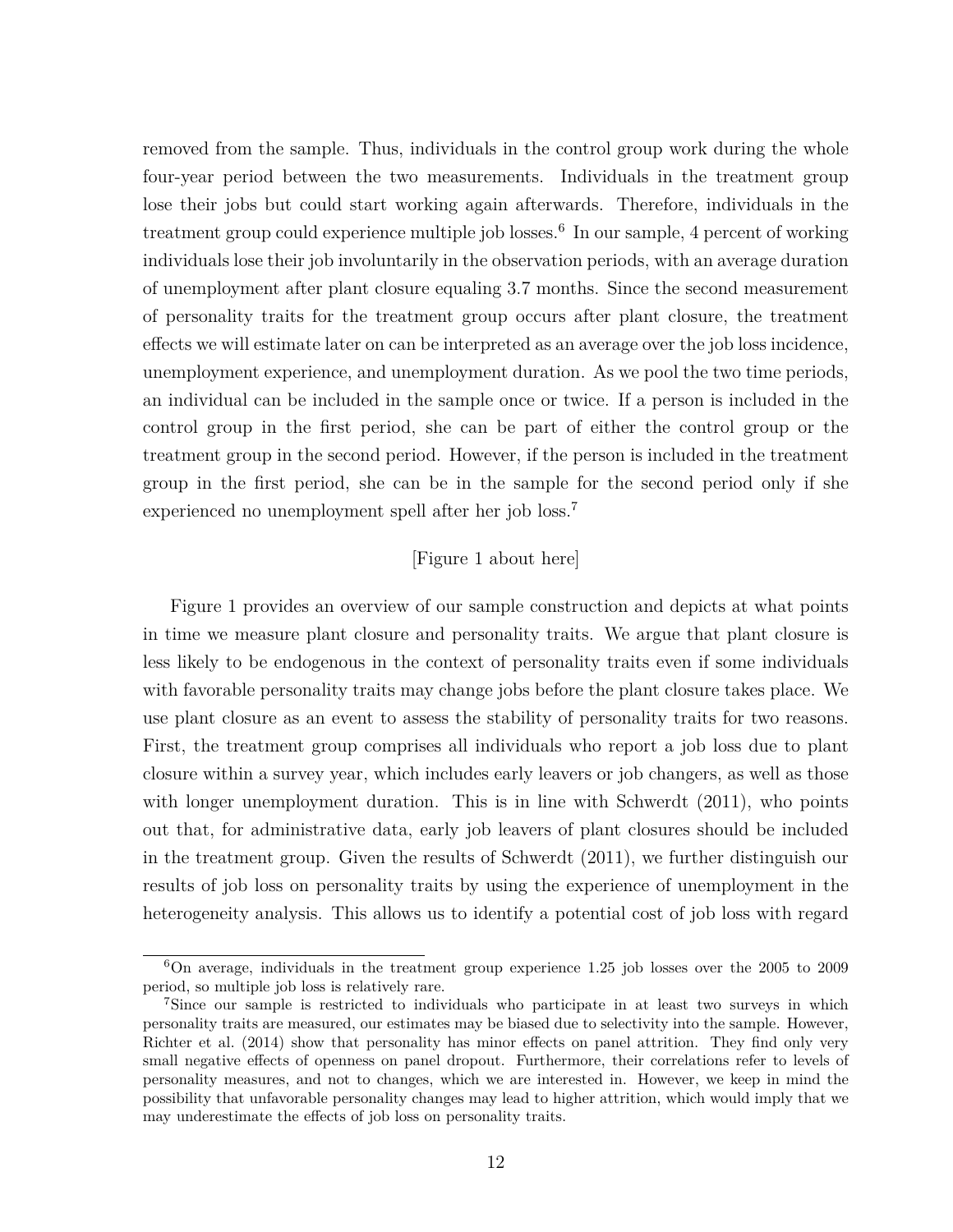removed from the sample. Thus, individuals in the control group work during the whole four-year period between the two measurements. Individuals in the treatment group lose their jobs but could start working again afterwards. Therefore, individuals in the treatment group could experience multiple job losses.<sup>6</sup> In our sample, 4 percent of working individuals lose their job involuntarily in the observation periods, with an average duration of unemployment after plant closure equaling 3.7 months. Since the second measurement of personality traits for the treatment group occurs after plant closure, the treatment effects we will estimate later on can be interpreted as an average over the job loss incidence, unemployment experience, and unemployment duration. As we pool the two time periods, an individual can be included in the sample once or twice. If a person is included in the control group in the first period, she can be part of either the control group or the treatment group in the second period. However, if the person is included in the treatment group in the first period, she can be in the sample for the second period only if she experienced no unemployment spell after her job loss.<sup>7</sup>

#### [Figure 1 about here]

Figure 1 provides an overview of our sample construction and depicts at what points in time we measure plant closure and personality traits. We argue that plant closure is less likely to be endogenous in the context of personality traits even if some individuals with favorable personality traits may change jobs before the plant closure takes place. We use plant closure as an event to assess the stability of personality traits for two reasons. First, the treatment group comprises all individuals who report a job loss due to plant closure within a survey year, which includes early leavers or job changers, as well as those with longer unemployment duration. This is in line with Schwerdt (2011), who points out that, for administrative data, early job leavers of plant closures should be included in the treatment group. Given the results of Schwerdt (2011), we further distinguish our results of job loss on personality traits by using the experience of unemployment in the heterogeneity analysis. This allows us to identify a potential cost of job loss with regard

 $6$ On average, individuals in the treatment group experience 1.25 job losses over the 2005 to 2009 period, so multiple job loss is relatively rare.

<sup>7</sup>Since our sample is restricted to individuals who participate in at least two surveys in which personality traits are measured, our estimates may be biased due to selectivity into the sample. However, Richter et al. (2014) show that personality has minor effects on panel attrition. They find only very small negative effects of openness on panel dropout. Furthermore, their correlations refer to levels of personality measures, and not to changes, which we are interested in. However, we keep in mind the possibility that unfavorable personality changes may lead to higher attrition, which would imply that we may underestimate the effects of job loss on personality traits.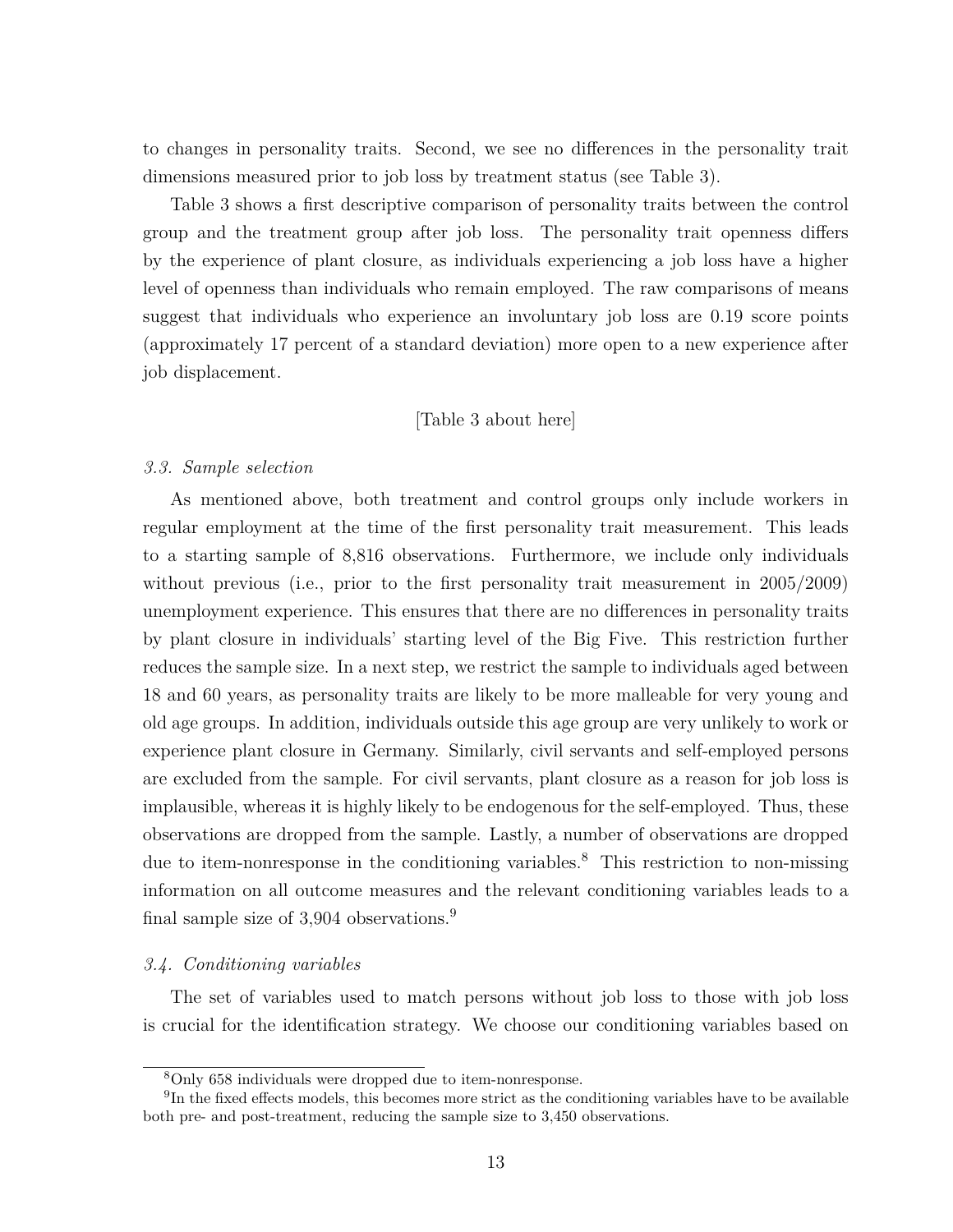to changes in personality traits. Second, we see no differences in the personality trait dimensions measured prior to job loss by treatment status (see Table 3).

Table 3 shows a first descriptive comparison of personality traits between the control group and the treatment group after job loss. The personality trait openness differs by the experience of plant closure, as individuals experiencing a job loss have a higher level of openness than individuals who remain employed. The raw comparisons of means suggest that individuals who experience an involuntary job loss are 0.19 score points (approximately 17 percent of a standard deviation) more open to a new experience after job displacement.

#### [Table 3 about here]

#### *3.3. Sample selection*

As mentioned above, both treatment and control groups only include workers in regular employment at the time of the first personality trait measurement. This leads to a starting sample of 8,816 observations. Furthermore, we include only individuals without previous (i.e., prior to the first personality trait measurement in 2005/2009) unemployment experience. This ensures that there are no differences in personality traits by plant closure in individuals' starting level of the Big Five. This restriction further reduces the sample size. In a next step, we restrict the sample to individuals aged between 18 and 60 years, as personality traits are likely to be more malleable for very young and old age groups. In addition, individuals outside this age group are very unlikely to work or experience plant closure in Germany. Similarly, civil servants and self-employed persons are excluded from the sample. For civil servants, plant closure as a reason for job loss is implausible, whereas it is highly likely to be endogenous for the self-employed. Thus, these observations are dropped from the sample. Lastly, a number of observations are dropped due to item-nonresponse in the conditioning variables.<sup>8</sup> This restriction to non-missing information on all outcome measures and the relevant conditioning variables leads to a final sample size of 3,904 observations.<sup>9</sup>

#### *3.4. Conditioning variables*

The set of variables used to match persons without job loss to those with job loss is crucial for the identification strategy. We choose our conditioning variables based on

<sup>8</sup>Only 658 individuals were dropped due to item-nonresponse.

<sup>&</sup>lt;sup>9</sup>In the fixed effects models, this becomes more strict as the conditioning variables have to be available both pre- and post-treatment, reducing the sample size to 3,450 observations.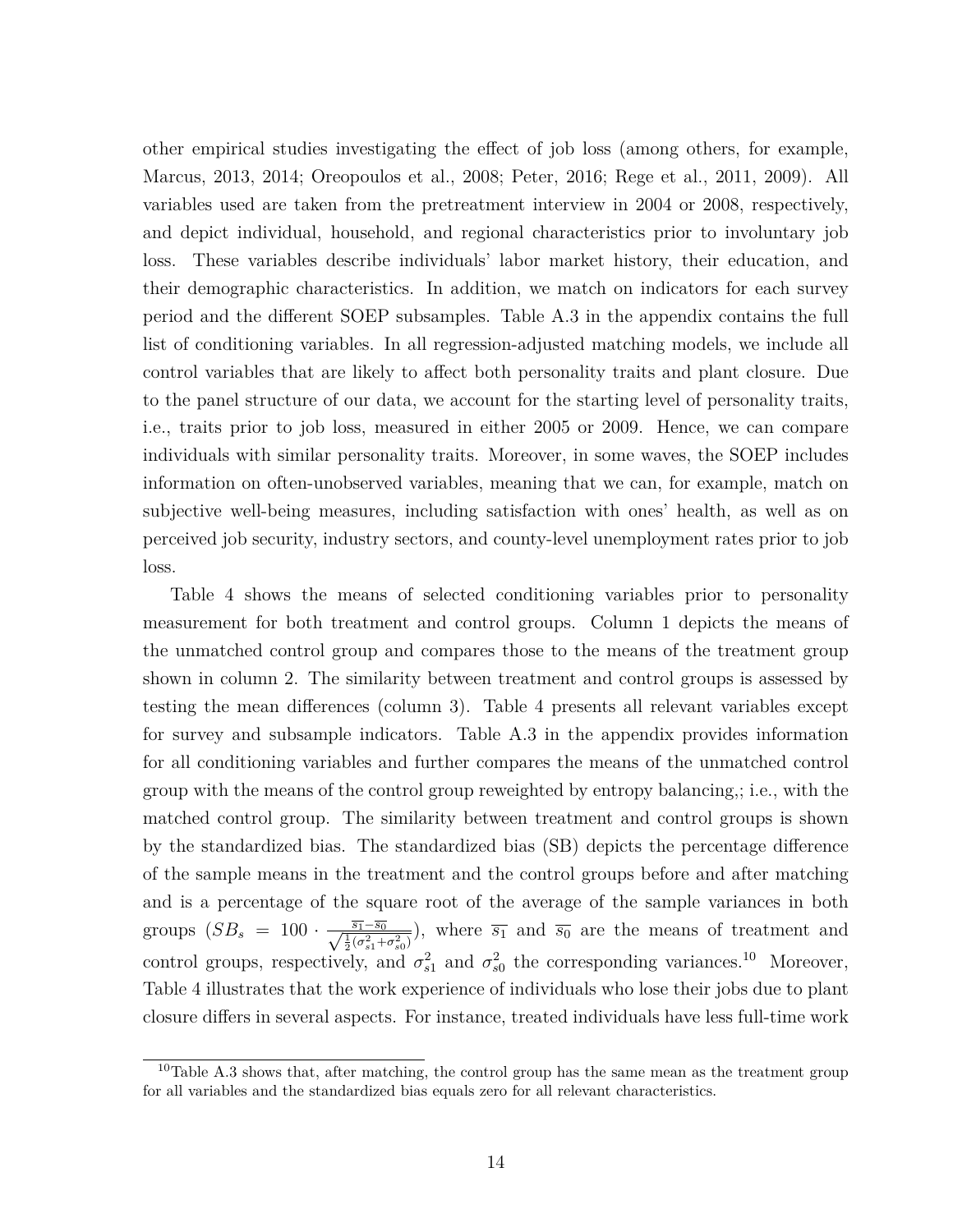other empirical studies investigating the effect of job loss (among others, for example, Marcus, 2013, 2014; Oreopoulos et al., 2008; Peter, 2016; Rege et al., 2011, 2009). All variables used are taken from the pretreatment interview in 2004 or 2008, respectively, and depict individual, household, and regional characteristics prior to involuntary job loss. These variables describe individuals' labor market history, their education, and their demographic characteristics. In addition, we match on indicators for each survey period and the different SOEP subsamples. Table A.3 in the appendix contains the full list of conditioning variables. In all regression-adjusted matching models, we include all control variables that are likely to affect both personality traits and plant closure. Due to the panel structure of our data, we account for the starting level of personality traits, i.e., traits prior to job loss, measured in either 2005 or 2009. Hence, we can compare individuals with similar personality traits. Moreover, in some waves, the SOEP includes information on often-unobserved variables, meaning that we can, for example, match on subjective well-being measures, including satisfaction with ones' health, as well as on perceived job security, industry sectors, and county-level unemployment rates prior to job loss.

Table 4 shows the means of selected conditioning variables prior to personality measurement for both treatment and control groups. Column 1 depicts the means of the unmatched control group and compares those to the means of the treatment group shown in column 2. The similarity between treatment and control groups is assessed by testing the mean differences (column 3). Table 4 presents all relevant variables except for survey and subsample indicators. Table A.3 in the appendix provides information for all conditioning variables and further compares the means of the unmatched control group with the means of the control group reweighted by entropy balancing,; i.e., with the matched control group. The similarity between treatment and control groups is shown by the standardized bias. The standardized bias (SB) depicts the percentage difference of the sample means in the treatment and the control groups before and after matching and is a percentage of the square root of the average of the sample variances in both groups  $(SB_s = 100 \cdot \frac{\overline{s_1} - \overline{s_0}}{\sqrt{\frac{1}{2}(\sigma_{s_1}^2 + \sigma_{s_0}^2)}}$ , where  $\overline{s_1}$  and  $\overline{s_0}$  are the means of treatment and control groups, respectively, and  $\sigma_{s_1}^2$  and  $\sigma_{s_0}^2$  the corresponding variances.<sup>10</sup> Moreover, Table 4 illustrates that the work experience of individuals who lose their jobs due to plant closure differs in several aspects. For instance, treated individuals have less full-time work

<sup>&</sup>lt;sup>10</sup>Table A.3 shows that, after matching, the control group has the same mean as the treatment group for all variables and the standardized bias equals zero for all relevant characteristics.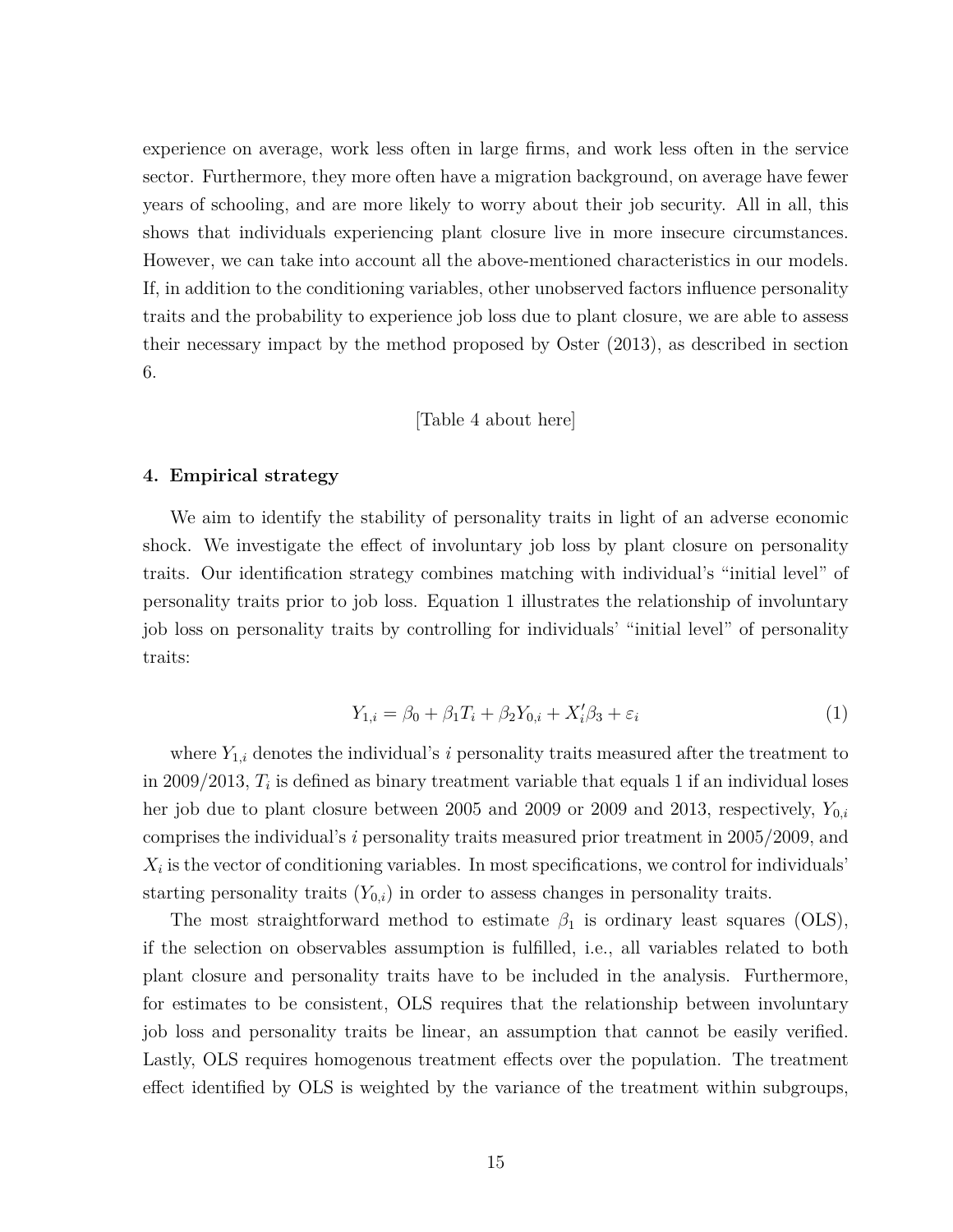experience on average, work less often in large firms, and work less often in the service sector. Furthermore, they more often have a migration background, on average have fewer years of schooling, and are more likely to worry about their job security. All in all, this shows that individuals experiencing plant closure live in more insecure circumstances. However, we can take into account all the above-mentioned characteristics in our models. If, in addition to the conditioning variables, other unobserved factors influence personality traits and the probability to experience job loss due to plant closure, we are able to assess their necessary impact by the method proposed by Oster (2013), as described in section 6.

#### [Table 4 about here]

#### **4. Empirical strategy**

We aim to identify the stability of personality traits in light of an adverse economic shock. We investigate the effect of involuntary job loss by plant closure on personality traits. Our identification strategy combines matching with individual's "initial level" of personality traits prior to job loss. Equation 1 illustrates the relationship of involuntary job loss on personality traits by controlling for individuals' "initial level" of personality traits:

$$
Y_{1,i} = \beta_0 + \beta_1 T_i + \beta_2 Y_{0,i} + X_i' \beta_3 + \varepsilon_i \tag{1}
$$

where  $Y_{1,i}$  denotes the individual's *i* personality traits measured after the treatment to in 2009/2013, *T<sup>i</sup>* is defined as binary treatment variable that equals 1 if an individual loses her job due to plant closure between 2005 and 2009 or 2009 and 2013, respectively,  $Y_{0,i}$ comprises the individual's *i* personality traits measured prior treatment in 2005/2009, and  $X_i$  is the vector of conditioning variables. In most specifications, we control for individuals' starting personality traits  $(Y_{0,i})$  in order to assess changes in personality traits.

The most straightforward method to estimate  $\beta_1$  is ordinary least squares (OLS), if the selection on observables assumption is fulfilled, i.e., all variables related to both plant closure and personality traits have to be included in the analysis. Furthermore, for estimates to be consistent, OLS requires that the relationship between involuntary job loss and personality traits be linear, an assumption that cannot be easily verified. Lastly, OLS requires homogenous treatment effects over the population. The treatment effect identified by OLS is weighted by the variance of the treatment within subgroups,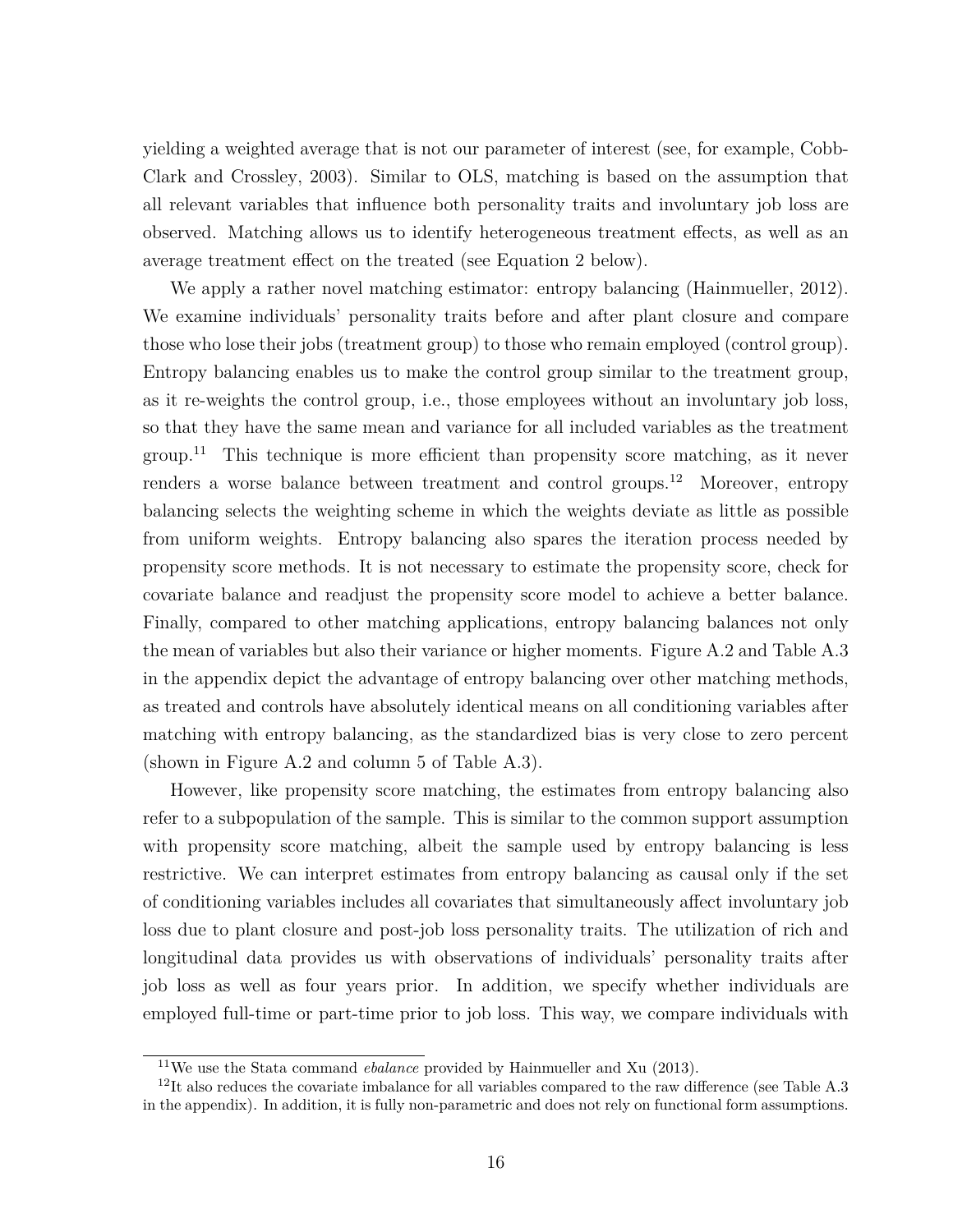yielding a weighted average that is not our parameter of interest (see, for example, Cobb-Clark and Crossley, 2003). Similar to OLS, matching is based on the assumption that all relevant variables that influence both personality traits and involuntary job loss are observed. Matching allows us to identify heterogeneous treatment effects, as well as an average treatment effect on the treated (see Equation 2 below).

We apply a rather novel matching estimator: entropy balancing (Hainmueller, 2012). We examine individuals' personality traits before and after plant closure and compare those who lose their jobs (treatment group) to those who remain employed (control group). Entropy balancing enables us to make the control group similar to the treatment group, as it re-weights the control group, i.e., those employees without an involuntary job loss, so that they have the same mean and variance for all included variables as the treatment group.<sup>11</sup> This technique is more efficient than propensity score matching, as it never renders a worse balance between treatment and control groups.<sup>12</sup> Moreover, entropy balancing selects the weighting scheme in which the weights deviate as little as possible from uniform weights. Entropy balancing also spares the iteration process needed by propensity score methods. It is not necessary to estimate the propensity score, check for covariate balance and readjust the propensity score model to achieve a better balance. Finally, compared to other matching applications, entropy balancing balances not only the mean of variables but also their variance or higher moments. Figure A.2 and Table A.3 in the appendix depict the advantage of entropy balancing over other matching methods, as treated and controls have absolutely identical means on all conditioning variables after matching with entropy balancing, as the standardized bias is very close to zero percent (shown in Figure A.2 and column 5 of Table A.3).

However, like propensity score matching, the estimates from entropy balancing also refer to a subpopulation of the sample. This is similar to the common support assumption with propensity score matching, albeit the sample used by entropy balancing is less restrictive. We can interpret estimates from entropy balancing as causal only if the set of conditioning variables includes all covariates that simultaneously affect involuntary job loss due to plant closure and post-job loss personality traits. The utilization of rich and longitudinal data provides us with observations of individuals' personality traits after job loss as well as four years prior. In addition, we specify whether individuals are employed full-time or part-time prior to job loss. This way, we compare individuals with

<sup>11</sup>We use the Stata command *ebalance* provided by Hainmueller and Xu (2013).

 $12$ It also reduces the covariate imbalance for all variables compared to the raw difference (see Table A.3) in the appendix). In addition, it is fully non-parametric and does not rely on functional form assumptions.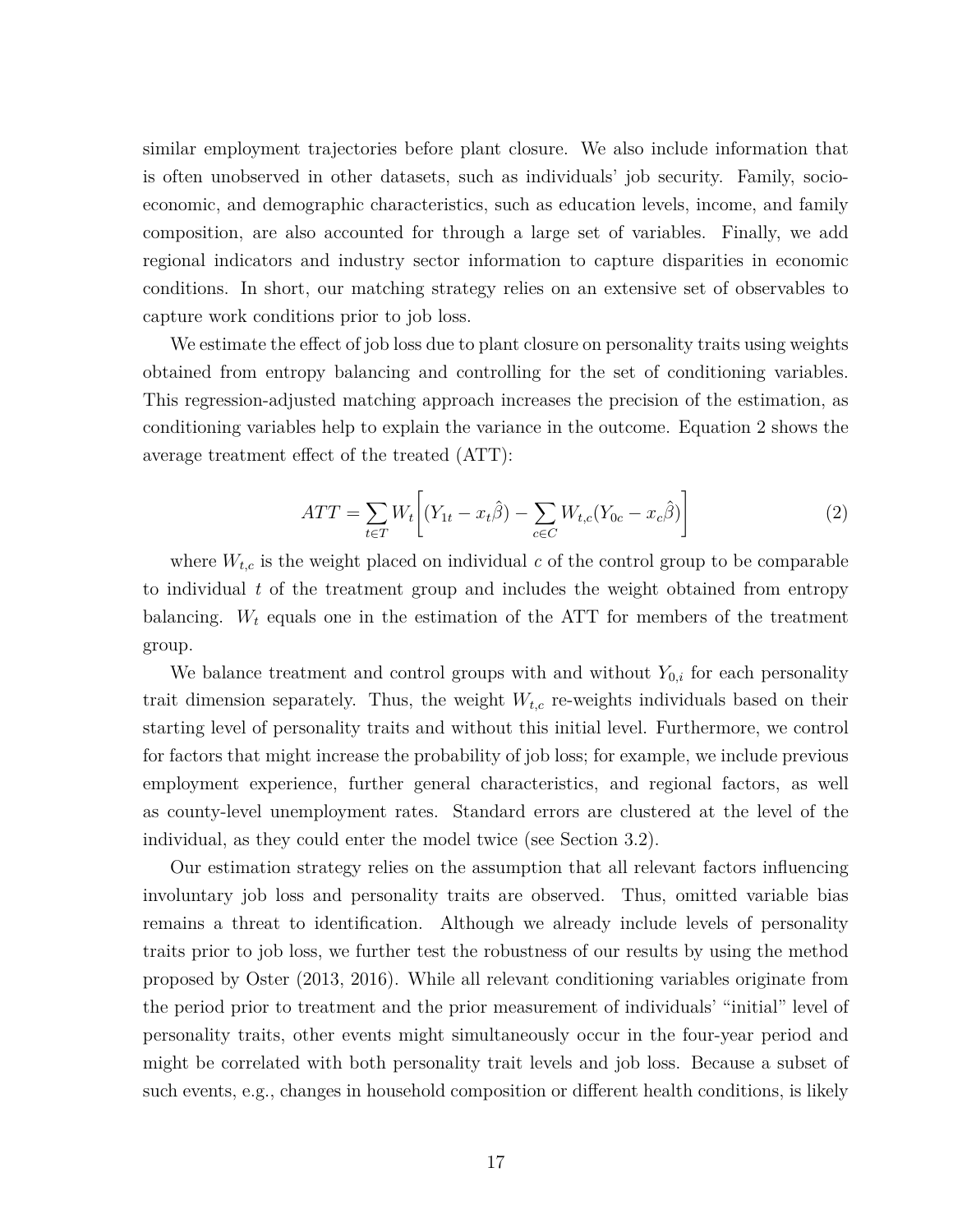similar employment trajectories before plant closure. We also include information that is often unobserved in other datasets, such as individuals' job security. Family, socioeconomic, and demographic characteristics, such as education levels, income, and family composition, are also accounted for through a large set of variables. Finally, we add regional indicators and industry sector information to capture disparities in economic conditions. In short, our matching strategy relies on an extensive set of observables to capture work conditions prior to job loss.

We estimate the effect of job loss due to plant closure on personality traits using weights obtained from entropy balancing and controlling for the set of conditioning variables. This regression-adjusted matching approach increases the precision of the estimation, as conditioning variables help to explain the variance in the outcome. Equation 2 shows the average treatment effect of the treated (ATT):

$$
ATT = \sum_{t \in T} W_t \left[ (Y_{1t} - x_t \hat{\beta}) - \sum_{c \in C} W_{t,c} (Y_{0c} - x_c \hat{\beta}) \right]
$$
 (2)

where  $W_{t,c}$  is the weight placed on individual *c* of the control group to be comparable to individual *t* of the treatment group and includes the weight obtained from entropy balancing.  $W_t$  equals one in the estimation of the ATT for members of the treatment group.

We balance treatment and control groups with and without  $Y_{0,i}$  for each personality trait dimension separately. Thus, the weight  $W_{t,c}$  re-weights individuals based on their starting level of personality traits and without this initial level. Furthermore, we control for factors that might increase the probability of job loss; for example, we include previous employment experience, further general characteristics, and regional factors, as well as county-level unemployment rates. Standard errors are clustered at the level of the individual, as they could enter the model twice (see Section 3.2).

Our estimation strategy relies on the assumption that all relevant factors influencing involuntary job loss and personality traits are observed. Thus, omitted variable bias remains a threat to identification. Although we already include levels of personality traits prior to job loss, we further test the robustness of our results by using the method proposed by Oster (2013, 2016). While all relevant conditioning variables originate from the period prior to treatment and the prior measurement of individuals' "initial" level of personality traits, other events might simultaneously occur in the four-year period and might be correlated with both personality trait levels and job loss. Because a subset of such events, e.g., changes in household composition or different health conditions, is likely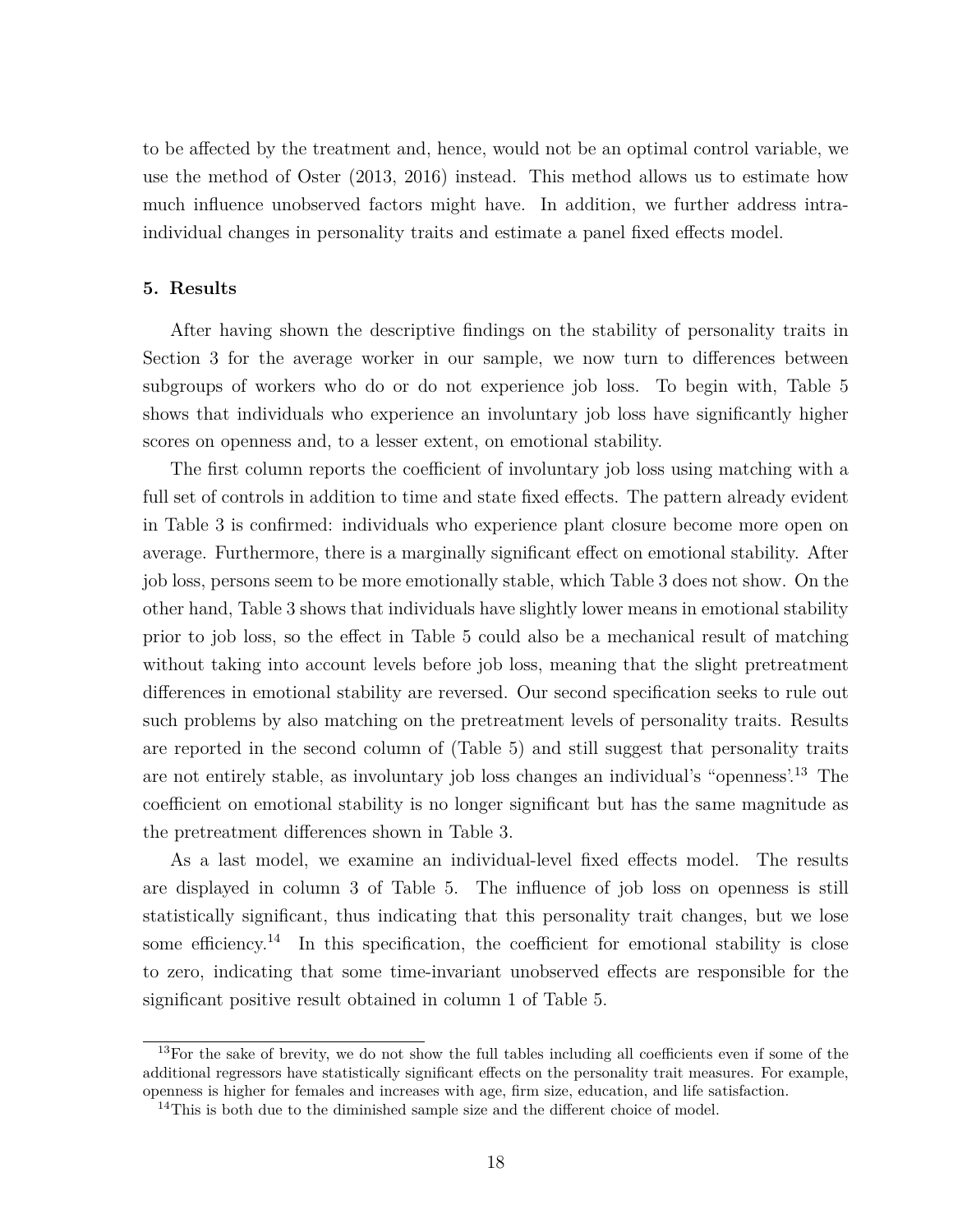to be affected by the treatment and, hence, would not be an optimal control variable, we use the method of Oster (2013, 2016) instead. This method allows us to estimate how much influence unobserved factors might have. In addition, we further address intraindividual changes in personality traits and estimate a panel fixed effects model.

#### **5. Results**

After having shown the descriptive findings on the stability of personality traits in Section 3 for the average worker in our sample, we now turn to differences between subgroups of workers who do or do not experience job loss. To begin with, Table 5 shows that individuals who experience an involuntary job loss have significantly higher scores on openness and, to a lesser extent, on emotional stability.

The first column reports the coefficient of involuntary job loss using matching with a full set of controls in addition to time and state fixed effects. The pattern already evident in Table 3 is confirmed: individuals who experience plant closure become more open on average. Furthermore, there is a marginally significant effect on emotional stability. After job loss, persons seem to be more emotionally stable, which Table 3 does not show. On the other hand, Table 3 shows that individuals have slightly lower means in emotional stability prior to job loss, so the effect in Table 5 could also be a mechanical result of matching without taking into account levels before job loss, meaning that the slight pretreatment differences in emotional stability are reversed. Our second specification seeks to rule out such problems by also matching on the pretreatment levels of personality traits. Results are reported in the second column of (Table 5) and still suggest that personality traits are not entirely stable, as involuntary job loss changes an individual's "openness'.<sup>13</sup> The coefficient on emotional stability is no longer significant but has the same magnitude as the pretreatment differences shown in Table 3.

As a last model, we examine an individual-level fixed effects model. The results are displayed in column 3 of Table 5. The influence of job loss on openness is still statistically significant, thus indicating that this personality trait changes, but we lose some efficiency.<sup>14</sup> In this specification, the coefficient for emotional stability is close to zero, indicating that some time-invariant unobserved effects are responsible for the significant positive result obtained in column 1 of Table 5.

<sup>&</sup>lt;sup>13</sup>For the sake of brevity, we do not show the full tables including all coefficients even if some of the additional regressors have statistically significant effects on the personality trait measures. For example, openness is higher for females and increases with age, firm size, education, and life satisfaction.

<sup>&</sup>lt;sup>14</sup>This is both due to the diminished sample size and the different choice of model.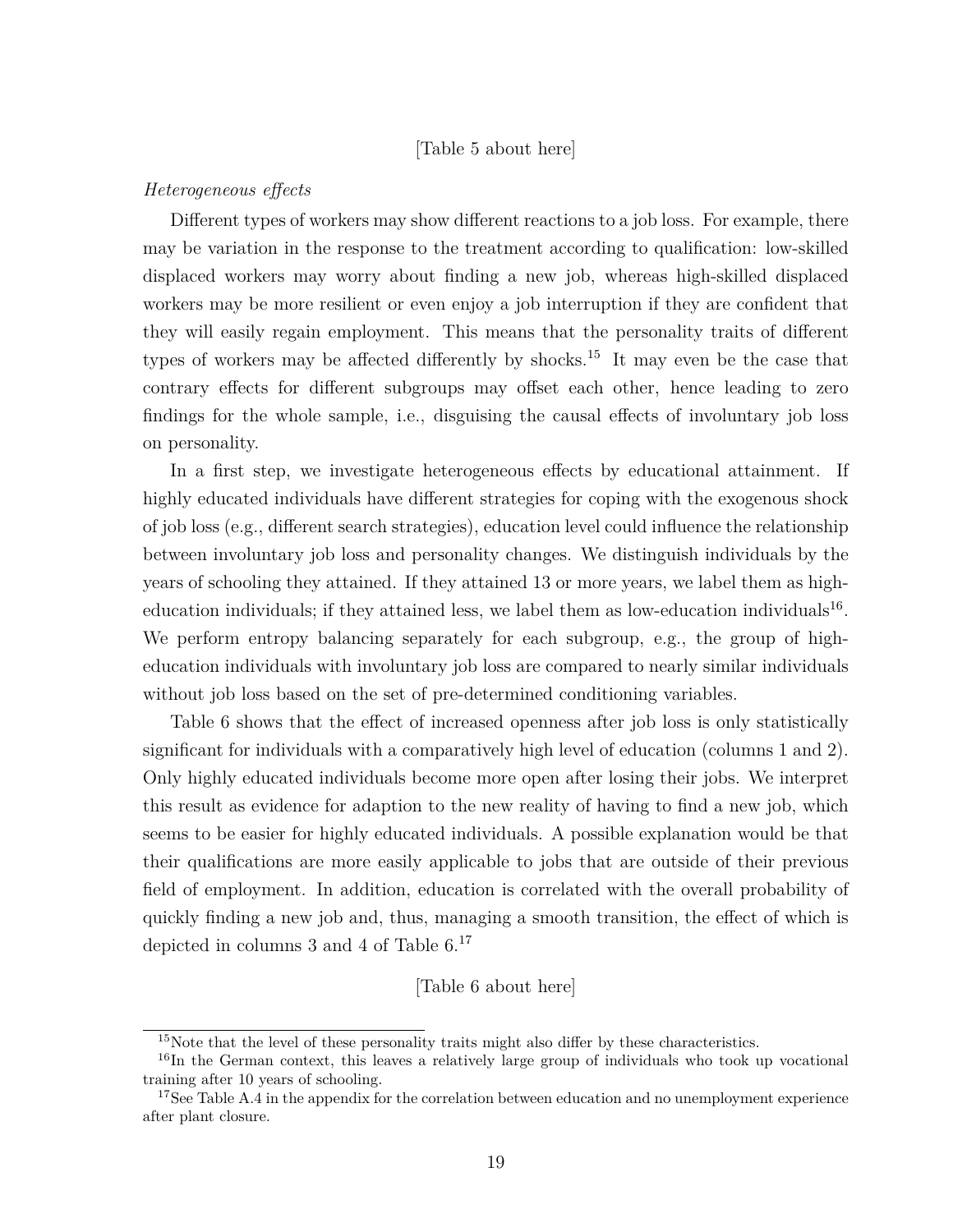#### [Table 5 about here]

#### *Heterogeneous effects*

Different types of workers may show different reactions to a job loss. For example, there may be variation in the response to the treatment according to qualification: low-skilled displaced workers may worry about finding a new job, whereas high-skilled displaced workers may be more resilient or even enjoy a job interruption if they are confident that they will easily regain employment. This means that the personality traits of different types of workers may be affected differently by shocks.<sup>15</sup> It may even be the case that contrary effects for different subgroups may offset each other, hence leading to zero findings for the whole sample, i.e., disguising the causal effects of involuntary job loss on personality.

In a first step, we investigate heterogeneous effects by educational attainment. If highly educated individuals have different strategies for coping with the exogenous shock of job loss (e.g., different search strategies), education level could influence the relationship between involuntary job loss and personality changes. We distinguish individuals by the years of schooling they attained. If they attained 13 or more years, we label them as higheducation individuals; if they attained less, we label them as low-education individuals $^{16}$ . We perform entropy balancing separately for each subgroup, e.g., the group of higheducation individuals with involuntary job loss are compared to nearly similar individuals without job loss based on the set of pre-determined conditioning variables.

Table 6 shows that the effect of increased openness after job loss is only statistically significant for individuals with a comparatively high level of education (columns 1 and 2). Only highly educated individuals become more open after losing their jobs. We interpret this result as evidence for adaption to the new reality of having to find a new job, which seems to be easier for highly educated individuals. A possible explanation would be that their qualifications are more easily applicable to jobs that are outside of their previous field of employment. In addition, education is correlated with the overall probability of quickly finding a new job and, thus, managing a smooth transition, the effect of which is depicted in columns 3 and 4 of Table 6.<sup>17</sup>

#### [Table 6 about here]

<sup>&</sup>lt;sup>15</sup>Note that the level of these personality traits might also differ by these characteristics.

<sup>&</sup>lt;sup>16</sup>In the German context, this leaves a relatively large group of individuals who took up vocational training after 10 years of schooling.

<sup>&</sup>lt;sup>17</sup>See Table A.4 in the appendix for the correlation between education and no unemployment experience after plant closure.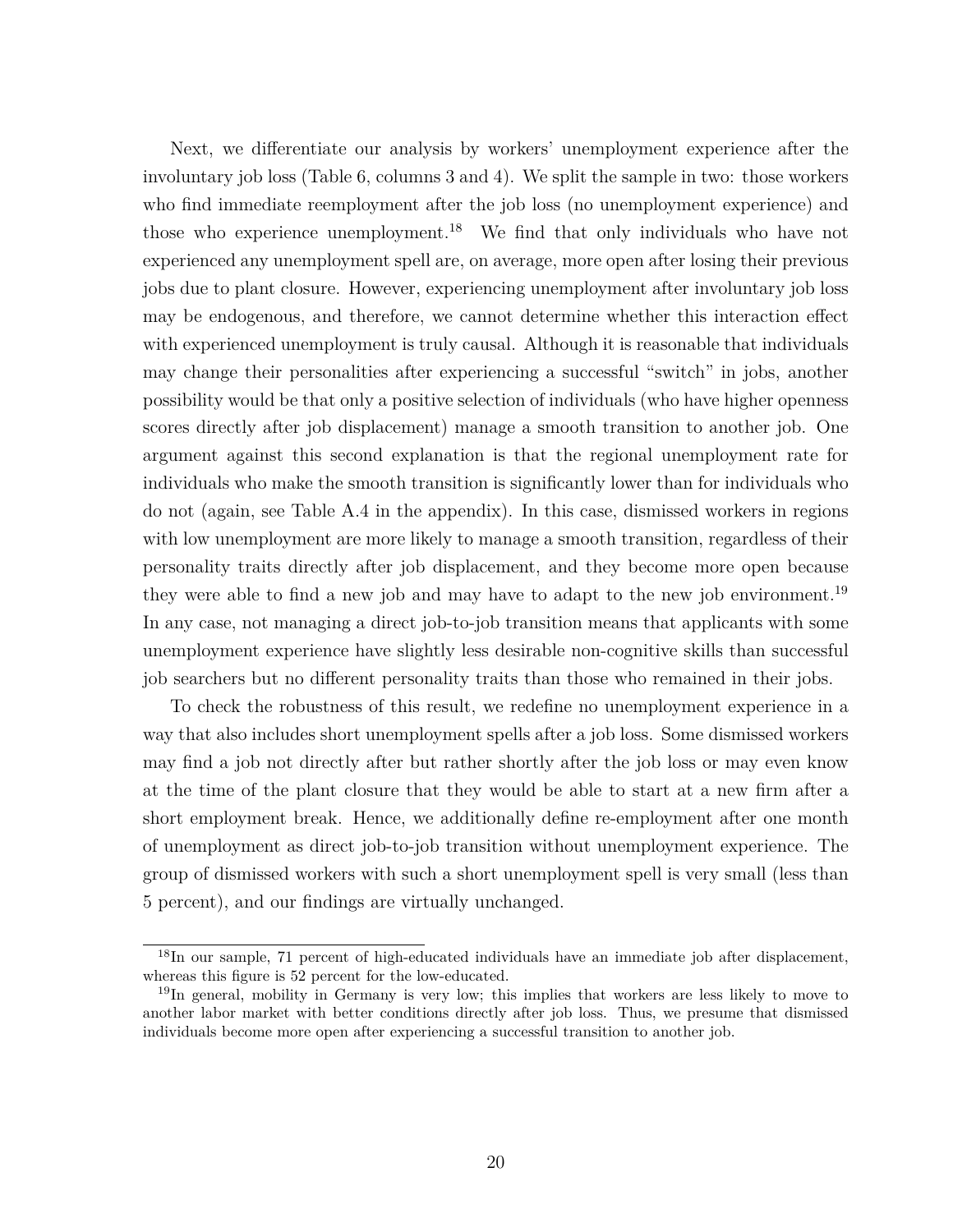Next, we differentiate our analysis by workers' unemployment experience after the involuntary job loss (Table 6, columns 3 and 4). We split the sample in two: those workers who find immediate reemployment after the job loss (no unemployment experience) and those who experience unemployment.<sup>18</sup> We find that only individuals who have not experienced any unemployment spell are, on average, more open after losing their previous jobs due to plant closure. However, experiencing unemployment after involuntary job loss may be endogenous, and therefore, we cannot determine whether this interaction effect with experienced unemployment is truly causal. Although it is reasonable that individuals may change their personalities after experiencing a successful "switch" in jobs, another possibility would be that only a positive selection of individuals (who have higher openness scores directly after job displacement) manage a smooth transition to another job. One argument against this second explanation is that the regional unemployment rate for individuals who make the smooth transition is significantly lower than for individuals who do not (again, see Table A.4 in the appendix). In this case, dismissed workers in regions with low unemployment are more likely to manage a smooth transition, regardless of their personality traits directly after job displacement, and they become more open because they were able to find a new job and may have to adapt to the new job environment.<sup>19</sup> In any case, not managing a direct job-to-job transition means that applicants with some unemployment experience have slightly less desirable non-cognitive skills than successful job searchers but no different personality traits than those who remained in their jobs.

To check the robustness of this result, we redefine no unemployment experience in a way that also includes short unemployment spells after a job loss. Some dismissed workers may find a job not directly after but rather shortly after the job loss or may even know at the time of the plant closure that they would be able to start at a new firm after a short employment break. Hence, we additionally define re-employment after one month of unemployment as direct job-to-job transition without unemployment experience. The group of dismissed workers with such a short unemployment spell is very small (less than 5 percent), and our findings are virtually unchanged.

<sup>&</sup>lt;sup>18</sup>In our sample, 71 percent of high-educated individuals have an immediate job after displacement, whereas this figure is 52 percent for the low-educated.

<sup>&</sup>lt;sup>19</sup>In general, mobility in Germany is very low; this implies that workers are less likely to move to another labor market with better conditions directly after job loss. Thus, we presume that dismissed individuals become more open after experiencing a successful transition to another job.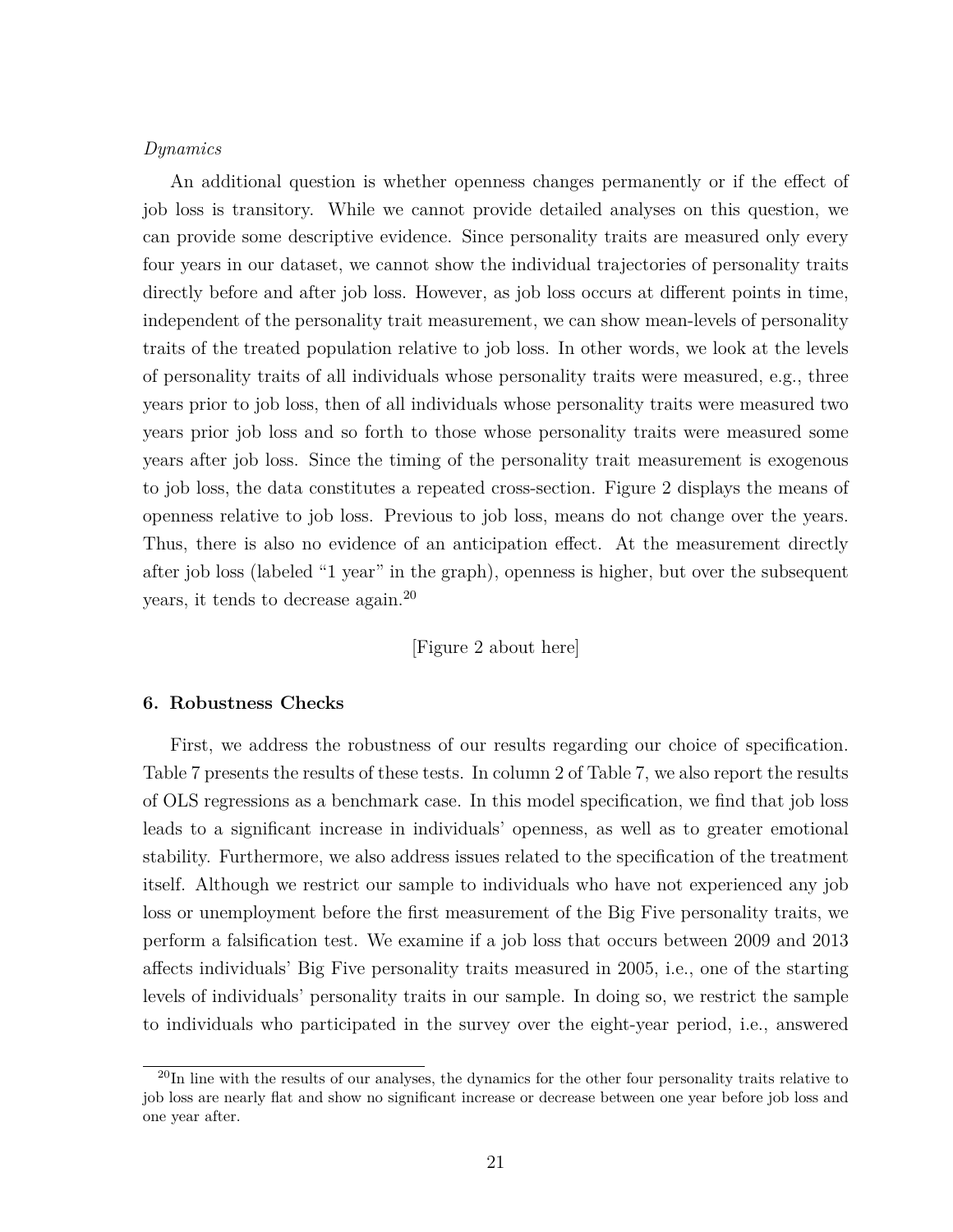#### *Dynamics*

An additional question is whether openness changes permanently or if the effect of job loss is transitory. While we cannot provide detailed analyses on this question, we can provide some descriptive evidence. Since personality traits are measured only every four years in our dataset, we cannot show the individual trajectories of personality traits directly before and after job loss. However, as job loss occurs at different points in time, independent of the personality trait measurement, we can show mean-levels of personality traits of the treated population relative to job loss. In other words, we look at the levels of personality traits of all individuals whose personality traits were measured, e.g., three years prior to job loss, then of all individuals whose personality traits were measured two years prior job loss and so forth to those whose personality traits were measured some years after job loss. Since the timing of the personality trait measurement is exogenous to job loss, the data constitutes a repeated cross-section. Figure 2 displays the means of openness relative to job loss. Previous to job loss, means do not change over the years. Thus, there is also no evidence of an anticipation effect. At the measurement directly after job loss (labeled "1 year" in the graph), openness is higher, but over the subsequent years, it tends to decrease again.<sup>20</sup>

[Figure 2 about here]

#### **6. Robustness Checks**

First, we address the robustness of our results regarding our choice of specification. Table 7 presents the results of these tests. In column 2 of Table 7, we also report the results of OLS regressions as a benchmark case. In this model specification, we find that job loss leads to a significant increase in individuals' openness, as well as to greater emotional stability. Furthermore, we also address issues related to the specification of the treatment itself. Although we restrict our sample to individuals who have not experienced any job loss or unemployment before the first measurement of the Big Five personality traits, we perform a falsification test. We examine if a job loss that occurs between 2009 and 2013 affects individuals' Big Five personality traits measured in 2005, i.e., one of the starting levels of individuals' personality traits in our sample. In doing so, we restrict the sample to individuals who participated in the survey over the eight-year period, i.e., answered

<sup>&</sup>lt;sup>20</sup>In line with the results of our analyses, the dynamics for the other four personality traits relative to job loss are nearly flat and show no significant increase or decrease between one year before job loss and one year after.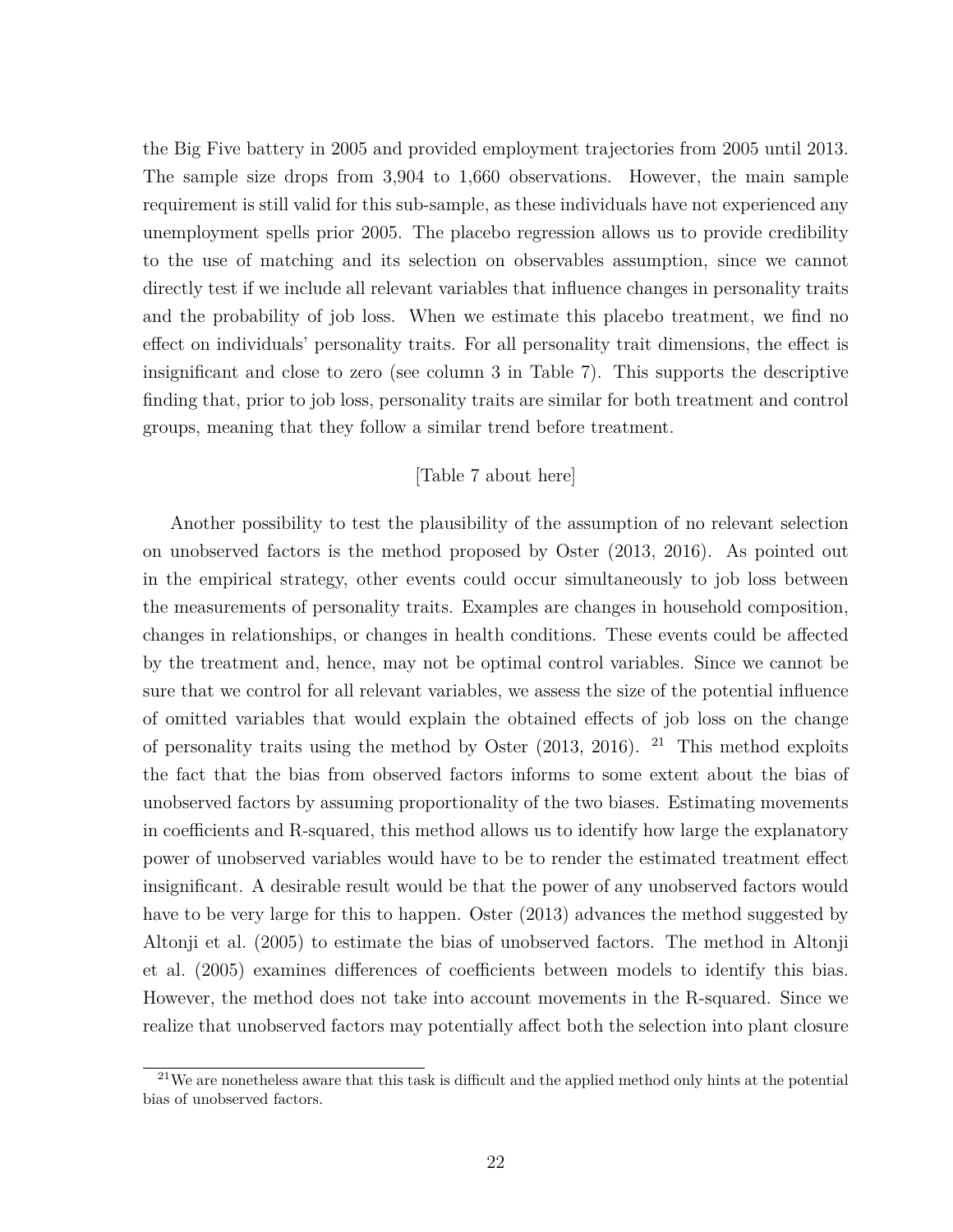the Big Five battery in 2005 and provided employment trajectories from 2005 until 2013. The sample size drops from 3,904 to 1,660 observations. However, the main sample requirement is still valid for this sub-sample, as these individuals have not experienced any unemployment spells prior 2005. The placebo regression allows us to provide credibility to the use of matching and its selection on observables assumption, since we cannot directly test if we include all relevant variables that influence changes in personality traits and the probability of job loss. When we estimate this placebo treatment, we find no effect on individuals' personality traits. For all personality trait dimensions, the effect is insignificant and close to zero (see column 3 in Table 7). This supports the descriptive finding that, prior to job loss, personality traits are similar for both treatment and control groups, meaning that they follow a similar trend before treatment.

#### [Table 7 about here]

Another possibility to test the plausibility of the assumption of no relevant selection on unobserved factors is the method proposed by Oster (2013, 2016). As pointed out in the empirical strategy, other events could occur simultaneously to job loss between the measurements of personality traits. Examples are changes in household composition, changes in relationships, or changes in health conditions. These events could be affected by the treatment and, hence, may not be optimal control variables. Since we cannot be sure that we control for all relevant variables, we assess the size of the potential influence of omitted variables that would explain the obtained effects of job loss on the change of personality traits using the method by Oster  $(2013, 2016)$ . <sup>21</sup> This method exploits the fact that the bias from observed factors informs to some extent about the bias of unobserved factors by assuming proportionality of the two biases. Estimating movements in coefficients and R-squared, this method allows us to identify how large the explanatory power of unobserved variables would have to be to render the estimated treatment effect insignificant. A desirable result would be that the power of any unobserved factors would have to be very large for this to happen. Oster (2013) advances the method suggested by Altonji et al. (2005) to estimate the bias of unobserved factors. The method in Altonji et al. (2005) examines differences of coefficients between models to identify this bias. However, the method does not take into account movements in the R-squared. Since we realize that unobserved factors may potentially affect both the selection into plant closure

 $21$ We are nonetheless aware that this task is difficult and the applied method only hints at the potential bias of unobserved factors.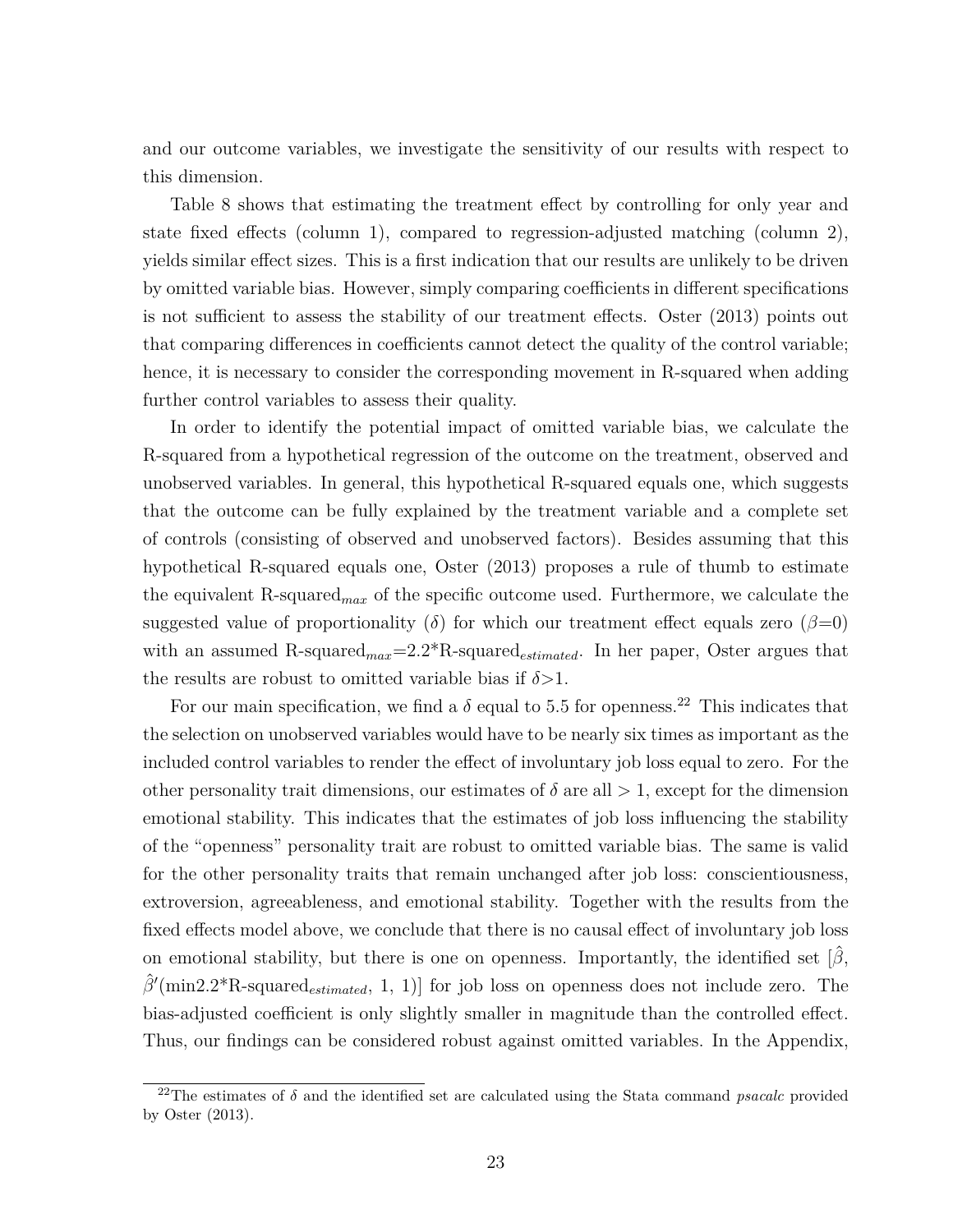and our outcome variables, we investigate the sensitivity of our results with respect to this dimension.

Table 8 shows that estimating the treatment effect by controlling for only year and state fixed effects (column 1), compared to regression-adjusted matching (column 2), yields similar effect sizes. This is a first indication that our results are unlikely to be driven by omitted variable bias. However, simply comparing coefficients in different specifications is not sufficient to assess the stability of our treatment effects. Oster (2013) points out that comparing differences in coefficients cannot detect the quality of the control variable; hence, it is necessary to consider the corresponding movement in R-squared when adding further control variables to assess their quality.

In order to identify the potential impact of omitted variable bias, we calculate the R-squared from a hypothetical regression of the outcome on the treatment, observed and unobserved variables. In general, this hypothetical R-squared equals one, which suggests that the outcome can be fully explained by the treatment variable and a complete set of controls (consisting of observed and unobserved factors). Besides assuming that this hypothetical R-squared equals one, Oster (2013) proposes a rule of thumb to estimate the equivalent R-squared*max* of the specific outcome used. Furthermore, we calculate the suggested value of proportionality ( $\delta$ ) for which our treatment effect equals zero ( $\beta$ =0) with an assumed R-squared*max*=2.2\*R-squared*estimated*. In her paper, Oster argues that the results are robust to omitted variable bias if  $\delta$ >1.

For our main specification, we find a  $\delta$  equal to 5.5 for openness.<sup>22</sup> This indicates that the selection on unobserved variables would have to be nearly six times as important as the included control variables to render the effect of involuntary job loss equal to zero. For the other personality trait dimensions, our estimates of  $\delta$  are all  $> 1$ , except for the dimension emotional stability. This indicates that the estimates of job loss influencing the stability of the "openness" personality trait are robust to omitted variable bias. The same is valid for the other personality traits that remain unchanged after job loss: conscientiousness, extroversion, agreeableness, and emotional stability. Together with the results from the fixed effects model above, we conclude that there is no causal effect of involuntary job loss on emotional stability, but there is one on openness. Importantly, the identified set  $\beta$ ,  $\hat{\beta}'(\text{min}2.2^*\text{R-squared}_{estimated}, 1, 1)]$  for job loss on openness does not include zero. The bias-adjusted coefficient is only slightly smaller in magnitude than the controlled effect. Thus, our findings can be considered robust against omitted variables. In the Appendix,

<sup>&</sup>lt;sup>22</sup>The estimates of  $\delta$  and the identified set are calculated using the Stata command *psacalc* provided by Oster (2013).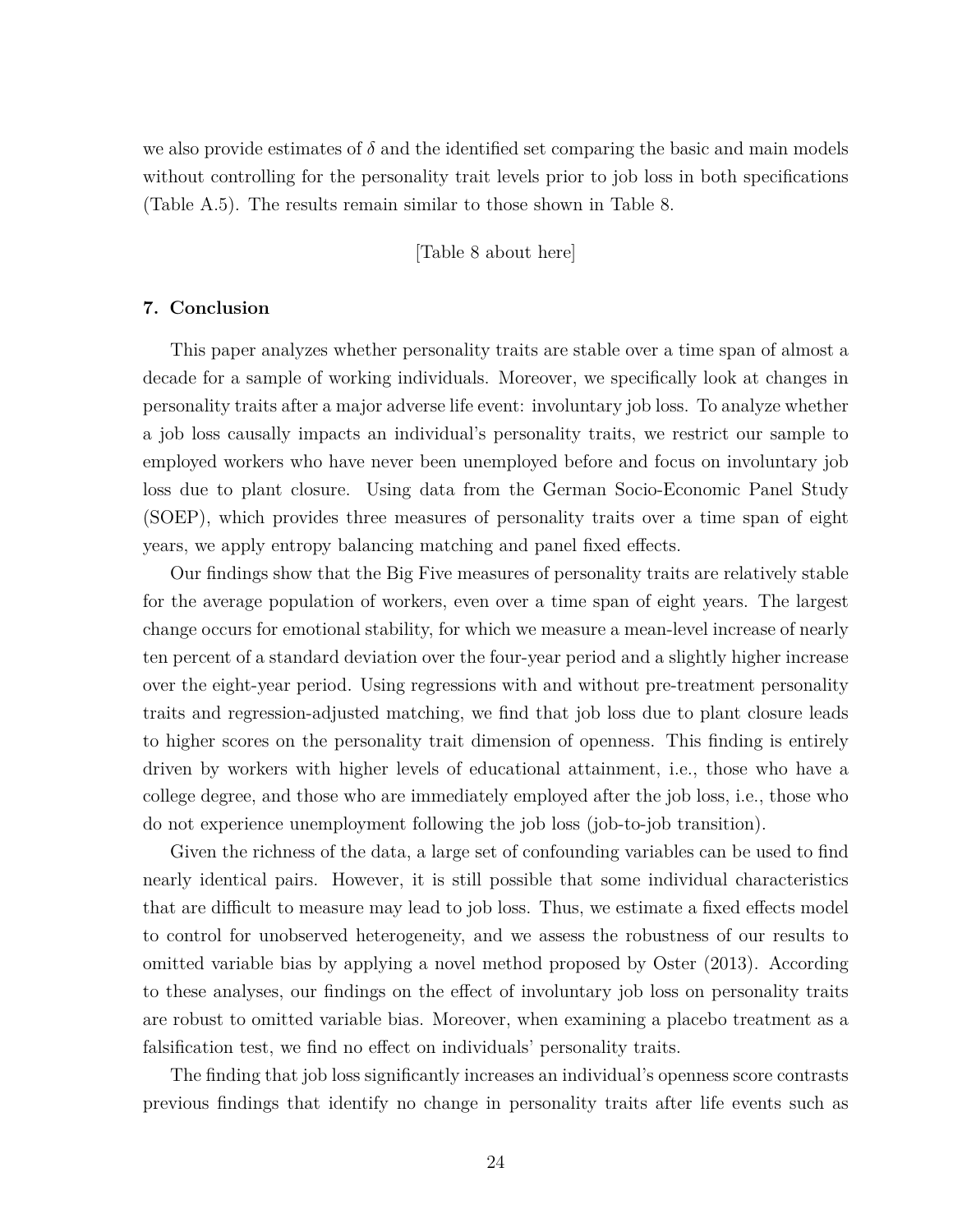we also provide estimates of  $\delta$  and the identified set comparing the basic and main models without controlling for the personality trait levels prior to job loss in both specifications (Table A.5). The results remain similar to those shown in Table 8.

#### [Table 8 about here]

#### **7. Conclusion**

This paper analyzes whether personality traits are stable over a time span of almost a decade for a sample of working individuals. Moreover, we specifically look at changes in personality traits after a major adverse life event: involuntary job loss. To analyze whether a job loss causally impacts an individual's personality traits, we restrict our sample to employed workers who have never been unemployed before and focus on involuntary job loss due to plant closure. Using data from the German Socio-Economic Panel Study (SOEP), which provides three measures of personality traits over a time span of eight years, we apply entropy balancing matching and panel fixed effects.

Our findings show that the Big Five measures of personality traits are relatively stable for the average population of workers, even over a time span of eight years. The largest change occurs for emotional stability, for which we measure a mean-level increase of nearly ten percent of a standard deviation over the four-year period and a slightly higher increase over the eight-year period. Using regressions with and without pre-treatment personality traits and regression-adjusted matching, we find that job loss due to plant closure leads to higher scores on the personality trait dimension of openness. This finding is entirely driven by workers with higher levels of educational attainment, i.e., those who have a college degree, and those who are immediately employed after the job loss, i.e., those who do not experience unemployment following the job loss (job-to-job transition).

Given the richness of the data, a large set of confounding variables can be used to find nearly identical pairs. However, it is still possible that some individual characteristics that are difficult to measure may lead to job loss. Thus, we estimate a fixed effects model to control for unobserved heterogeneity, and we assess the robustness of our results to omitted variable bias by applying a novel method proposed by Oster (2013). According to these analyses, our findings on the effect of involuntary job loss on personality traits are robust to omitted variable bias. Moreover, when examining a placebo treatment as a falsification test, we find no effect on individuals' personality traits.

The finding that job loss significantly increases an individual's openness score contrasts previous findings that identify no change in personality traits after life events such as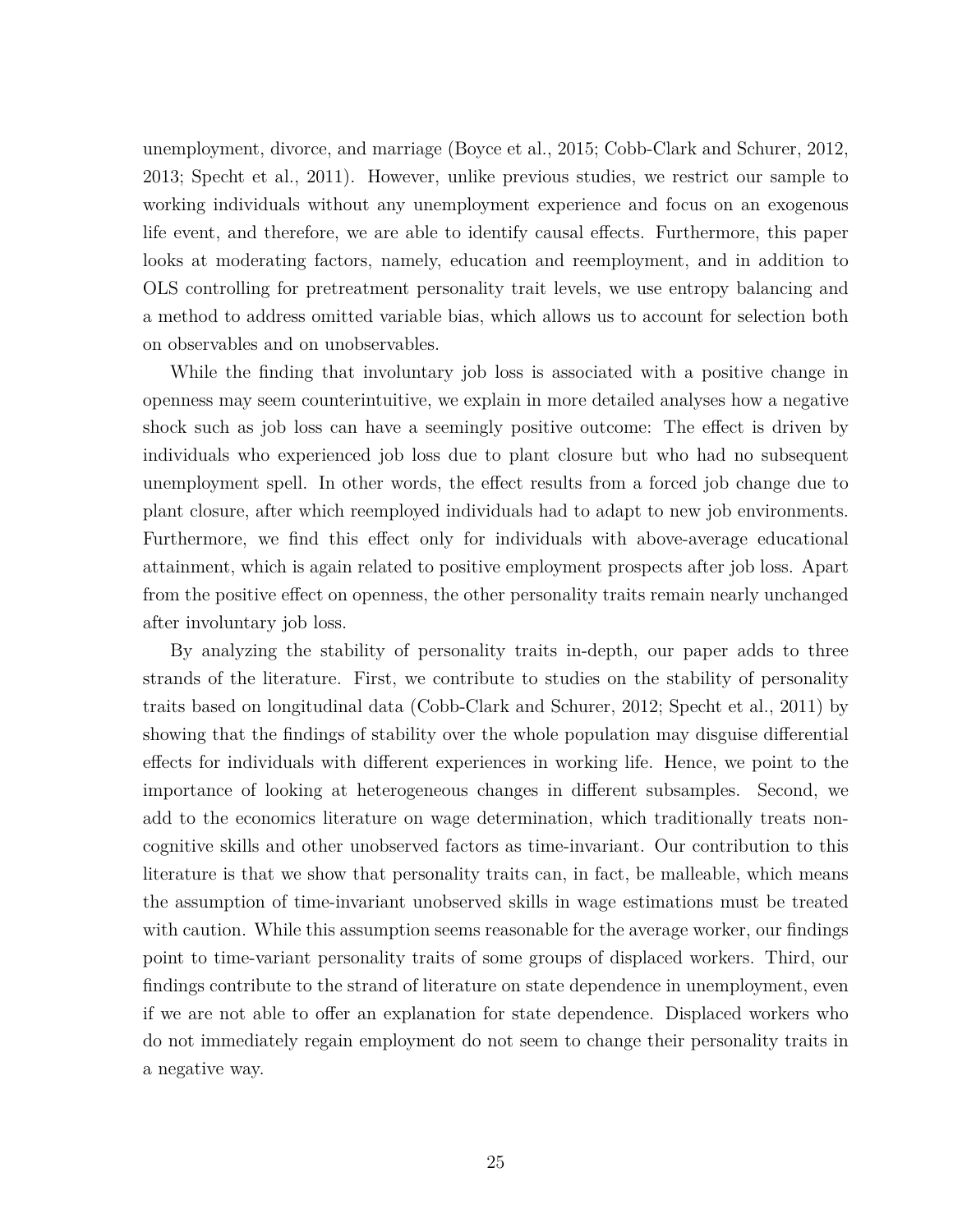unemployment, divorce, and marriage (Boyce et al., 2015; Cobb-Clark and Schurer, 2012, 2013; Specht et al., 2011). However, unlike previous studies, we restrict our sample to working individuals without any unemployment experience and focus on an exogenous life event, and therefore, we are able to identify causal effects. Furthermore, this paper looks at moderating factors, namely, education and reemployment, and in addition to OLS controlling for pretreatment personality trait levels, we use entropy balancing and a method to address omitted variable bias, which allows us to account for selection both on observables and on unobservables.

While the finding that involuntary job loss is associated with a positive change in openness may seem counterintuitive, we explain in more detailed analyses how a negative shock such as job loss can have a seemingly positive outcome: The effect is driven by individuals who experienced job loss due to plant closure but who had no subsequent unemployment spell. In other words, the effect results from a forced job change due to plant closure, after which reemployed individuals had to adapt to new job environments. Furthermore, we find this effect only for individuals with above-average educational attainment, which is again related to positive employment prospects after job loss. Apart from the positive effect on openness, the other personality traits remain nearly unchanged after involuntary job loss.

By analyzing the stability of personality traits in-depth, our paper adds to three strands of the literature. First, we contribute to studies on the stability of personality traits based on longitudinal data (Cobb-Clark and Schurer, 2012; Specht et al., 2011) by showing that the findings of stability over the whole population may disguise differential effects for individuals with different experiences in working life. Hence, we point to the importance of looking at heterogeneous changes in different subsamples. Second, we add to the economics literature on wage determination, which traditionally treats noncognitive skills and other unobserved factors as time-invariant. Our contribution to this literature is that we show that personality traits can, in fact, be malleable, which means the assumption of time-invariant unobserved skills in wage estimations must be treated with caution. While this assumption seems reasonable for the average worker, our findings point to time-variant personality traits of some groups of displaced workers. Third, our findings contribute to the strand of literature on state dependence in unemployment, even if we are not able to offer an explanation for state dependence. Displaced workers who do not immediately regain employment do not seem to change their personality traits in a negative way.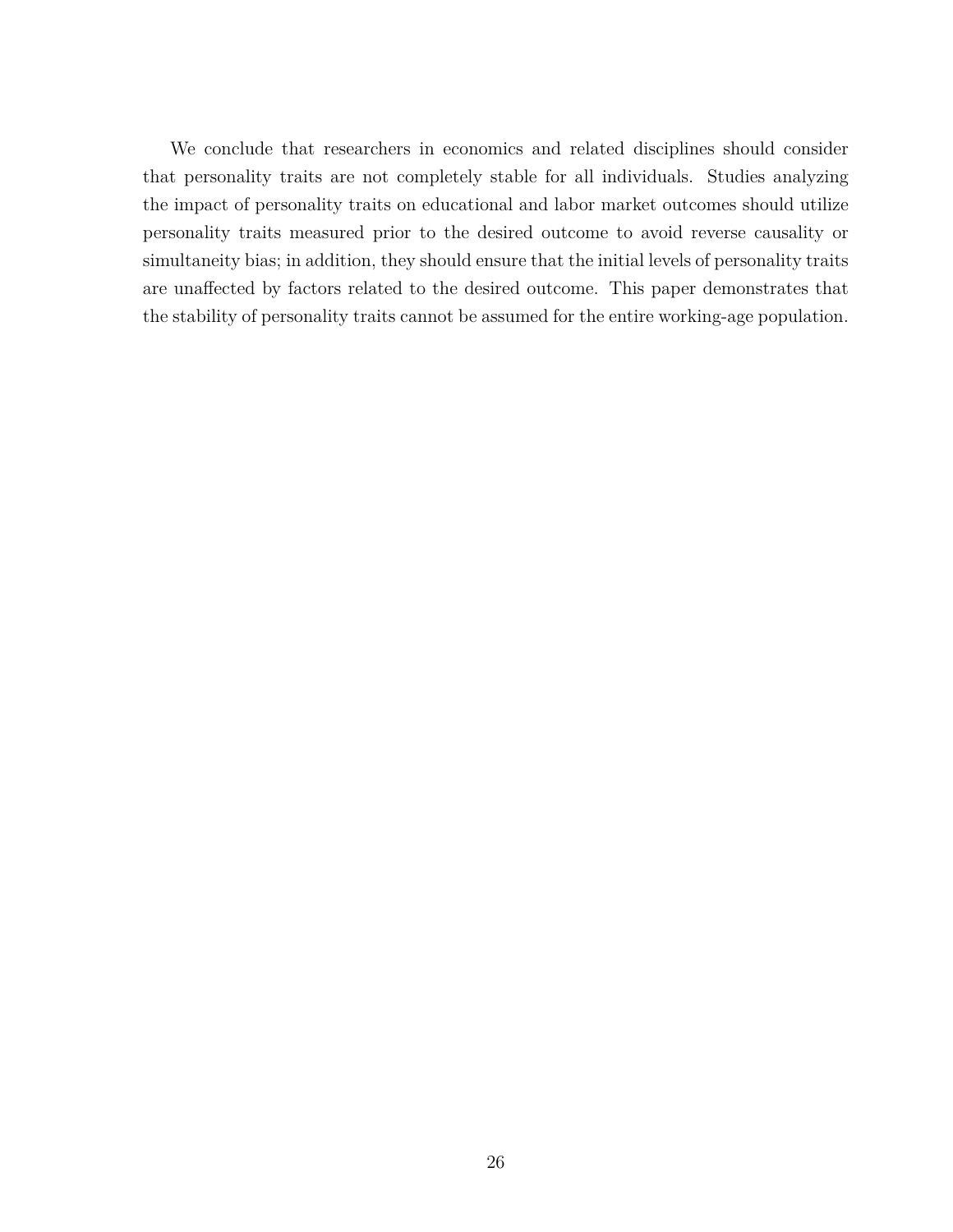We conclude that researchers in economics and related disciplines should consider that personality traits are not completely stable for all individuals. Studies analyzing the impact of personality traits on educational and labor market outcomes should utilize personality traits measured prior to the desired outcome to avoid reverse causality or simultaneity bias; in addition, they should ensure that the initial levels of personality traits are unaffected by factors related to the desired outcome. This paper demonstrates that the stability of personality traits cannot be assumed for the entire working-age population.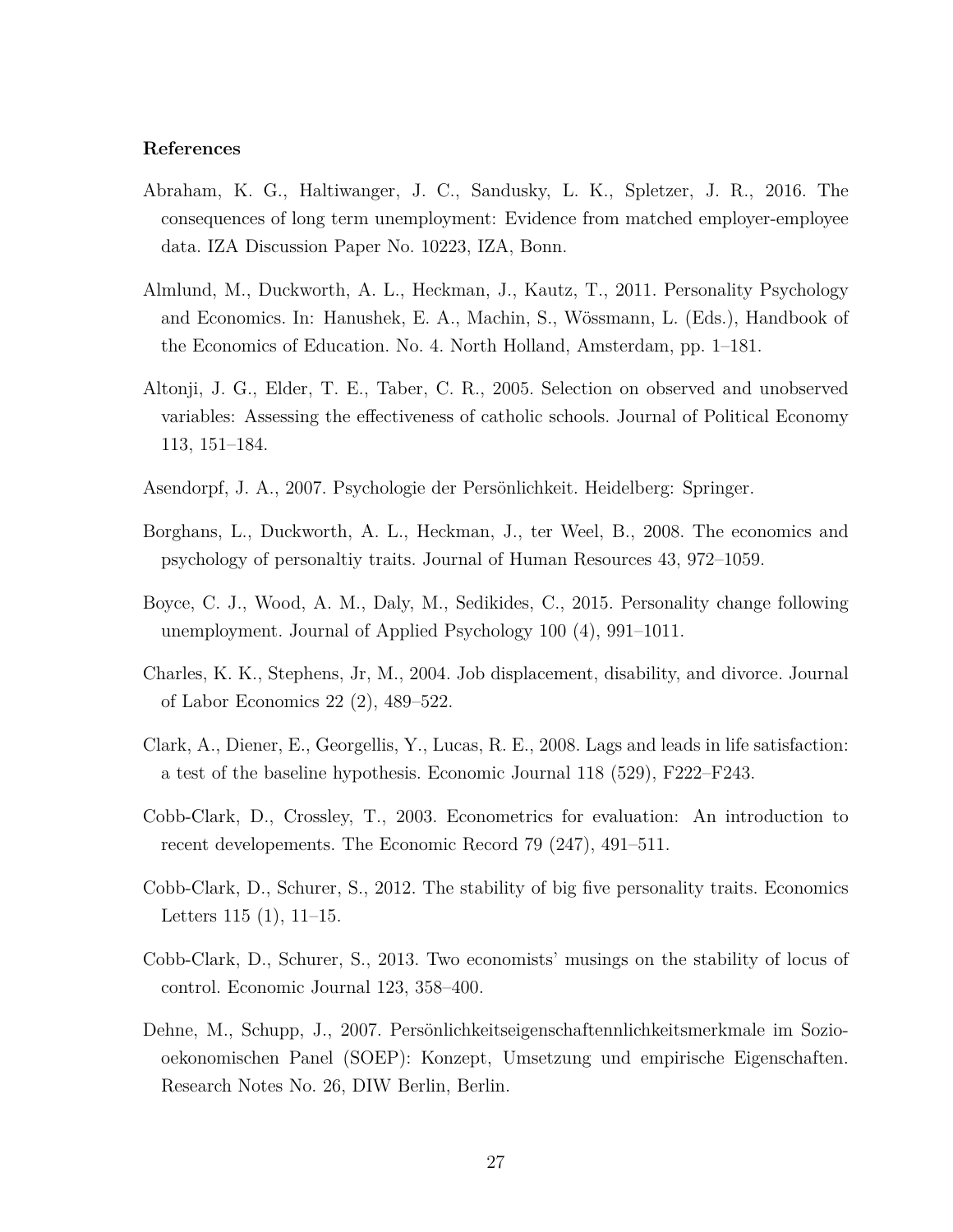#### **References**

- Abraham, K. G., Haltiwanger, J. C., Sandusky, L. K., Spletzer, J. R., 2016. The consequences of long term unemployment: Evidence from matched employer-employee data. IZA Discussion Paper No. 10223, IZA, Bonn.
- Almlund, M., Duckworth, A. L., Heckman, J., Kautz, T., 2011. Personality Psychology and Economics. In: Hanushek, E. A., Machin, S., Wössmann, L. (Eds.), Handbook of the Economics of Education. No. 4. North Holland, Amsterdam, pp. 1–181.
- Altonji, J. G., Elder, T. E., Taber, C. R., 2005. Selection on observed and unobserved variables: Assessing the effectiveness of catholic schools. Journal of Political Economy 113, 151–184.
- Asendorpf, J. A., 2007. Psychologie der Persönlichkeit. Heidelberg: Springer.
- Borghans, L., Duckworth, A. L., Heckman, J., ter Weel, B., 2008. The economics and psychology of personaltiy traits. Journal of Human Resources 43, 972–1059.
- Boyce, C. J., Wood, A. M., Daly, M., Sedikides, C., 2015. Personality change following unemployment. Journal of Applied Psychology 100 (4), 991–1011.
- Charles, K. K., Stephens, Jr, M., 2004. Job displacement, disability, and divorce. Journal of Labor Economics 22 (2), 489–522.
- Clark, A., Diener, E., Georgellis, Y., Lucas, R. E., 2008. Lags and leads in life satisfaction: a test of the baseline hypothesis. Economic Journal 118 (529), F222–F243.
- Cobb-Clark, D., Crossley, T., 2003. Econometrics for evaluation: An introduction to recent developements. The Economic Record 79 (247), 491–511.
- Cobb-Clark, D., Schurer, S., 2012. The stability of big five personality traits. Economics Letters 115 (1), 11–15.
- Cobb-Clark, D., Schurer, S., 2013. Two economists' musings on the stability of locus of control. Economic Journal 123, 358–400.
- Dehne, M., Schupp, J., 2007. Persönlichkeitseigenschaftennlichkeitsmerkmale im Soziooekonomischen Panel (SOEP): Konzept, Umsetzung und empirische Eigenschaften. Research Notes No. 26, DIW Berlin, Berlin.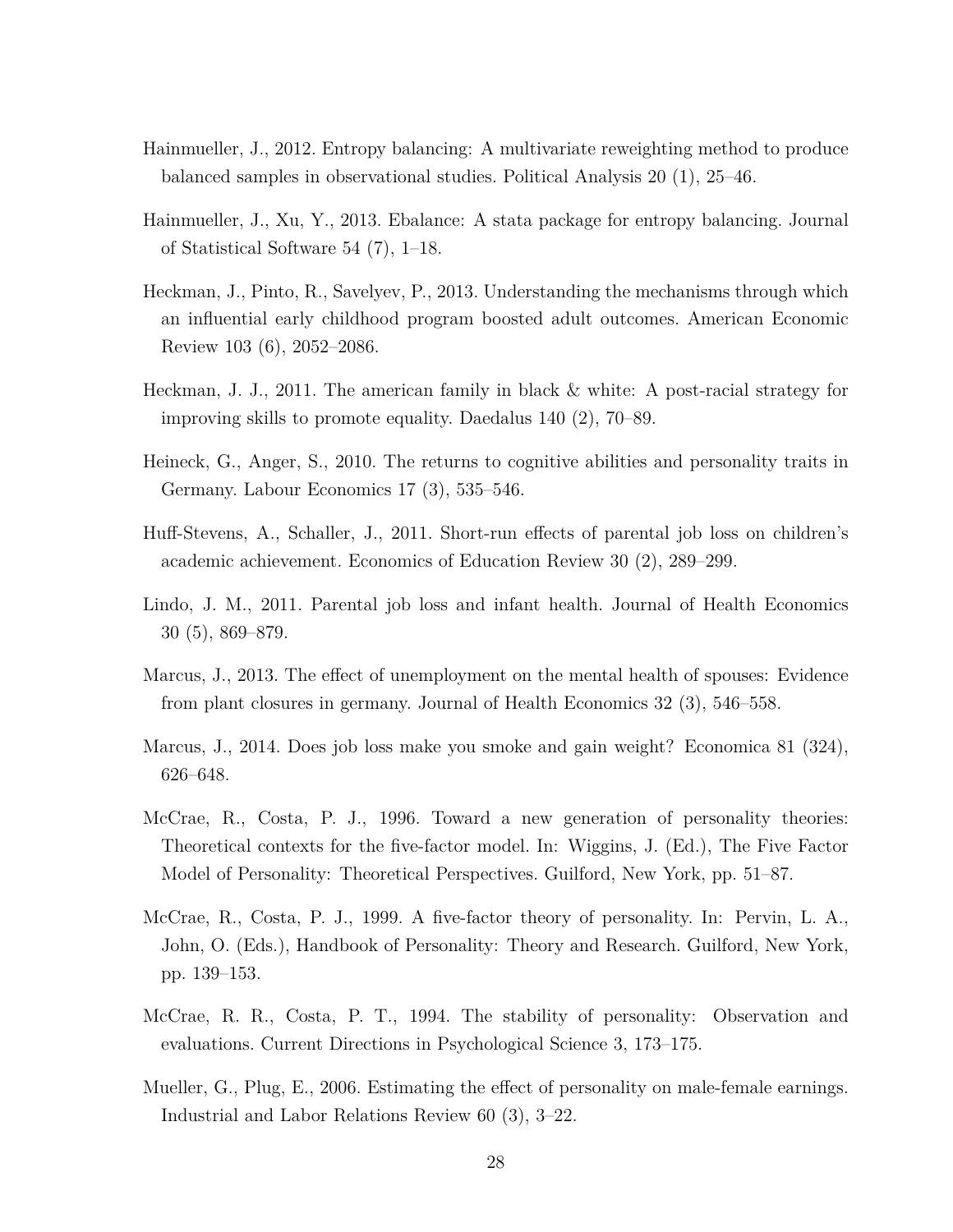- Hainmueller, J., 2012. Entropy balancing: A multivariate reweighting method to produce balanced samples in observational studies. Political Analysis 20 (1), 25–46.
- Hainmueller, J., Xu, Y., 2013. Ebalance: A stata package for entropy balancing. Journal of Statistical Software 54 (7), 1–18.
- Heckman, J., Pinto, R., Savelyev, P., 2013. Understanding the mechanisms through which an influential early childhood program boosted adult outcomes. American Economic Review 103 (6), 2052–2086.
- Heckman, J. J., 2011. The american family in black & white: A post-racial strategy for improving skills to promote equality. Daedalus 140 (2), 70–89.
- Heineck, G., Anger, S., 2010. The returns to cognitive abilities and personality traits in Germany. Labour Economics 17 (3), 535–546.
- Huff-Stevens, A., Schaller, J., 2011. Short-run effects of parental job loss on children's academic achievement. Economics of Education Review 30 (2), 289–299.
- Lindo, J. M., 2011. Parental job loss and infant health. Journal of Health Economics 30 (5), 869–879.
- Marcus, J., 2013. The effect of unemployment on the mental health of spouses: Evidence from plant closures in germany. Journal of Health Economics 32 (3), 546–558.
- Marcus, J., 2014. Does job loss make you smoke and gain weight? Economica 81 (324), 626–648.
- McCrae, R., Costa, P. J., 1996. Toward a new generation of personality theories: Theoretical contexts for the five-factor model. In: Wiggins, J. (Ed.), The Five Factor Model of Personality: Theoretical Perspectives. Guilford, New York, pp. 51–87.
- McCrae, R., Costa, P. J., 1999. A five-factor theory of personality. In: Pervin, L. A., John, O. (Eds.), Handbook of Personality: Theory and Research. Guilford, New York, pp. 139–153.
- McCrae, R. R., Costa, P. T., 1994. The stability of personality: Observation and evaluations. Current Directions in Psychological Science 3, 173–175.
- Mueller, G., Plug, E., 2006. Estimating the effect of personality on male-female earnings. Industrial and Labor Relations Review 60 (3), 3–22.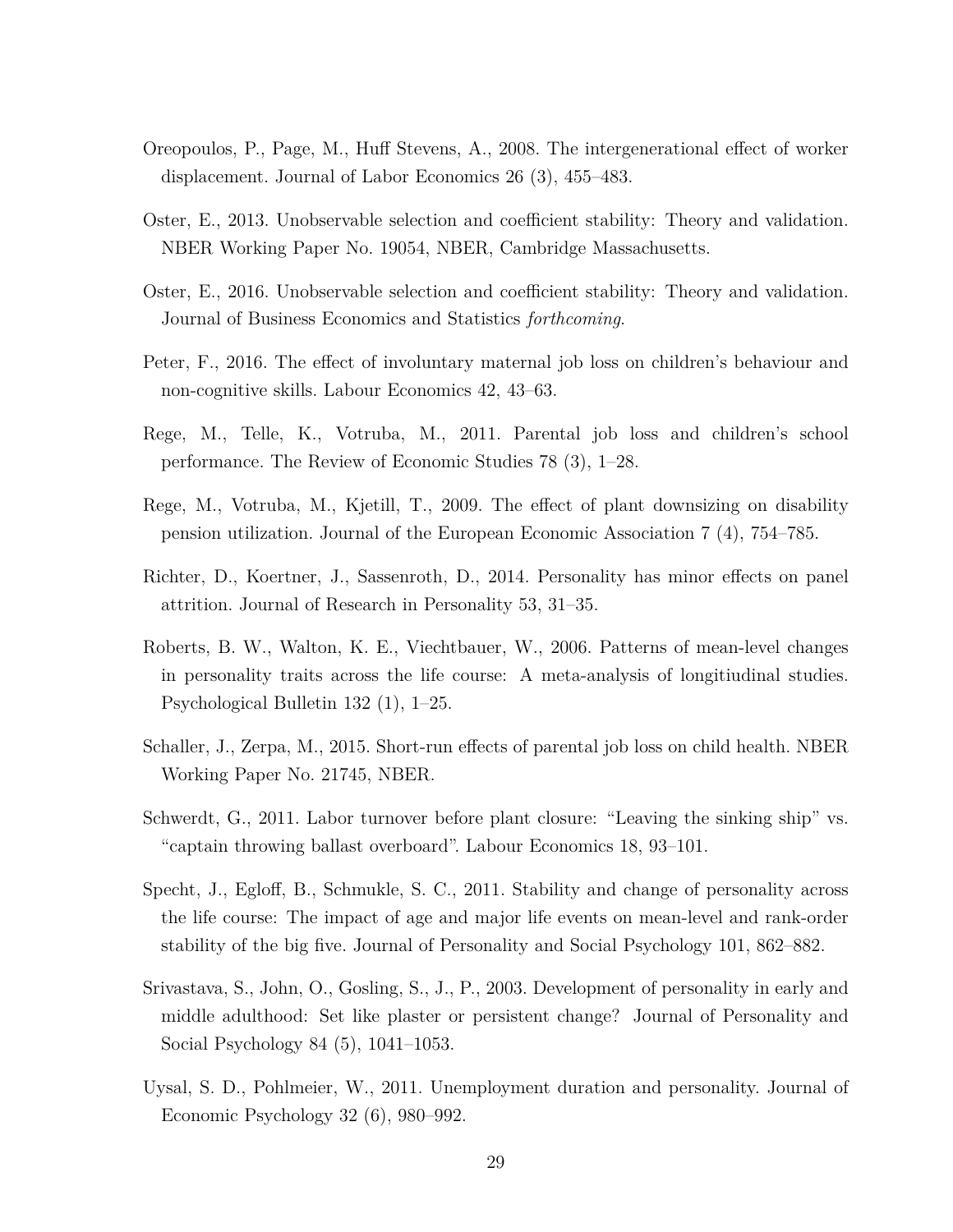- Oreopoulos, P., Page, M., Huff Stevens, A., 2008. The intergenerational effect of worker displacement. Journal of Labor Economics 26 (3), 455–483.
- Oster, E., 2013. Unobservable selection and coefficient stability: Theory and validation. NBER Working Paper No. 19054, NBER, Cambridge Massachusetts.
- Oster, E., 2016. Unobservable selection and coefficient stability: Theory and validation. Journal of Business Economics and Statistics *forthcoming*.
- Peter, F., 2016. The effect of involuntary maternal job loss on children's behaviour and non-cognitive skills. Labour Economics 42, 43–63.
- Rege, M., Telle, K., Votruba, M., 2011. Parental job loss and children's school performance. The Review of Economic Studies 78 (3), 1–28.
- Rege, M., Votruba, M., Kjetill, T., 2009. The effect of plant downsizing on disability pension utilization. Journal of the European Economic Association 7 (4), 754–785.
- Richter, D., Koertner, J., Sassenroth, D., 2014. Personality has minor effects on panel attrition. Journal of Research in Personality 53, 31–35.
- Roberts, B. W., Walton, K. E., Viechtbauer, W., 2006. Patterns of mean-level changes in personality traits across the life course: A meta-analysis of longitiudinal studies. Psychological Bulletin 132 (1), 1–25.
- Schaller, J., Zerpa, M., 2015. Short-run effects of parental job loss on child health. NBER Working Paper No. 21745, NBER.
- Schwerdt, G., 2011. Labor turnover before plant closure: "Leaving the sinking ship" vs. "captain throwing ballast overboard". Labour Economics 18, 93–101.
- Specht, J., Egloff, B., Schmukle, S. C., 2011. Stability and change of personality across the life course: The impact of age and major life events on mean-level and rank-order stability of the big five. Journal of Personality and Social Psychology 101, 862–882.
- Srivastava, S., John, O., Gosling, S., J., P., 2003. Development of personality in early and middle adulthood: Set like plaster or persistent change? Journal of Personality and Social Psychology 84 (5), 1041–1053.
- Uysal, S. D., Pohlmeier, W., 2011. Unemployment duration and personality. Journal of Economic Psychology 32 (6), 980–992.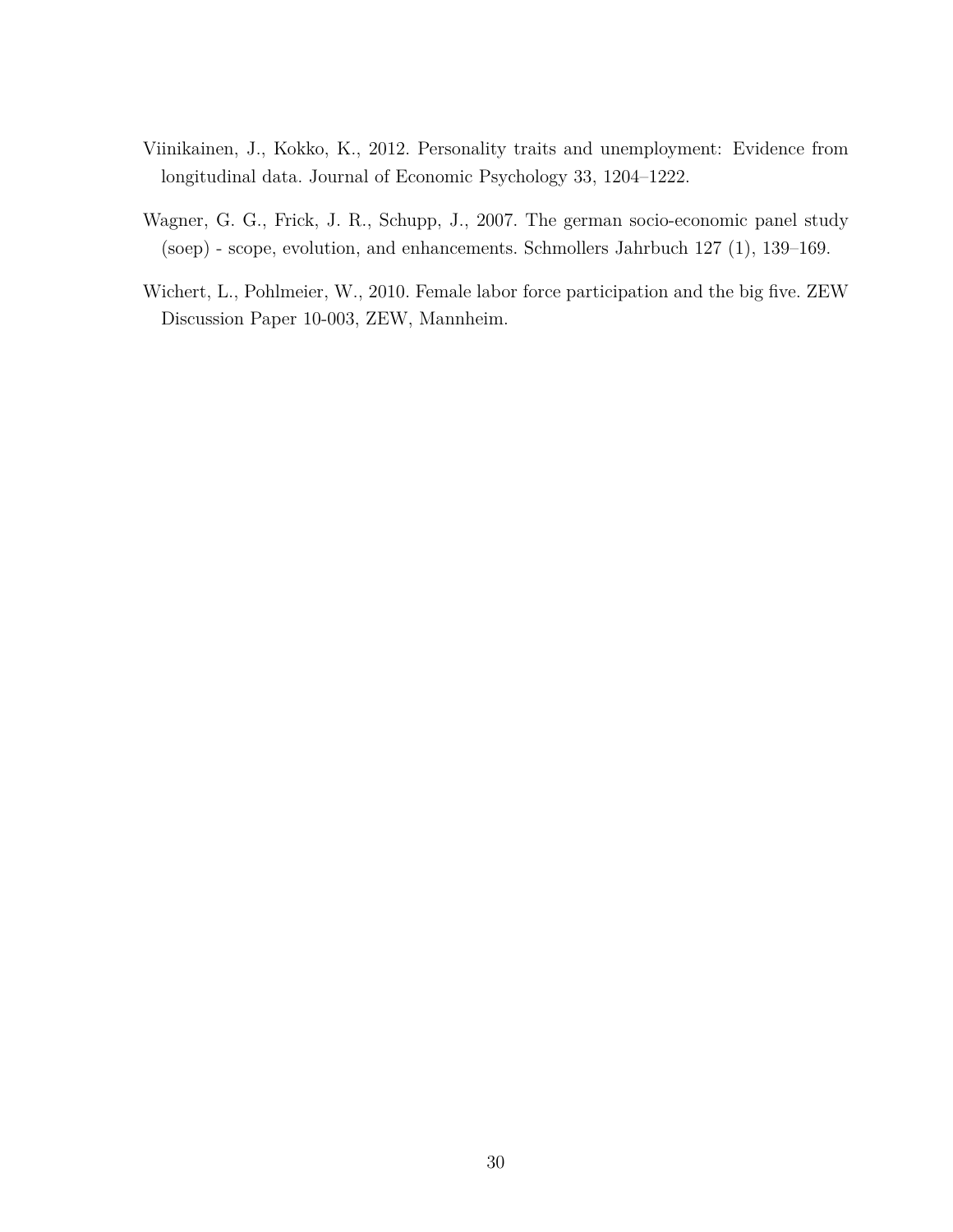- Viinikainen, J., Kokko, K., 2012. Personality traits and unemployment: Evidence from longitudinal data. Journal of Economic Psychology 33, 1204–1222.
- Wagner, G. G., Frick, J. R., Schupp, J., 2007. The german socio-economic panel study (soep) - scope, evolution, and enhancements. Schmollers Jahrbuch 127 (1), 139–169.
- Wichert, L., Pohlmeier, W., 2010. Female labor force participation and the big five. ZEW Discussion Paper 10-003, ZEW, Mannheim.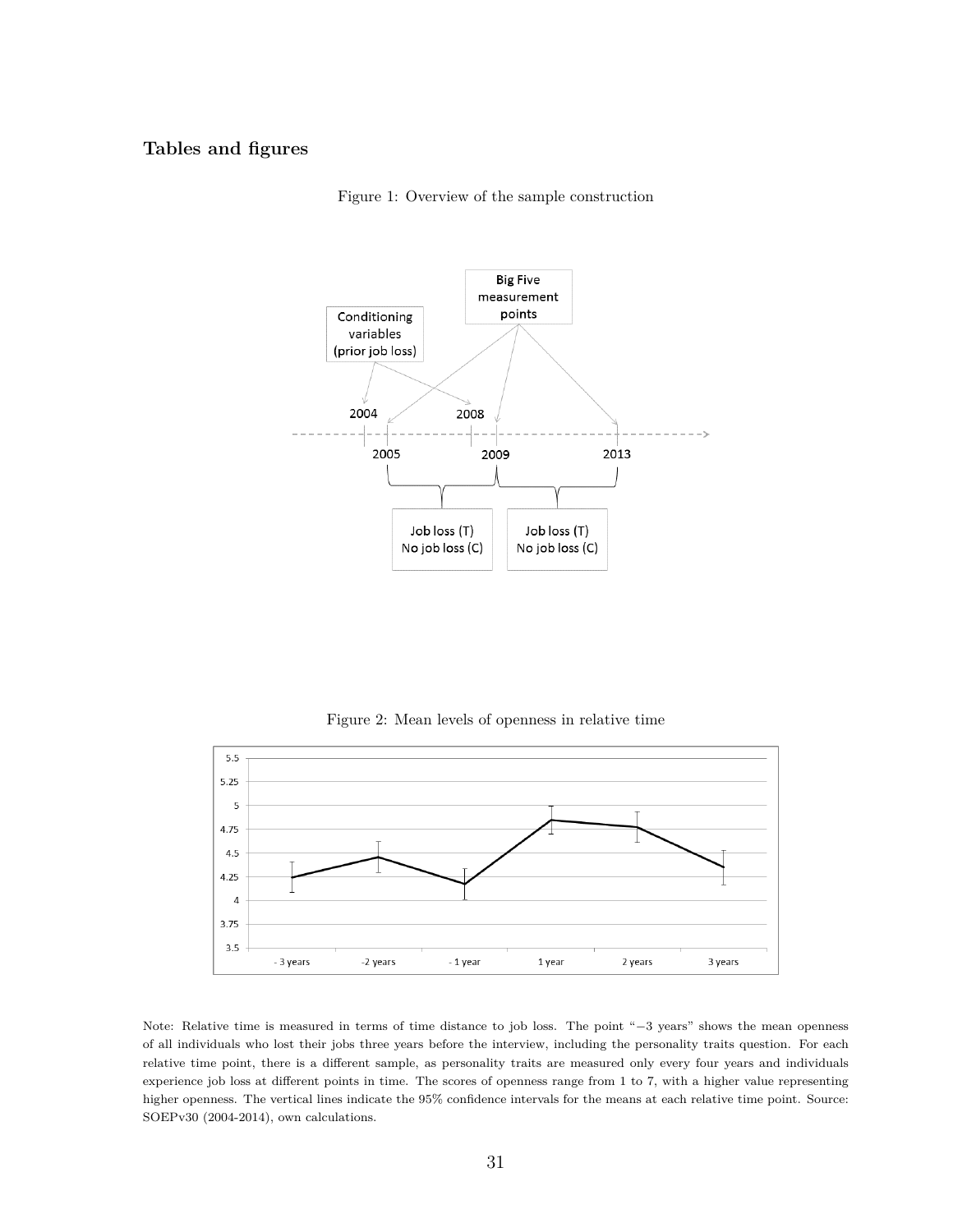#### **Tables and figures**



Figure 1: Overview of the sample construction

Figure 2: Mean levels of openness in relative time



Note: Relative time is measured in terms of time distance to job loss. The point "−3 years" shows the mean openness of all individuals who lost their jobs three years before the interview, including the personality traits question. For each relative time point, there is a different sample, as personality traits are measured only every four years and individuals experience job loss at different points in time. The scores of openness range from 1 to 7, with a higher value representing higher openness. The vertical lines indicate the 95% confidence intervals for the means at each relative time point. Source: SOEPv30 (2004-2014), own calculations.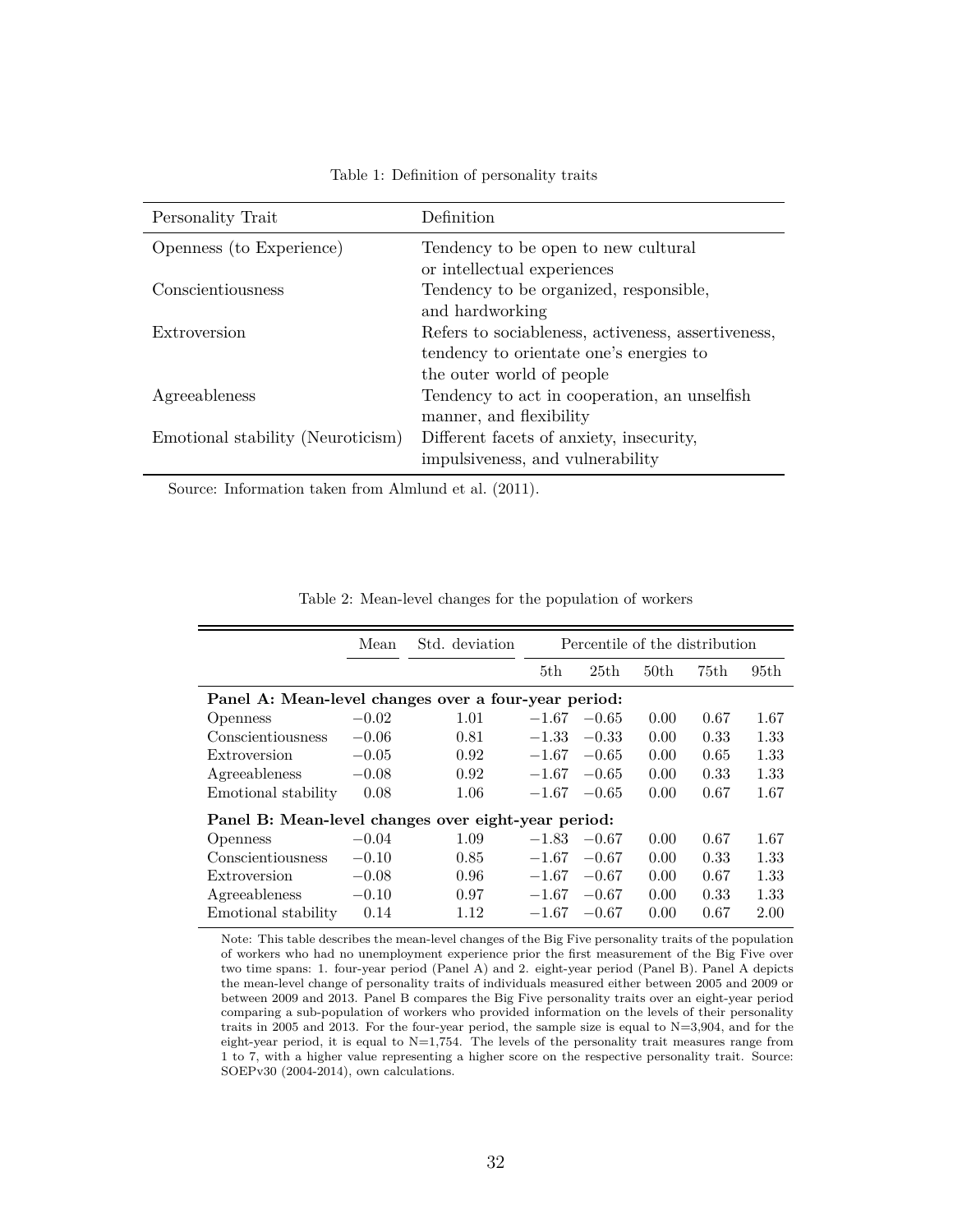| Personality Trait                 | Definition                                         |
|-----------------------------------|----------------------------------------------------|
| Openness (to Experience)          | Tendency to be open to new cultural                |
|                                   | or intellectual experiences                        |
| Conscientiousness                 | Tendency to be organized, responsible,             |
|                                   | and hardworking                                    |
| Extroversion                      | Refers to sociableness, activeness, assertiveness, |
|                                   | tendency to orientate one's energies to            |
|                                   | the outer world of people                          |
| Agreeableness                     | Tendency to act in cooperation, an unselfish       |
|                                   | manner, and flexibility                            |
| Emotional stability (Neuroticism) | Different facets of anxiety, insecurity,           |
|                                   | impulsiveness, and vulnerability                   |

Table 1: Definition of personality traits

Source: Information taken from Almlund et al. (2011).

Table 2: Mean-level changes for the population of workers

|                                                      | Mean    | Std. deviation | Percentile of the distribution |         |                  |      |      |
|------------------------------------------------------|---------|----------------|--------------------------------|---------|------------------|------|------|
|                                                      |         |                | 5th                            | 25th    | 50 <sub>th</sub> | 75th | 95th |
| Panel A: Mean-level changes over a four-year period: |         |                |                                |         |                  |      |      |
| <b>Openness</b>                                      | $-0.02$ | 1.01           | $-1.67$                        | $-0.65$ | 0.00             | 0.67 | 1.67 |
| Conscientiousness                                    | $-0.06$ | 0.81           | $-1.33$                        | $-0.33$ | 0.00             | 0.33 | 1.33 |
| Extroversion                                         | $-0.05$ | 0.92           | $-1.67$                        | $-0.65$ | 0.00             | 0.65 | 1.33 |
| Agreeableness                                        | $-0.08$ | 0.92           | $-1.67$                        | $-0.65$ | 0.00             | 0.33 | 1.33 |
| Emotional stability                                  | 0.08    | 1.06           | $-1.67$                        | $-0.65$ | 0.00             | 0.67 | 1.67 |
| Panel B: Mean-level changes over eight-year period:  |         |                |                                |         |                  |      |      |
| <b>Openness</b>                                      | $-0.04$ | 1.09           | $-1.83$                        | $-0.67$ | 0.00             | 0.67 | 1.67 |
| Conscientiousness                                    | $-0.10$ | 0.85           | $-1.67$                        | $-0.67$ | 0.00             | 0.33 | 1.33 |
| Extroversion                                         | $-0.08$ | 0.96           | $-1.67$                        | $-0.67$ | 0.00             | 0.67 | 1.33 |
| Agreeableness                                        | $-0.10$ | 0.97           | $-1.67$                        | $-0.67$ | 0.00             | 0.33 | 1.33 |
| Emotional stability                                  | 0.14    | 1.12           | $-1.67$                        | $-0.67$ | 0.00             | 0.67 | 2.00 |

Note: This table describes the mean-level changes of the Big Five personality traits of the population of workers who had no unemployment experience prior the first measurement of the Big Five over two time spans: 1. four-year period (Panel A) and 2. eight-year period (Panel B). Panel A depicts the mean-level change of personality traits of individuals measured either between 2005 and 2009 or between 2009 and 2013. Panel B compares the Big Five personality traits over an eight-year period comparing a sub-population of workers who provided information on the levels of their personality traits in 2005 and 2013. For the four-year period, the sample size is equal to N=3,904, and for the eight-year period, it is equal to  $N=1,754$ . The levels of the personality trait measures range from 1 to 7, with a higher value representing a higher score on the respective personality trait. Source: SOEPv30 (2004-2014), own calculations.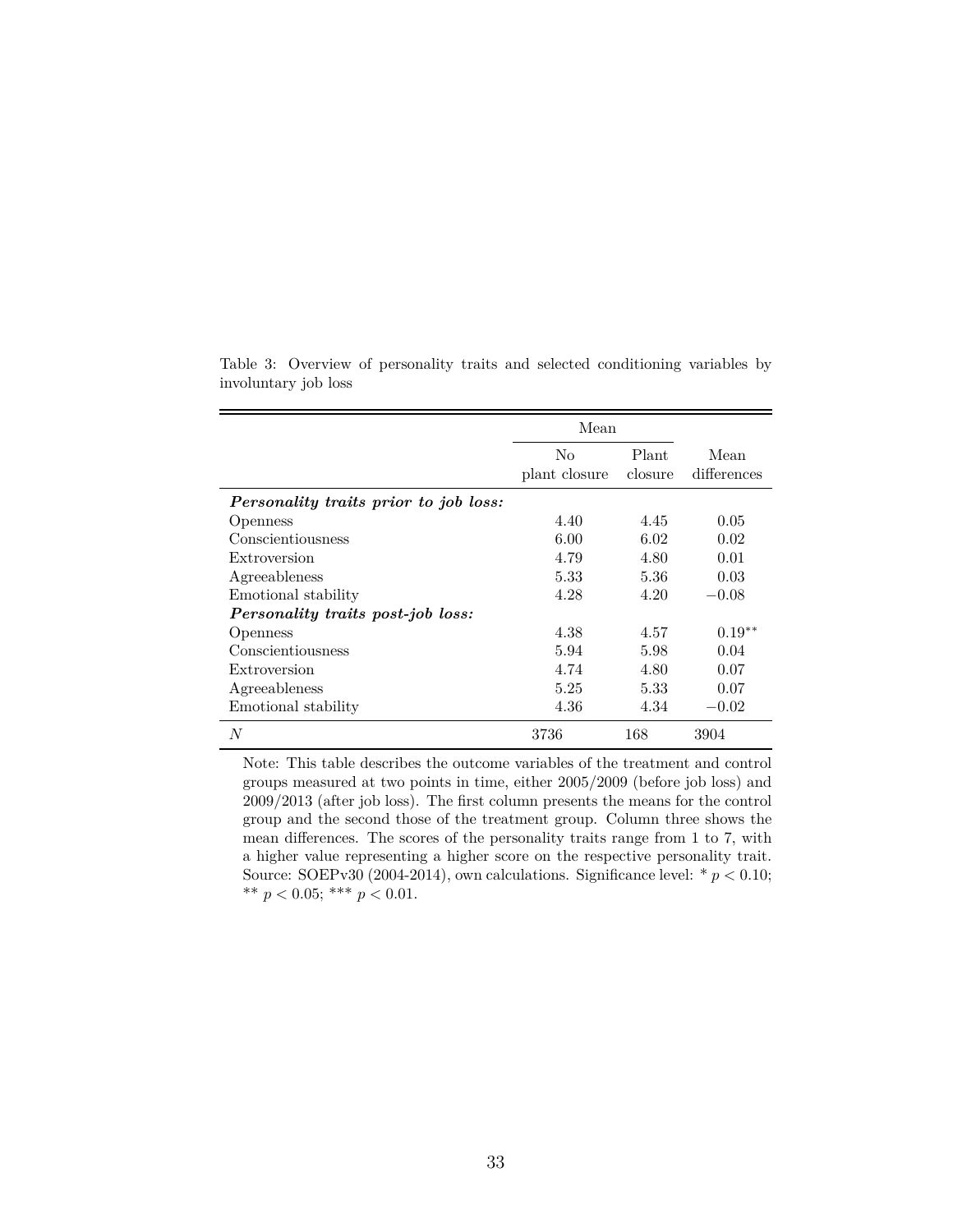|                                              | Mean                |                  |                     |  |
|----------------------------------------------|---------------------|------------------|---------------------|--|
|                                              | No<br>plant closure | Plant<br>closure | Mean<br>differences |  |
| <i>Personality traits prior to job loss:</i> |                     |                  |                     |  |
| <i>Openness</i>                              | 4.40                | 4.45             | 0.05                |  |
| Conscientiousness                            | 6.00                | 6.02             | 0.02                |  |
| Extroversion                                 | 4.79                | 4.80             | 0.01                |  |
| Agreeableness                                | 5.33                | 5.36             | 0.03                |  |
| Emotional stability                          | 4.28                | 4.20             | $-0.08$             |  |
| <i>Personality traits post-job loss:</i>     |                     |                  |                     |  |
| <i>Openness</i>                              | 4.38                | 4.57             | $0.19**$            |  |
| Conscientiousness                            | 5.94                | 5.98             | 0.04                |  |
| Extroversion                                 | 4.74                | 4.80             | 0.07                |  |
| Agreeableness                                | 5.25                | 5.33             | 0.07                |  |
| Emotional stability                          | 4.36                | 4.34             | $-0.02$             |  |
| $\overline{N}$                               | 3736                | 168              | 3904                |  |

Table 3: Overview of personality traits and selected conditioning variables by involuntary job loss

Note: This table describes the outcome variables of the treatment and control groups measured at two points in time, either 2005/2009 (before job loss) and 2009/2013 (after job loss). The first column presents the means for the control group and the second those of the treatment group. Column three shows the mean differences. The scores of the personality traits range from 1 to 7, with a higher value representing a higher score on the respective personality trait. Source: SOEPv30 (2004-2014), own calculations. Significance level:  $* p < 0.10$ ; \*\*  $p < 0.05$ ; \*\*\*  $p < 0.01$ .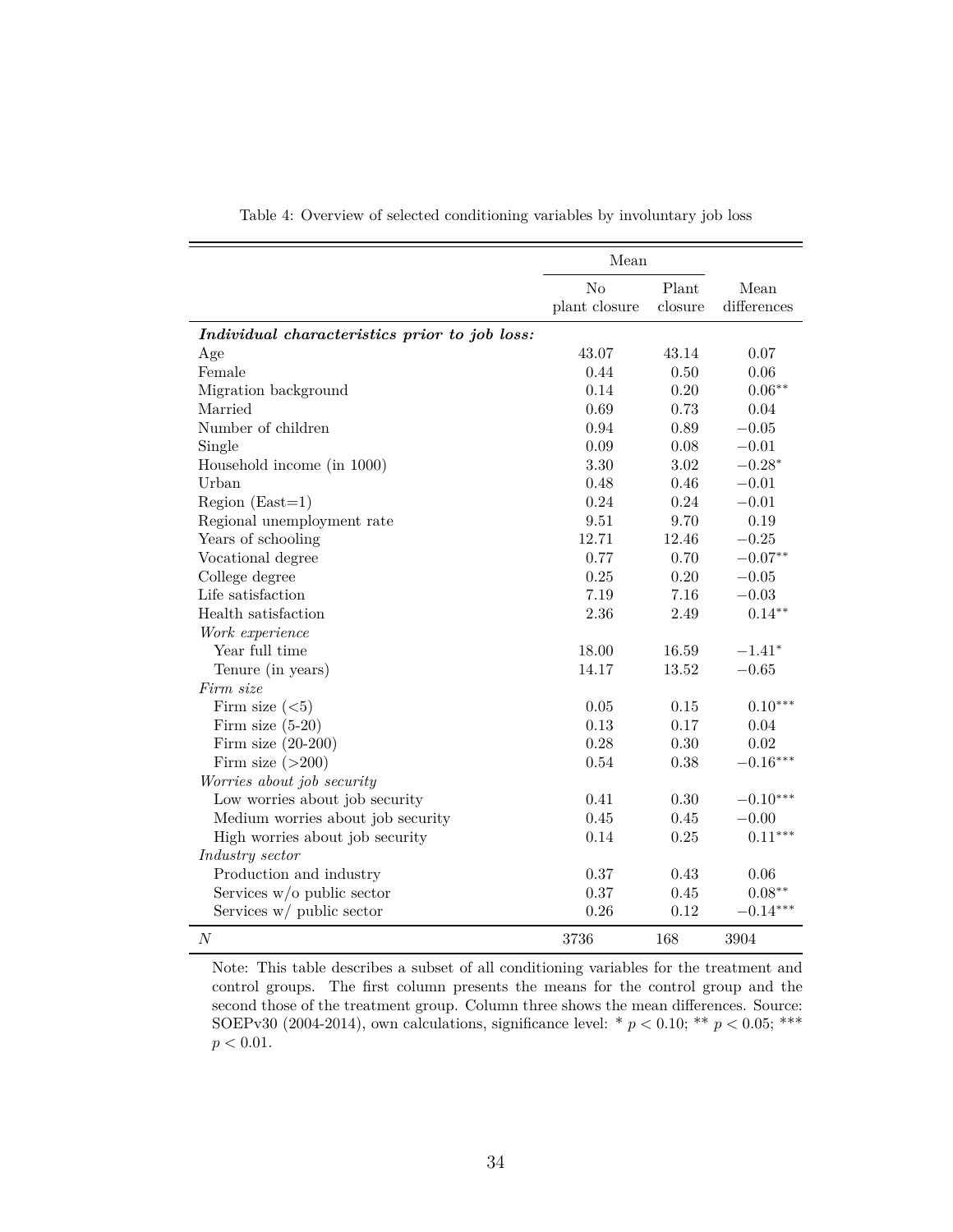|                                               | Mean           |         |             |
|-----------------------------------------------|----------------|---------|-------------|
|                                               | N <sub>o</sub> | Plant   | Mean        |
|                                               | plant closure  | closure | differences |
| Individual characteristics prior to job loss: |                |         |             |
| Age                                           | 43.07          | 43.14   | 0.07        |
| Female                                        | 0.44           | 0.50    | 0.06        |
| Migration background                          | 0.14           | 0.20    | $0.06**$    |
| Married                                       | 0.69           | 0.73    | 0.04        |
| Number of children                            | 0.94           | 0.89    | $-0.05$     |
| Single                                        | 0.09           | 0.08    | $-0.01$     |
| Household income (in 1000)                    | 3.30           | 3.02    | $-0.28*$    |
| Urban                                         | 0.48           | 0.46    | $-0.01$     |
| $Region (East=1)$                             | 0.24           | 0.24    | $-0.01$     |
| Regional unemployment rate                    | 9.51           | 9.70    | 0.19        |
| Years of schooling                            | 12.71          | 12.46   | $-0.25$     |
| Vocational degree                             | 0.77           | 0.70    | $-0.07**$   |
| College degree                                | $0.25\,$       | 0.20    | $-0.05$     |
| Life satisfaction                             | 7.19           | 7.16    | $-0.03$     |
| Health satisfaction                           | 2.36           | 2.49    | $0.14***$   |
| Work experience                               |                |         |             |
| Year full time                                | 18.00          | 16.59   | $-1.41*$    |
| Tenure (in years)                             | 14.17          | 13.52   | $-0.65$     |
| Firm size                                     |                |         |             |
| Firm size $(5)$                               | 0.05           | 0.15    | $0.10***$   |
| Firm size $(5-20)$                            | 0.13           | 0.17    | 0.04        |
| Firm size $(20-200)$                          | 0.28           | 0.30    | 0.02        |
| Firm size $(>200)$                            | 0.54           | 0.38    | $-0.16***$  |
| Worries about job security                    |                |         |             |
| Low worries about job security                | 0.41           | 0.30    | $-0.10***$  |
| Medium worries about job security             | 0.45           | 0.45    | $-0.00$     |
| High worries about job security               | 0.14           | 0.25    | $0.11***$   |
| Industry sector                               |                |         |             |
| Production and industry                       | 0.37           | 0.43    | 0.06        |
| Services $w/o$ public sector                  | 0.37           | 0.45    | $0.08**$    |
| Services w/ public sector                     | 0.26           | 0.12    | $-0.14***$  |
| $\overline{N}$                                | 3736           | 168     | 3904        |

Table 4: Overview of selected conditioning variables by involuntary job loss

Note: This table describes a subset of all conditioning variables for the treatment and control groups. The first column presents the means for the control group and the second those of the treatment group. Column three shows the mean differences. Source: SOEPv30 (2004-2014), own calculations, significance level: \*  $p < 0.10$ ; \*\*  $p < 0.05$ ; \*\*\*  $p < 0.01.$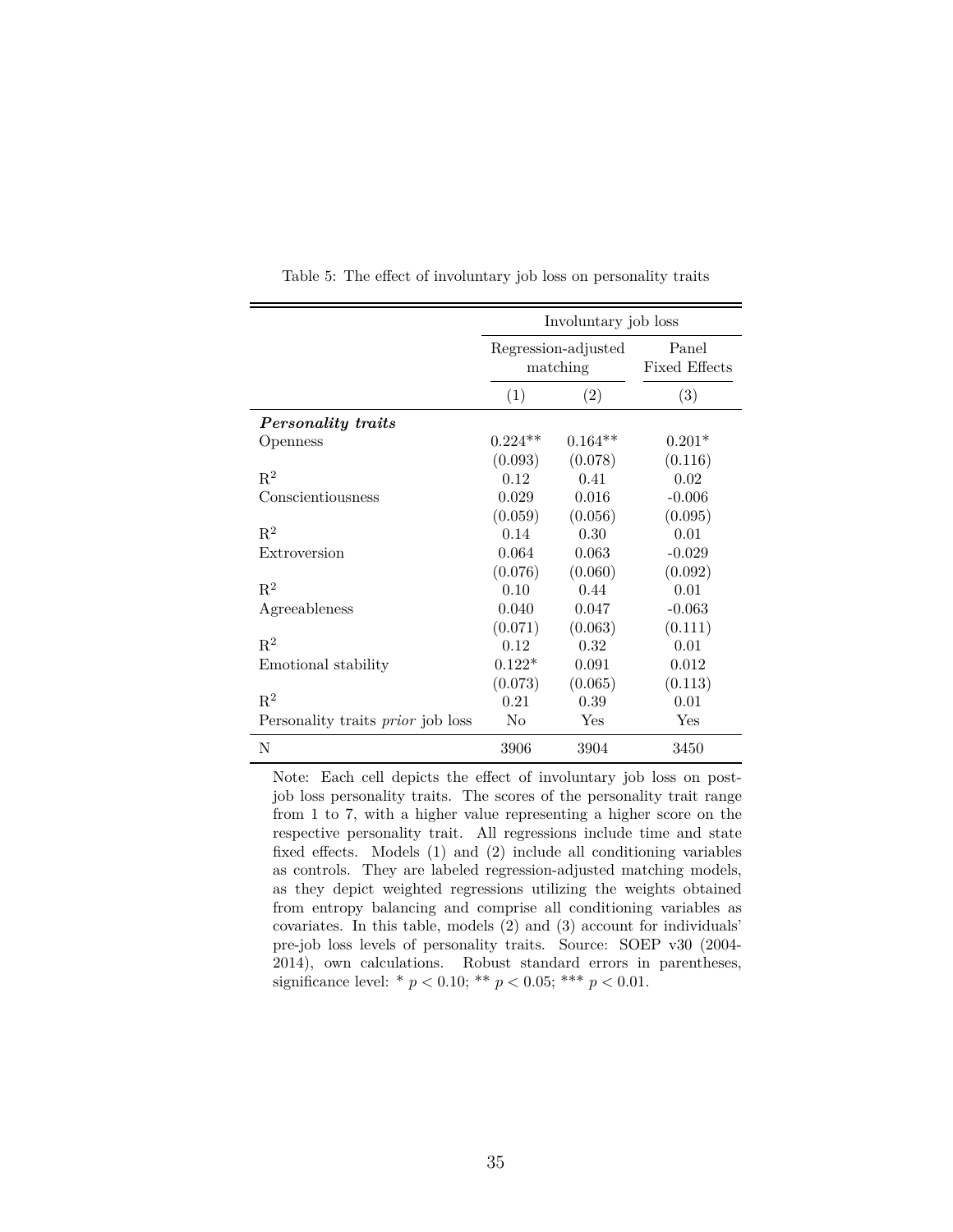|                                          | Involuntary job loss            |           |                               |  |
|------------------------------------------|---------------------------------|-----------|-------------------------------|--|
|                                          | Regression-adjusted<br>matching |           | Panel<br><b>Fixed Effects</b> |  |
|                                          | (1)                             | (2)       | (3)                           |  |
| <b>Personality</b> traits                |                                 |           |                               |  |
| Openness                                 | $0.224**$                       | $0.164**$ | $0.201*$                      |  |
|                                          | (0.093)                         | (0.078)   | (0.116)                       |  |
| $\mathbf{R}^2$                           | 0.12                            | 0.41      | 0.02                          |  |
| Conscientiousness                        | 0.029                           | 0.016     | $-0.006$                      |  |
|                                          | (0.059)                         | (0.056)   | (0.095)                       |  |
| $\mathbf{R}^2$                           | 0.14                            | 0.30      | 0.01                          |  |
| Extroversion                             | 0.064                           | 0.063     | $-0.029$                      |  |
|                                          | (0.076)                         | (0.060)   | (0.092)                       |  |
| $\mathbf{R}^2$                           | 0.10                            | 0.44      | 0.01                          |  |
| Agreeableness                            | 0.040                           | 0.047     | $-0.063$                      |  |
|                                          | (0.071)                         | (0.063)   | (0.111)                       |  |
| $\mathbf{R}^2$                           | 0.12                            | 0.32      | 0.01                          |  |
| Emotional stability                      | $0.122*$                        | 0.091     | 0.012                         |  |
|                                          | (0.073)                         | (0.065)   | (0.113)                       |  |
| $R^2$                                    | 0.21                            | 0.39      | 0.01                          |  |
| Personality traits <i>prior</i> job loss | $\rm No$                        | Yes       | Yes                           |  |
| N                                        | 3906                            | 3904      | 3450                          |  |

Table 5: The effect of involuntary job loss on personality traits

Note: Each cell depicts the effect of involuntary job loss on postjob loss personality traits. The scores of the personality trait range from 1 to 7, with a higher value representing a higher score on the respective personality trait. All regressions include time and state fixed effects. Models (1) and (2) include all conditioning variables as controls. They are labeled regression-adjusted matching models, as they depict weighted regressions utilizing the weights obtained from entropy balancing and comprise all conditioning variables as covariates. In this table, models (2) and (3) account for individuals' pre-job loss levels of personality traits. Source: SOEP v30 (2004- 2014), own calculations. Robust standard errors in parentheses, significance level: \*  $p < 0.10$ ; \*\*  $p < 0.05$ ; \*\*\*  $p < 0.01$ .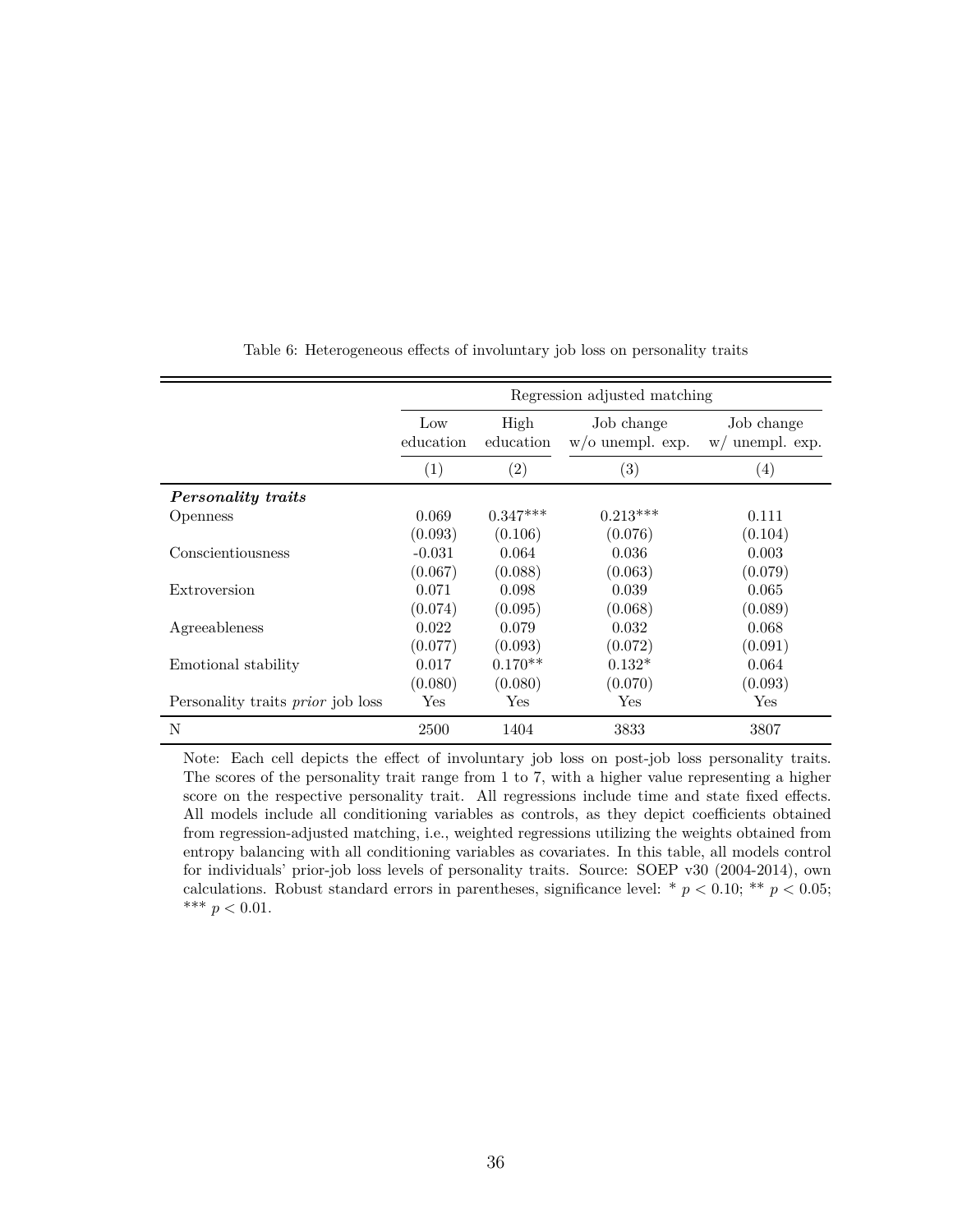|                                          | Regression adjusted matching |                      |                                   |                                 |  |
|------------------------------------------|------------------------------|----------------------|-----------------------------------|---------------------------------|--|
|                                          | Low<br>education             | High<br>education    | Job change<br>$w$ /o unempl. exp. | Job change<br>$w/$ unempl. exp. |  |
|                                          | (1)                          | $\left( 2\right)$    | (3)                               | $\left( 4\right)$               |  |
| <b>Personality traits</b>                |                              |                      |                                   |                                 |  |
| <i>Openness</i>                          | 0.069                        | $0.347***$           | $0.213***$                        | 0.111                           |  |
|                                          | (0.093)                      | (0.106)              | (0.076)                           | (0.104)                         |  |
| Conscientiousness                        | $-0.031$                     | 0.064                | 0.036                             | 0.003                           |  |
|                                          | (0.067)                      | (0.088)              | (0.063)                           | (0.079)                         |  |
| Extroversion                             | 0.071                        | 0.098                | 0.039                             | 0.065                           |  |
|                                          | (0.074)                      | (0.095)              | (0.068)                           | (0.089)                         |  |
| Agreeableness                            | 0.022                        | 0.079                | 0.032                             | 0.068                           |  |
|                                          | (0.077)                      | (0.093)              | (0.072)                           | (0.091)                         |  |
| Emotional stability                      | 0.017                        | $0.170**$            | $0.132*$                          | 0.064                           |  |
|                                          | (0.080)                      | (0.080)              | (0.070)                           | (0.093)                         |  |
| Personality traits <i>prior</i> job loss | Yes                          | $\operatorname{Yes}$ | Yes                               | Yes                             |  |
| N                                        | 2500                         | 1404                 | 3833                              | 3807                            |  |

Table 6: Heterogeneous effects of involuntary job loss on personality traits

Note: Each cell depicts the effect of involuntary job loss on post-job loss personality traits. The scores of the personality trait range from 1 to 7, with a higher value representing a higher score on the respective personality trait. All regressions include time and state fixed effects. All models include all conditioning variables as controls, as they depict coefficients obtained from regression-adjusted matching, i.e., weighted regressions utilizing the weights obtained from entropy balancing with all conditioning variables as covariates. In this table, all models control for individuals' prior-job loss levels of personality traits. Source: SOEP v30 (2004-2014), own calculations. Robust standard errors in parentheses, significance level: \*  $p < 0.10$ ; \*\*  $p < 0.05$ ; \*\*\*  $p < 0.01$ .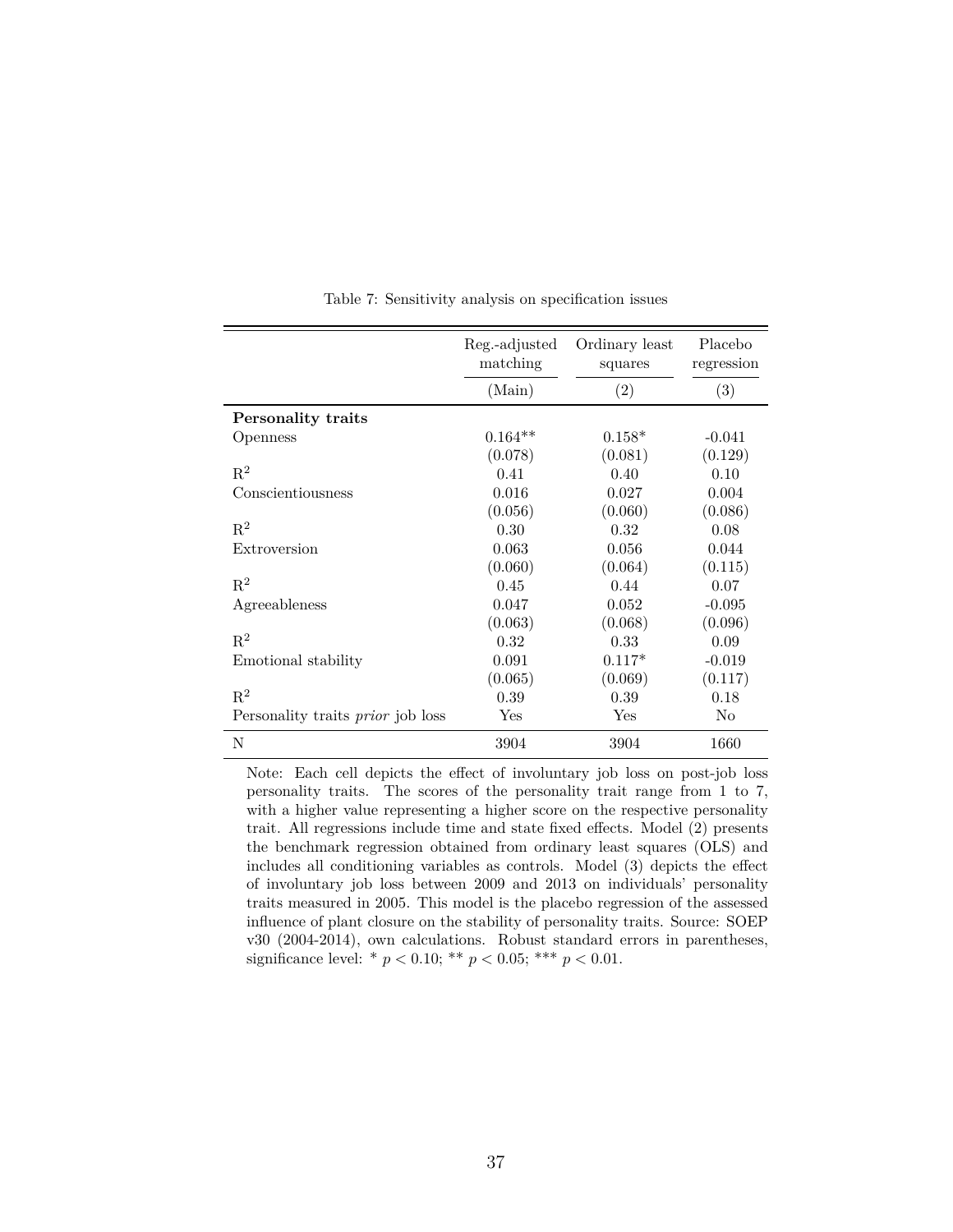|                                          | Reg.-adjusted<br>matching | Ordinary least<br>squares | Placebo<br>regression |
|------------------------------------------|---------------------------|---------------------------|-----------------------|
|                                          | (Main)                    | (2)                       | (3)                   |
| Personality traits                       |                           |                           |                       |
| Openness                                 | $0.164**$                 | $0.158*$                  | $-0.041$              |
|                                          | (0.078)                   | (0.081)                   | (0.129)               |
| $\mathbb{R}^2$                           | 0.41                      | 0.40                      | 0.10                  |
| Conscientiousness                        | 0.016                     | 0.027                     | 0.004                 |
|                                          | (0.056)                   | (0.060)                   | (0.086)               |
| $\mathbf{R}^2$                           | 0.30                      | 0.32                      | 0.08                  |
| Extroversion                             | 0.063                     | 0.056                     | 0.044                 |
|                                          | (0.060)                   | (0.064)                   | (0.115)               |
| $\mathbb{R}^2$                           | 0.45                      | 0.44                      | 0.07                  |
| Agreeableness                            | 0.047                     | 0.052                     | $-0.095$              |
|                                          | (0.063)                   | (0.068)                   | (0.096)               |
| $\mathbf{R}^2$                           | 0.32                      | 0.33                      | 0.09                  |
| Emotional stability                      | 0.091                     | $0.117*$                  | $-0.019$              |
|                                          | (0.065)                   | (0.069)                   | (0.117)               |
| $R^2$                                    | 0.39                      | 0.39                      | 0.18                  |
| Personality traits <i>prior</i> job loss | $_{\rm Yes}$              | Yes                       | No                    |
| N                                        | 3904                      | 3904                      | 1660                  |

Table 7: Sensitivity analysis on specification issues

Note: Each cell depicts the effect of involuntary job loss on post-job loss personality traits. The scores of the personality trait range from 1 to 7, with a higher value representing a higher score on the respective personality trait. All regressions include time and state fixed effects. Model (2) presents the benchmark regression obtained from ordinary least squares (OLS) and includes all conditioning variables as controls. Model (3) depicts the effect of involuntary job loss between 2009 and 2013 on individuals' personality traits measured in 2005. This model is the placebo regression of the assessed influence of plant closure on the stability of personality traits. Source: SOEP v30 (2004-2014), own calculations. Robust standard errors in parentheses, significance level: \*  $p < 0.10$ ; \*\*  $p < 0.05$ ; \*\*\*  $p < 0.01$ .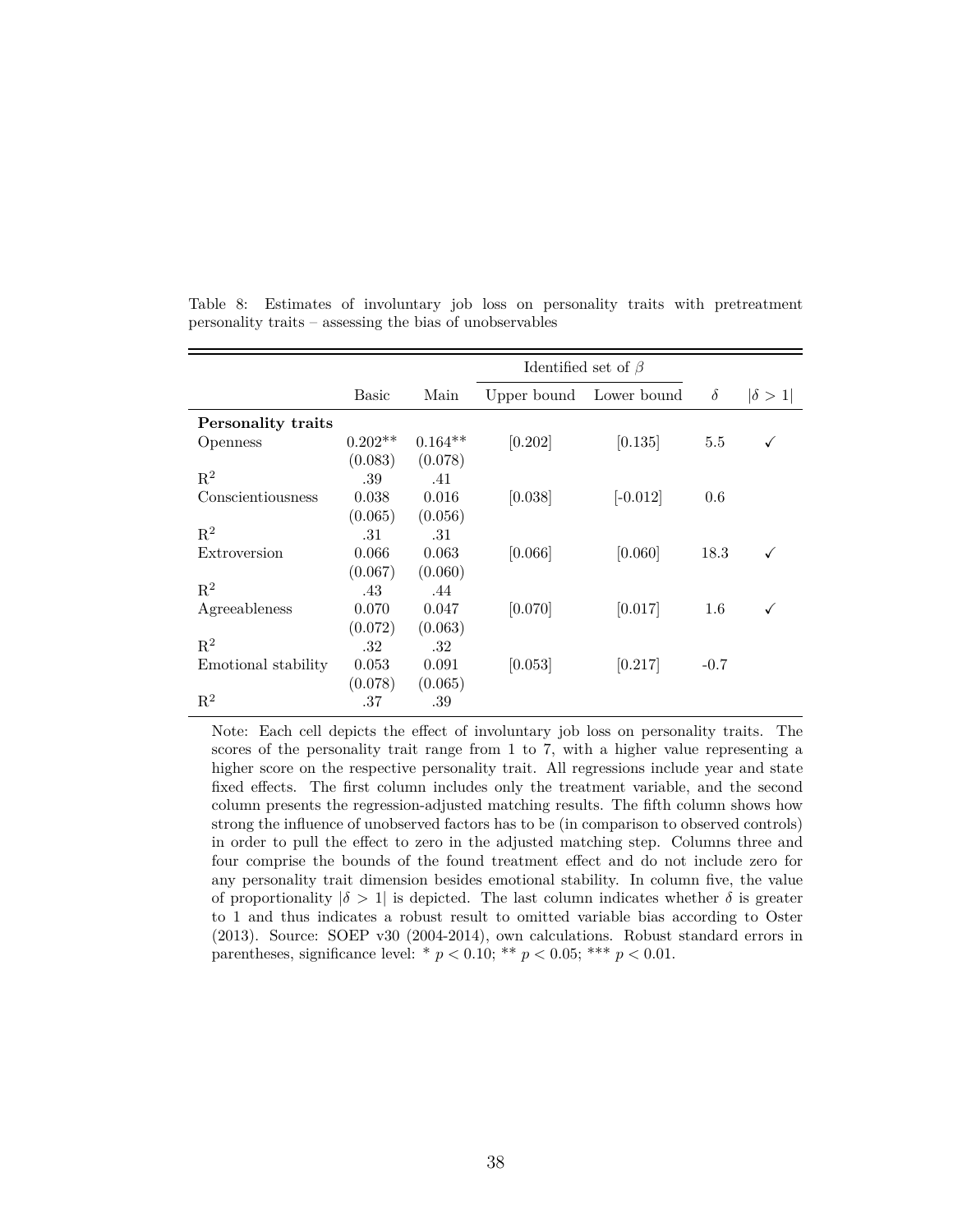|                     | Identified set of $\beta$ |           |             |             |          |                |
|---------------------|---------------------------|-----------|-------------|-------------|----------|----------------|
|                     | <b>Basic</b>              | Main      | Upper bound | Lower bound | $\delta$ | $ \delta > 1 $ |
| Personality traits  |                           |           |             |             |          |                |
| Openness            | $0.202**$                 | $0.164**$ | [0.202]     | [0.135]     | 5.5      |                |
|                     | (0.083)                   | (0.078)   |             |             |          |                |
| $\mathbf{R}^2$      | .39                       | .41       |             |             |          |                |
| Conscientiousness   | 0.038                     | 0.016     | [0.038]     | $[-0.012]$  | 0.6      |                |
|                     | (0.065)                   | (0.056)   |             |             |          |                |
| $\mathbf{R}^2$      | .31                       | .31       |             |             |          |                |
| Extroversion        | 0.066                     | 0.063     | [0.066]     | [0.060]     | 18.3     |                |
|                     | (0.067)                   | (0.060)   |             |             |          |                |
| $\mathbf{R}^2$      | .43                       | .44       |             |             |          |                |
| Agreeableness       | 0.070                     | 0.047     | [0.070]     | [0.017]     | $1.6\,$  |                |
|                     | (0.072)                   | (0.063)   |             |             |          |                |
| $\mathbf{R}^2$      | .32                       | .32       |             |             |          |                |
| Emotional stability | 0.053                     | 0.091     | [0.053]     | [0.217]     | $-0.7$   |                |
|                     | (0.078)                   | (0.065)   |             |             |          |                |
| $\mathbf{R}^2$      | .37                       | .39       |             |             |          |                |

Table 8: Estimates of involuntary job loss on personality traits with pretreatment personality traits – assessing the bias of unobservables

Note: Each cell depicts the effect of involuntary job loss on personality traits. The scores of the personality trait range from 1 to 7, with a higher value representing a higher score on the respective personality trait. All regressions include year and state fixed effects. The first column includes only the treatment variable, and the second column presents the regression-adjusted matching results. The fifth column shows how strong the influence of unobserved factors has to be (in comparison to observed controls) in order to pull the effect to zero in the adjusted matching step. Columns three and four comprise the bounds of the found treatment effect and do not include zero for any personality trait dimension besides emotional stability. In column five, the value of proportionality  $|\delta > 1|$  is depicted. The last column indicates whether  $\delta$  is greater to 1 and thus indicates a robust result to omitted variable bias according to Oster (2013). Source: SOEP v30 (2004-2014), own calculations. Robust standard errors in parentheses, significance level: \*  $p < 0.10$ ; \*\*  $p < 0.05$ ; \*\*\*  $p < 0.01$ .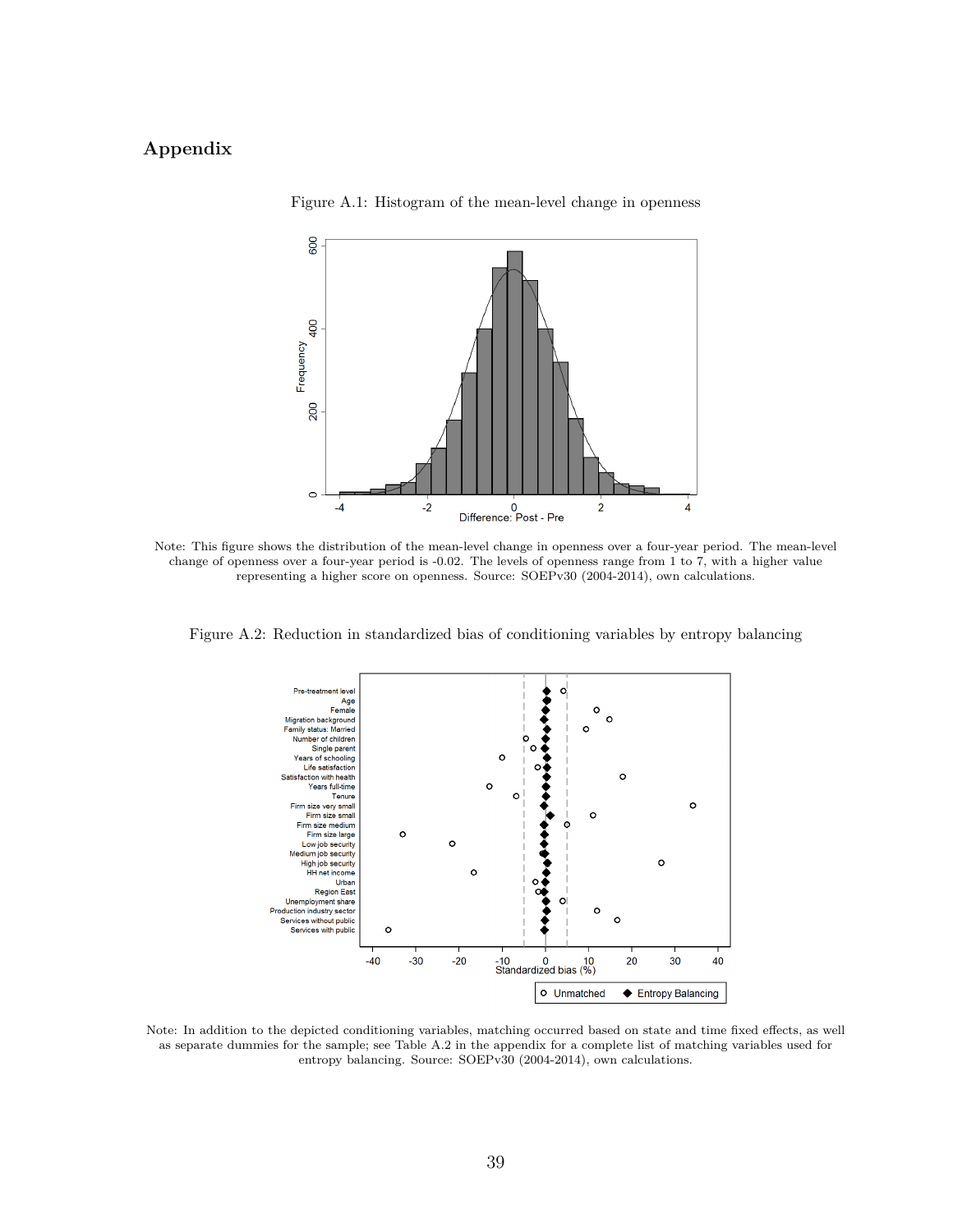### **Appendix**



Figure A.1: Histogram of the mean-level change in openness

Note: This figure shows the distribution of the mean-level change in openness over a four-year period. The mean-level change of openness over a four-year period is -0.02. The levels of openness range from 1 to 7, with a higher value representing a higher score on openness. Source: SOEPv30 (2004-2014), own calculations.

Figure A.2: Reduction in standardized bias of conditioning variables by entropy balancing



Note: In addition to the depicted conditioning variables, matching occurred based on state and time fixed effects, as well as separate dummies for the sample; see Table A.2 in the appendix for a complete list of matching variables used for entropy balancing. Source: SOEPv30 (2004-2014), own calculations.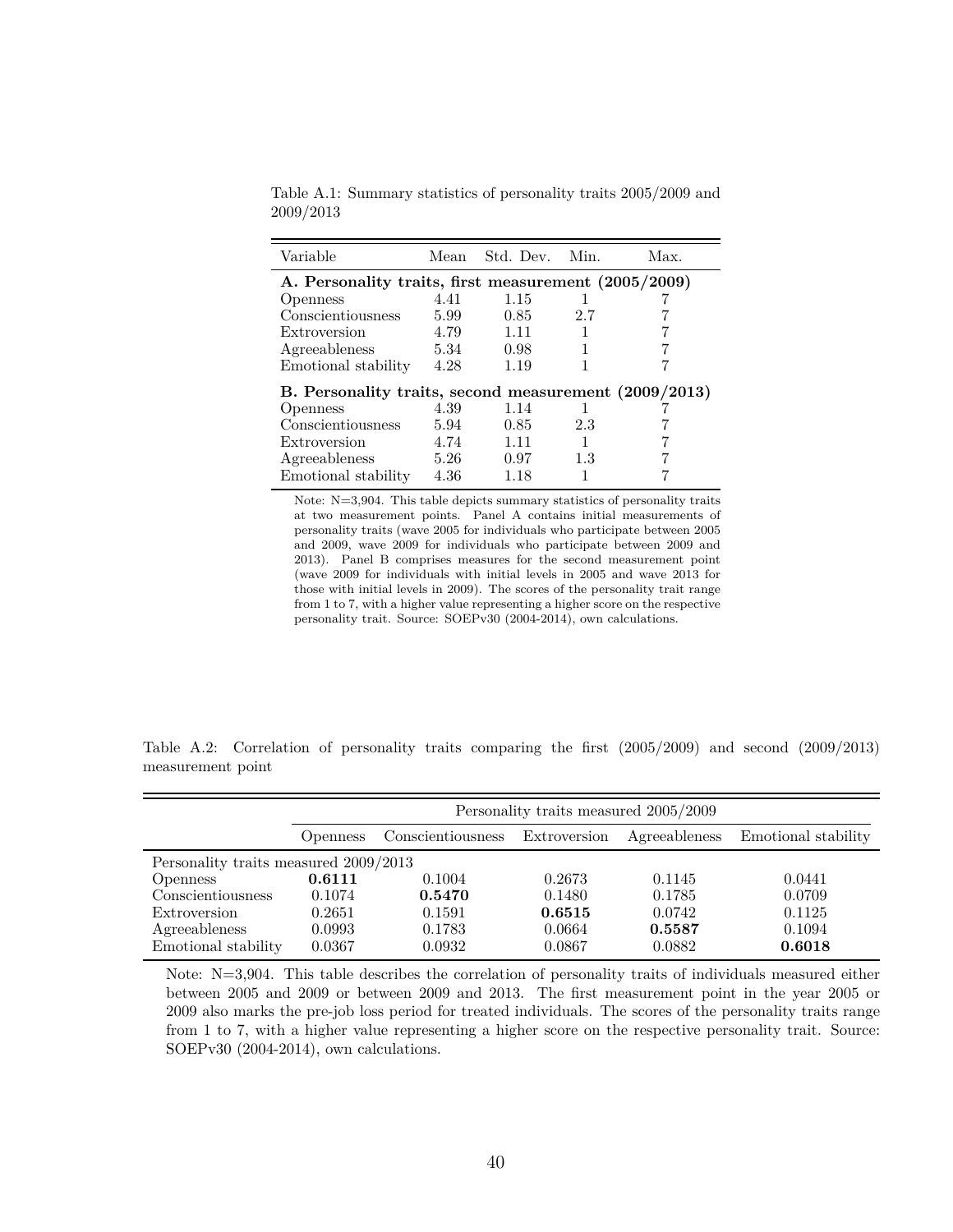| Variable                                              | Mean | Std. Dev. Min. |     | Max. |  |  |
|-------------------------------------------------------|------|----------------|-----|------|--|--|
| A. Personality traits, first measurement (2005/2009)  |      |                |     |      |  |  |
| Openness                                              | 4.41 | 1.15           |     |      |  |  |
| Conscientiousness                                     | 5.99 | 0.85           | 2.7 |      |  |  |
| Extroversion                                          | 4.79 | 1.11           |     |      |  |  |
| Agreeableness                                         | 5.34 | 0.98           |     |      |  |  |
| Emotional stability                                   | 4.28 | 1.19           |     |      |  |  |
| B. Personality traits, second measurement (2009/2013) |      |                |     |      |  |  |
| Openness                                              | 4.39 | 1.14           |     |      |  |  |
| Conscientiousness                                     | 5.94 | 0.85           | 2.3 |      |  |  |
| Extroversion                                          | 4.74 | 1.11           | 1   |      |  |  |
| Agreeableness                                         | 5.26 | 0.97           | 1.3 |      |  |  |
| Emotional stability                                   | 4.36 | 1.18           |     |      |  |  |

Table A.1: Summary statistics of personality traits 2005/2009 and 2009/2013

Note:  $N=3,904$ . This table depicts summary statistics of personality traits at two measurement points. Panel A contains initial measurements of personality traits (wave 2005 for individuals who participate between 2005 and 2009, wave 2009 for individuals who participate between 2009 and 2013). Panel B comprises measures for the second measurement point (wave 2009 for individuals with initial levels in 2005 and wave 2013 for those with initial levels in 2009). The scores of the personality trait range from 1 to 7, with a higher value representing a higher score on the respective personality trait. Source: SOEPv30 (2004-2014), own calculations.

Table A.2: Correlation of personality traits comparing the first (2005/2009) and second (2009/2013) measurement point

|                                         | Personality traits measured $2005/2009$ |                                |        |        |                                   |  |  |
|-----------------------------------------|-----------------------------------------|--------------------------------|--------|--------|-----------------------------------|--|--|
|                                         | <i>Openness</i>                         | Conscientiousness Extroversion |        |        | Agreeableness Emotional stability |  |  |
| Personality traits measured $2009/2013$ |                                         |                                |        |        |                                   |  |  |
| <i>Openness</i>                         | 0.6111                                  | 0.1004                         | 0.2673 | 0.1145 | 0.0441                            |  |  |
| Conscientiousness                       | 0.1074                                  | 0.5470                         | 0.1480 | 0.1785 | 0.0709                            |  |  |
| Extroversion                            | 0.2651                                  | 0.1591                         | 0.6515 | 0.0742 | 0.1125                            |  |  |
| Agreeableness                           | 0.0993                                  | 0.1783                         | 0.0664 | 0.5587 | 0.1094                            |  |  |
| Emotional stability                     | 0.0367                                  | 0.0932                         | 0.0867 | 0.0882 | 0.6018                            |  |  |

Note: N=3,904. This table describes the correlation of personality traits of individuals measured either between 2005 and 2009 or between 2009 and 2013. The first measurement point in the year 2005 or 2009 also marks the pre-job loss period for treated individuals. The scores of the personality traits range from 1 to 7, with a higher value representing a higher score on the respective personality trait. Source: SOEPv30 (2004-2014), own calculations.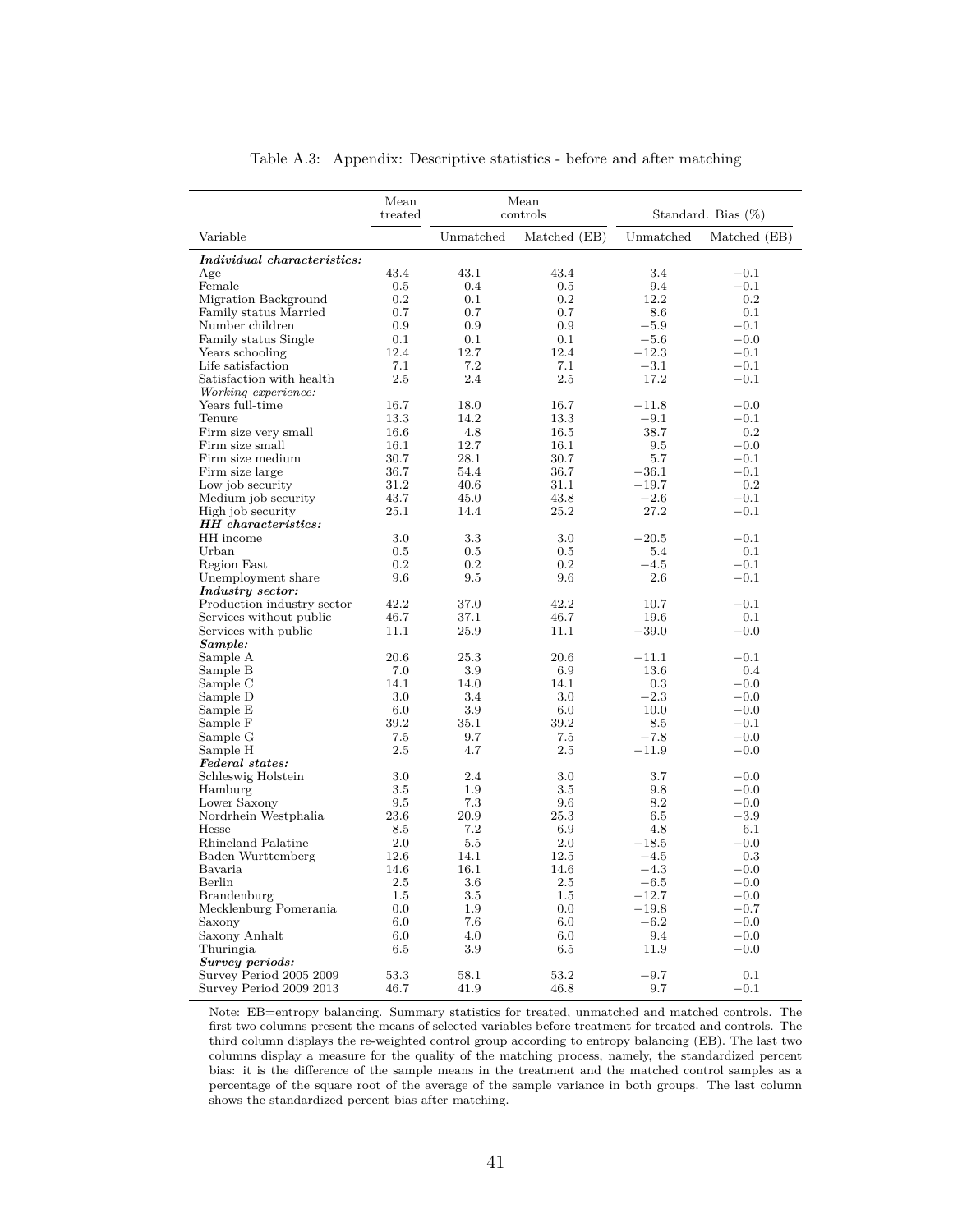|                                            | Mean<br>treated | Mean<br>controls |              | Standard. Bias $(\%)$ |                  |
|--------------------------------------------|-----------------|------------------|--------------|-----------------------|------------------|
| Variable                                   |                 | Unmatched        | Matched (EB) | Unmatched             | Matched (EB)     |
| Individual characteristics:                |                 |                  |              |                       |                  |
| Age                                        | 43.4            | 43.1             | 43.4         | 3.4                   | $-0.1$           |
| Female                                     | 0.5             | 0.4              | 0.5          | 9.4                   | $-0.1$           |
| Migration Background                       | 0.2             | 0.1              | 0.2          | 12.2                  | 0.2              |
| Family status Married                      | 0.7             | 0.7              | 0.7          | 8.6                   | 0.1              |
| Number children                            | 0.9             | 0.9              | 0.9          | $-5.9$                | $-0.1$           |
| <b>Family status Single</b>                | 0.1             | 0.1              | 0.1          | $-5.6$                | $-0.0$           |
| Years schooling                            | 12.4            | 12.7             | 12.4         | $-12.3$               | $-0.1$           |
| Life satisfaction                          | 7.1             | 7.2              | 7.1          | $-3.1$                | $-0.1$           |
| Satisfaction with health                   | 2.5             | 2.4              | 2.5          | 17.2                  | $-0.1$           |
| Working experience:                        |                 |                  |              |                       |                  |
| Years full-time                            | 16.7            | 18.0             | 16.7         | $-11.8$               | $-0.0$           |
| Tenure                                     | 13.3            | 14.2             | 13.3         | $-9.1$                | $-0.1$           |
| Firm size very small                       | 16.6            | 4.8              | 16.5         | 38.7                  | $0.2\,$          |
| Firm size small                            | 16.1            | 12.7             | 16.1         | 9.5                   | $-0.0$           |
| Firm size medium                           | 30.7            | 28.1             | 30.7         | 5.7                   | $-0.1$           |
| Firm size large                            | 36.7            | 54.4             | 36.7         | $-36.1$               | $-0.1$           |
| Low job security                           | 31.2            | 40.6             | 31.1         | $-19.7$               | 0.2              |
| Medium job security                        | 43.7            | 45.0             | 43.8         | $-2.6$                | $-0.1$           |
| High job security                          | 25.1            | 14.4             | 25.2         | 27.2                  | $-0.1$           |
| <b>HH</b> characteristics:                 |                 |                  |              |                       |                  |
| HH income                                  | 3.0             | 3.3              | $3.0\,$      | $-20.5$               | $-0.1$           |
| Urban                                      | 0.5             | 0.5              | 0.5          | 5.4                   | 0.1              |
| Region East                                | 0.2             | 0.2              | 0.2          | $-4.5$                | $-0.1$           |
| Unemployment share                         | 9.6             | 9.5              | 9.6          | 2.6                   | $-0.1$           |
| Industry sector:                           |                 |                  |              |                       |                  |
| Production industry sector                 | 42.2            | 37.0             | 42.2         | 10.7                  | $-0.1$           |
| Services without public                    | 46.7            | 37.1             | 46.7         | 19.6                  | 0.1              |
| Services with public                       | 11.1            | 25.9             | 11.1         | $-39.0$               | $-0.0$           |
| Sample:                                    |                 |                  |              |                       |                  |
| Sample A                                   | 20.6            | 25.3             | 20.6         | $-11.1$               | $-0.1$           |
| Sample B                                   | 7.0             | 3.9              | 6.9          | 13.6                  | 0.4              |
| Sample C                                   | 14.1            | 14.0             | 14.1         | 0.3                   | $-0.0$           |
| Sample D                                   | 3.0             | 3.4              | 3.0          | $-2.3$                | $-0.0$           |
| Sample E                                   | 6.0             | 3.9              | 6.0          | 10.0                  | $-0.0$           |
| Sample F                                   | 39.2            | 35.1             | 39.2         | 8.5                   | $-0.1$           |
| Sample G                                   | 7.5             | 9.7              | $7.5\,$      | $-7.8$                | $-0.0$           |
| Sample H                                   | 2.5             | 4.7              | 2.5          | $-11.9$               | $-0.0$           |
| Federal states:                            |                 |                  | 3.0          |                       |                  |
| Schleswig Holstein                         | 3.0             | 2.4              |              | 3.7                   | $-0.0$           |
| Hamburg                                    | 3.5<br>9.5      | 1.9              | 3.5<br>9.6   | 9.8<br>8.2            | $-0.0$           |
| Lower Saxony                               | 23.6            | 7.3<br>20.9      | 25.3         | 6.5                   | $-0.0$<br>$-3.9$ |
| Nordrhein Westphalia<br>Hesse              | 8.5             | 7.2              | 6.9          | 4.8                   | 6.1              |
|                                            |                 |                  | 2.0          | $-18.5$               |                  |
| Rhineland Palatine                         | 2.0<br>12.6     | 5.5<br>14.1      | 12.5         | $-4.5$                | $-0.0$<br>0.3    |
| Baden Wurttemberg                          |                 |                  |              |                       |                  |
| Bavaria<br>Berlin                          | 14.6<br>2.5     | 16.1             | 14.6<br>2.5  | $-4.3$                | $-0.0$           |
|                                            |                 | 3.6              |              | $-6.5$                | $-0.0$           |
| Brandenburg                                | 1.5<br>0.0      | 3.5<br>1.9       | 1.5<br>0.0   | $-12.7$               | $-0.0$           |
| Mecklenburg Pomerania                      |                 |                  |              | $-19.8$<br>$-6.2$     | $-0.7$           |
| Saxony                                     | 6.0             | 7.6              | 6.0          |                       | $-0.0$           |
| Saxony Anhalt                              | 6.0             | 4.0              | 6.0          | 9.4                   | $-0.0$           |
| Thuringia                                  | 6.5             | 3.9              | 6.5          | 11.9                  | $-0.0$           |
| Survey periods:<br>Survey Period 2005 2009 | 53.3            | 58.1             | 53.2         | $-9.7$                | 0.1              |
| Survey Period 2009 2013                    | 46.7            | 41.9             | 46.8         | 9.7                   | $-0.1$           |
|                                            |                 |                  |              |                       |                  |

Table A.3: Appendix: Descriptive statistics - before and after matching

Note: EB=entropy balancing. Summary statistics for treated, unmatched and matched controls. The first two columns present the means of selected variables before treatment for treated and controls. The third column displays the re-weighted control group according to entropy balancing (EB). The last two columns display a measure for the quality of the matching process, namely, the standardized percent bias: it is the difference of the sample means in the treatment and the matched control samples as a percentage of the square root of the average of the sample variance in both groups. The last column shows the standardized percent bias after matching.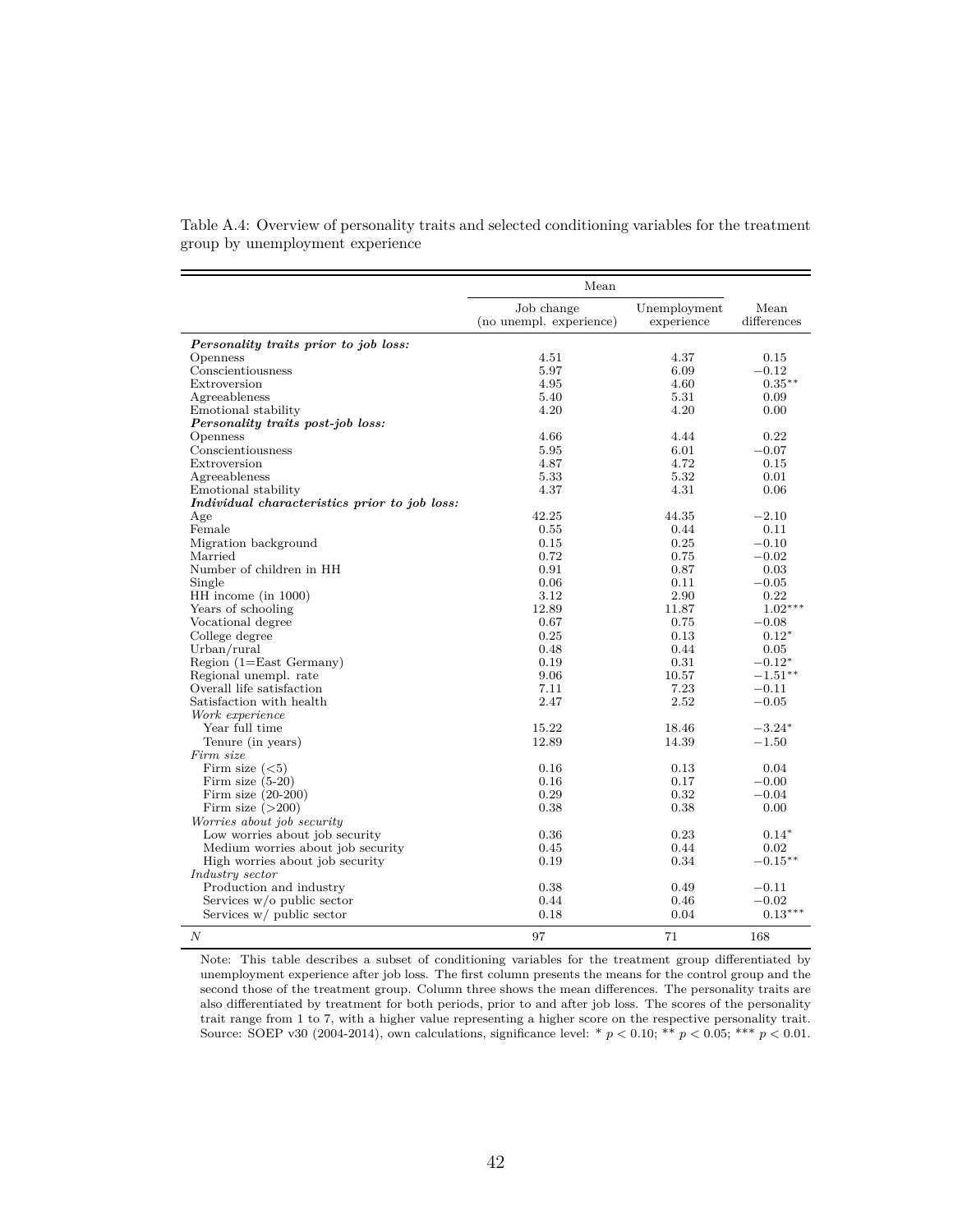|                                               | ${\it Mean}$                          |                            |                     |
|-----------------------------------------------|---------------------------------------|----------------------------|---------------------|
|                                               | Job change<br>(no unempl. experience) | Unemployment<br>experience | Mean<br>differences |
| <i>Personality traits prior to job loss:</i>  |                                       |                            |                     |
| Openness                                      | 4.51                                  | 4.37                       | 0.15                |
| Conscientiousness                             | 5.97                                  | 6.09                       | $-0.12$             |
| Extroversion                                  | 4.95                                  | 4.60                       | $0.35***$           |
| Agreeableness                                 | 5.40                                  | 5.31                       | 0.09                |
| Emotional stability                           | 4.20                                  | 4.20                       | 0.00                |
| Personality traits post-job loss:             |                                       |                            |                     |
| Openness                                      | 4.66                                  | 4.44                       | 0.22                |
| Conscientiousness                             | 5.95                                  | 6.01                       | $-0.07$             |
| Extroversion                                  | 4.87                                  | 4.72                       | 0.15                |
| Agreeableness                                 | 5.33                                  | 5.32                       | 0.01                |
| Emotional stability                           | 4.37                                  | 4.31                       | 0.06                |
| Individual characteristics prior to job loss: |                                       |                            |                     |
| Age                                           | 42.25                                 | 44.35                      | $-2.10$             |
| Female                                        | 0.55                                  | 0.44                       | 0.11                |
| Migration background                          | 0.15                                  | 0.25                       | $-0.10$             |
| Married                                       | 0.72                                  | 0.75                       | $-0.02$             |
| Number of children in HH                      | 0.91                                  | 0.87                       | 0.03                |
| Single                                        | 0.06                                  | 0.11                       | $-0.05$             |
| HH income (in 1000)                           | 3.12                                  | 2.90                       | 0.22                |
| Years of schooling                            | 12.89                                 | 11.87                      | $1.02***$           |
| Vocational degree                             | 0.67                                  | 0.75                       | $-0.08$             |
| College degree                                | 0.25                                  | 0.13                       | $0.12*$             |
| Urban/rural                                   | 0.48                                  | 0.44                       | 0.05                |
| Region $(1=East Germany)$                     | 0.19                                  | 0.31                       | $-0.12*$            |
| Regional unempl. rate                         | 9.06                                  | 10.57                      | $-1.51***$          |
| Overall life satisfaction                     | 7.11                                  | 7.23                       | $-0.11$             |
| Satisfaction with health                      | 2.47                                  | 2.52                       | $-0.05$             |
| Work experience                               |                                       |                            |                     |
| Year full time                                | 15.22                                 | 18.46                      | $-3.24*$            |
| Tenure (in years)                             | 12.89                                 | 14.39                      | $-1.50$             |
| Firm size                                     |                                       |                            |                     |
| Firm size $(5)$                               | 0.16                                  | 0.13                       | 0.04                |
| Firm size $(5-20)$                            | 0.16                                  | 0.17                       | $-0.00$             |
| Firm size $(20-200)$                          | 0.29                                  | 0.32                       | $-0.04$             |
| Firm size $(>200)$                            | 0.38                                  | 0.38                       | 0.00                |
| Worries about job security                    |                                       |                            |                     |
| Low worries about job security                | 0.36                                  | 0.23                       | $0.14*$             |
| Medium worries about job security             | 0.45                                  | 0.44                       | 0.02                |
| High worries about job security               | 0.19                                  | 0.34                       | $-0.15***$          |
| Industry sector                               |                                       |                            |                     |
| Production and industry                       | 0.38                                  | 0.49                       | $-0.11$             |
| Services $w/o$ public sector                  | 0.44                                  | 0.46                       | $-0.02$             |
| Services w/ public sector                     | 0.18                                  | 0.04                       | $0.13***$           |
| $\boldsymbol{N}$                              | 97                                    | 71                         | 168                 |

Table A.4: Overview of personality traits and selected conditioning variables for the treatment group by unemployment experience

Note: This table describes a subset of conditioning variables for the treatment group differentiated by unemployment experience after job loss. The first column presents the means for the control group and the second those of the treatment group. Column three shows the mean differences. The personality traits are also differentiated by treatment for both periods, prior to and after job loss. The scores of the personality trait range from 1 to 7, with a higher value representing a higher score on the respective personality trait. Source: SOEP v30 (2004-2014), own calculations, significance level: \*  $p < 0.10$ ; \*\*  $p < 0.05$ ; \*\*\*  $p < 0.01$ .